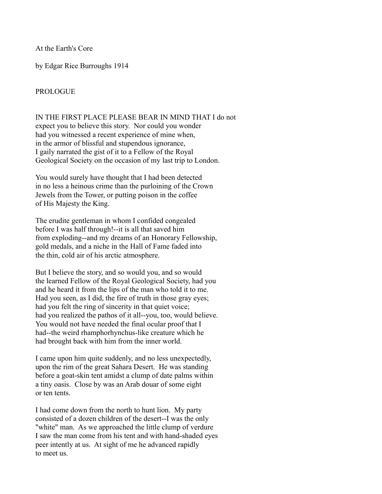At the Earth's Core

by Edgar Rice Burroughs 1914

# PROLOGUE

IN THE FIRST PLACE PLEASE BEAR IN MIND THAT I do not expect you to believe this story. Nor could you wonder had you witnessed a recent experience of mine when, in the armor of blissful and stupendous ignorance, I gaily narrated the gist of it to a Fellow of the Royal Geological Society on the occasion of my last trip to London.

You would surely have thought that I had been detected in no less a heinous crime than the purloining of the Crown Jewels from the Tower, or putting poison in the coffee of His Majesty the King.

The erudite gentleman in whom I confided congealed before I was half through!--it is all that saved him from exploding--and my dreams of an Honorary Fellowship, gold medals, and a niche in the Hall of Fame faded into the thin, cold air of his arctic atmosphere.

But I believe the story, and so would you, and so would the learned Fellow of the Royal Geological Society, had you and he heard it from the lips of the man who told it to me. Had you seen, as I did, the fire of truth in those gray eyes; had you felt the ring of sincerity in that quiet voice; had you realized the pathos of it all--you, too, would believe. You would not have needed the final ocular proof that I had--the weird rhamphorhynchus-like creature which he had brought back with him from the inner world.

I came upon him quite suddenly, and no less unexpectedly, upon the rim of the great Sahara Desert. He was standing before a goat-skin tent amidst a clump of date palms within a tiny oasis. Close by was an Arab douar of some eight or ten tents.

I had come down from the north to hunt lion. My party consisted of a dozen children of the desert--I was the only "white" man. As we approached the little clump of verdure I saw the man come from his tent and with hand-shaded eyes peer intently at us. At sight of me he advanced rapidly to meet us.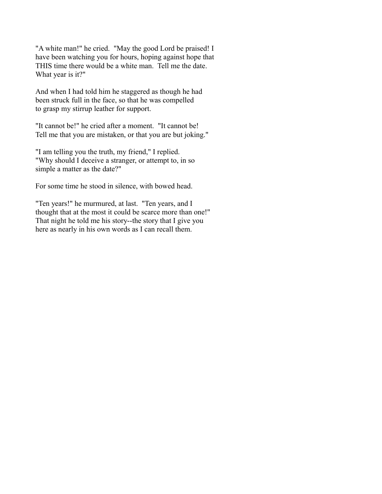"A white man!" he cried. "May the good Lord be praised! I have been watching you for hours, hoping against hope that THIS time there would be a white man. Tell me the date. What year is it?"

And when I had told him he staggered as though he had been struck full in the face, so that he was compelled to grasp my stirrup leather for support.

"It cannot be!" he cried after a moment. "It cannot be! Tell me that you are mistaken, or that you are but joking."

"I am telling you the truth, my friend," I replied. "Why should I deceive a stranger, or attempt to, in so simple a matter as the date?"

For some time he stood in silence, with bowed head.

"Ten years!" he murmured, at last. "Ten years, and I thought that at the most it could be scarce more than one!" That night he told me his story--the story that I give you here as nearly in his own words as I can recall them.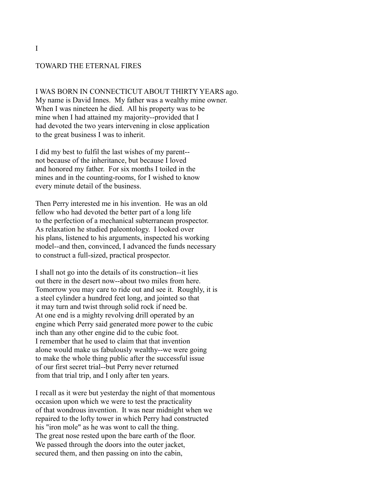#### TOWARD THE ETERNAL FIRES

I WAS BORN IN CONNECTICUT ABOUT THIRTY YEARS ago. My name is David Innes. My father was a wealthy mine owner. When I was nineteen he died. All his property was to be mine when I had attained my majority--provided that I had devoted the two years intervening in close application to the great business I was to inherit.

I did my best to fulfil the last wishes of my parent- not because of the inheritance, but because I loved and honored my father. For six months I toiled in the mines and in the counting-rooms, for I wished to know every minute detail of the business.

Then Perry interested me in his invention. He was an old fellow who had devoted the better part of a long life to the perfection of a mechanical subterranean prospector. As relaxation he studied paleontology. I looked over his plans, listened to his arguments, inspected his working model--and then, convinced, I advanced the funds necessary to construct a full-sized, practical prospector.

I shall not go into the details of its construction--it lies out there in the desert now--about two miles from here. Tomorrow you may care to ride out and see it. Roughly, it is a steel cylinder a hundred feet long, and jointed so that it may turn and twist through solid rock if need be. At one end is a mighty revolving drill operated by an engine which Perry said generated more power to the cubic inch than any other engine did to the cubic foot. I remember that he used to claim that that invention alone would make us fabulously wealthy--we were going to make the whole thing public after the successful issue of our first secret trial--but Perry never returned from that trial trip, and I only after ten years.

I recall as it were but yesterday the night of that momentous occasion upon which we were to test the practicality of that wondrous invention. It was near midnight when we repaired to the lofty tower in which Perry had constructed his "iron mole" as he was wont to call the thing. The great nose rested upon the bare earth of the floor. We passed through the doors into the outer jacket, secured them, and then passing on into the cabin,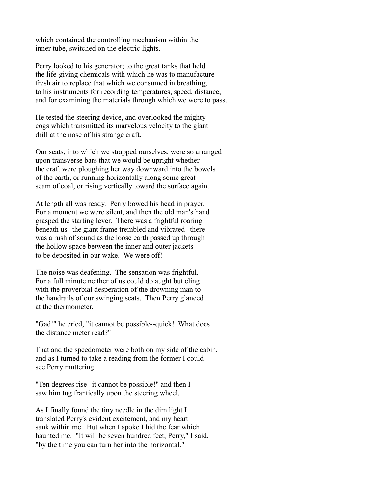which contained the controlling mechanism within the inner tube, switched on the electric lights.

Perry looked to his generator; to the great tanks that held the life-giving chemicals with which he was to manufacture fresh air to replace that which we consumed in breathing; to his instruments for recording temperatures, speed, distance, and for examining the materials through which we were to pass.

He tested the steering device, and overlooked the mighty cogs which transmitted its marvelous velocity to the giant drill at the nose of his strange craft.

Our seats, into which we strapped ourselves, were so arranged upon transverse bars that we would be upright whether the craft were ploughing her way downward into the bowels of the earth, or running horizontally along some great seam of coal, or rising vertically toward the surface again.

At length all was ready. Perry bowed his head in prayer. For a moment we were silent, and then the old man's hand grasped the starting lever. There was a frightful roaring beneath us--the giant frame trembled and vibrated--there was a rush of sound as the loose earth passed up through the hollow space between the inner and outer jackets to be deposited in our wake. We were off!

The noise was deafening. The sensation was frightful. For a full minute neither of us could do aught but cling with the proverbial desperation of the drowning man to the handrails of our swinging seats. Then Perry glanced at the thermometer.

"Gad!" he cried, "it cannot be possible--quick! What does the distance meter read?"

That and the speedometer were both on my side of the cabin, and as I turned to take a reading from the former I could see Perry muttering.

"Ten degrees rise--it cannot be possible!" and then I saw him tug frantically upon the steering wheel.

As I finally found the tiny needle in the dim light I translated Perry's evident excitement, and my heart sank within me. But when I spoke I hid the fear which haunted me. "It will be seven hundred feet, Perry," I said, "by the time you can turn her into the horizontal."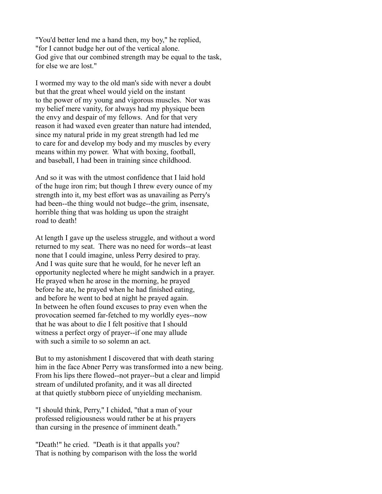"You'd better lend me a hand then, my boy," he replied, "for I cannot budge her out of the vertical alone. God give that our combined strength may be equal to the task, for else we are lost."

I wormed my way to the old man's side with never a doubt but that the great wheel would yield on the instant to the power of my young and vigorous muscles. Nor was my belief mere vanity, for always had my physique been the envy and despair of my fellows. And for that very reason it had waxed even greater than nature had intended, since my natural pride in my great strength had led me to care for and develop my body and my muscles by every means within my power. What with boxing, football, and baseball, I had been in training since childhood.

And so it was with the utmost confidence that I laid hold of the huge iron rim; but though I threw every ounce of my strength into it, my best effort was as unavailing as Perry's had been--the thing would not budge--the grim, insensate, horrible thing that was holding us upon the straight road to death!

At length I gave up the useless struggle, and without a word returned to my seat. There was no need for words--at least none that I could imagine, unless Perry desired to pray. And I was quite sure that he would, for he never left an opportunity neglected where he might sandwich in a prayer. He prayed when he arose in the morning, he prayed before he ate, he prayed when he had finished eating, and before he went to bed at night he prayed again. In between he often found excuses to pray even when the provocation seemed far-fetched to my worldly eyes--now that he was about to die I felt positive that I should witness a perfect orgy of prayer--if one may allude with such a simile to so solemn an act.

But to my astonishment I discovered that with death staring him in the face Abner Perry was transformed into a new being. From his lips there flowed--not prayer--but a clear and limpid stream of undiluted profanity, and it was all directed at that quietly stubborn piece of unyielding mechanism.

"I should think, Perry," I chided, "that a man of your professed religiousness would rather be at his prayers than cursing in the presence of imminent death."

"Death!" he cried. "Death is it that appalls you? That is nothing by comparison with the loss the world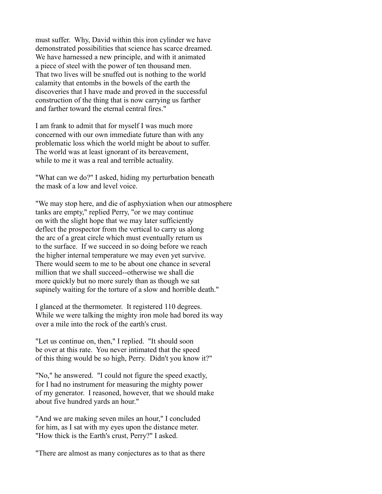must suffer. Why, David within this iron cylinder we have demonstrated possibilities that science has scarce dreamed. We have harnessed a new principle, and with it animated a piece of steel with the power of ten thousand men. That two lives will be snuffed out is nothing to the world calamity that entombs in the bowels of the earth the discoveries that I have made and proved in the successful construction of the thing that is now carrying us farther and farther toward the eternal central fires."

I am frank to admit that for myself I was much more concerned with our own immediate future than with any problematic loss which the world might be about to suffer. The world was at least ignorant of its bereavement, while to me it was a real and terrible actuality.

"What can we do?" I asked, hiding my perturbation beneath the mask of a low and level voice.

"We may stop here, and die of asphyxiation when our atmosphere tanks are empty," replied Perry, "or we may continue on with the slight hope that we may later sufficiently deflect the prospector from the vertical to carry us along the arc of a great circle which must eventually return us to the surface. If we succeed in so doing before we reach the higher internal temperature we may even yet survive. There would seem to me to be about one chance in several million that we shall succeed--otherwise we shall die more quickly but no more surely than as though we sat supinely waiting for the torture of a slow and horrible death."

I glanced at the thermometer. It registered 110 degrees. While we were talking the mighty iron mole had bored its way over a mile into the rock of the earth's crust.

"Let us continue on, then," I replied. "It should soon be over at this rate. You never intimated that the speed of this thing would be so high, Perry. Didn't you know it?"

"No," he answered. "I could not figure the speed exactly, for I had no instrument for measuring the mighty power of my generator. I reasoned, however, that we should make about five hundred yards an hour."

"And we are making seven miles an hour," I concluded for him, as I sat with my eyes upon the distance meter. "How thick is the Earth's crust, Perry?" I asked.

"There are almost as many conjectures as to that as there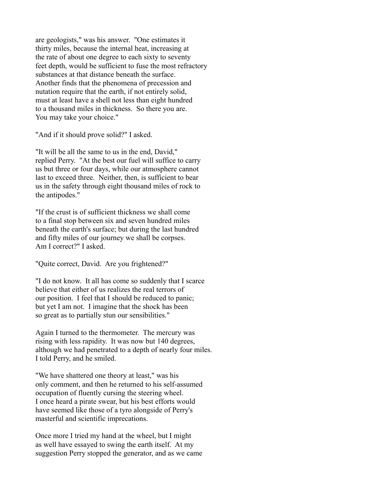are geologists," was his answer. "One estimates it thirty miles, because the internal heat, increasing at the rate of about one degree to each sixty to seventy feet depth, would be sufficient to fuse the most refractory substances at that distance beneath the surface. Another finds that the phenomena of precession and nutation require that the earth, if not entirely solid, must at least have a shell not less than eight hundred to a thousand miles in thickness. So there you are. You may take your choice."

"And if it should prove solid?" I asked.

"It will be all the same to us in the end, David," replied Perry. "At the best our fuel will suffice to carry us but three or four days, while our atmosphere cannot last to exceed three. Neither, then, is sufficient to bear us in the safety through eight thousand miles of rock to the antipodes."

"If the crust is of sufficient thickness we shall come to a final stop between six and seven hundred miles beneath the earth's surface; but during the last hundred and fifty miles of our journey we shall be corpses. Am I correct?" I asked.

"Quite correct, David. Are you frightened?"

"I do not know. It all has come so suddenly that I scarce believe that either of us realizes the real terrors of our position. I feel that I should be reduced to panic; but yet I am not. I imagine that the shock has been so great as to partially stun our sensibilities."

Again I turned to the thermometer. The mercury was rising with less rapidity. It was now but 140 degrees, although we had penetrated to a depth of nearly four miles. I told Perry, and he smiled.

"We have shattered one theory at least," was his only comment, and then he returned to his self-assumed occupation of fluently cursing the steering wheel. I once heard a pirate swear, but his best efforts would have seemed like those of a tyro alongside of Perry's masterful and scientific imprecations.

Once more I tried my hand at the wheel, but I might as well have essayed to swing the earth itself. At my suggestion Perry stopped the generator, and as we came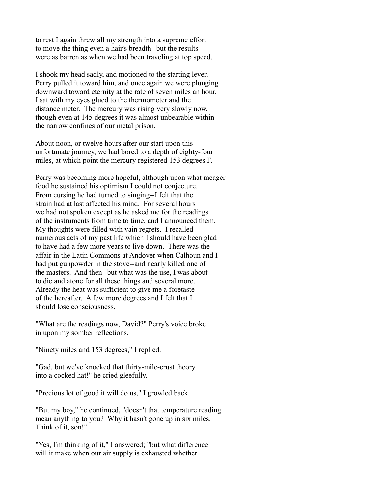to rest I again threw all my strength into a supreme effort to move the thing even a hair's breadth--but the results were as barren as when we had been traveling at top speed.

I shook my head sadly, and motioned to the starting lever. Perry pulled it toward him, and once again we were plunging downward toward eternity at the rate of seven miles an hour. I sat with my eyes glued to the thermometer and the distance meter. The mercury was rising very slowly now, though even at 145 degrees it was almost unbearable within the narrow confines of our metal prison.

About noon, or twelve hours after our start upon this unfortunate journey, we had bored to a depth of eighty-four miles, at which point the mercury registered 153 degrees F.

Perry was becoming more hopeful, although upon what meager food he sustained his optimism I could not conjecture. From cursing he had turned to singing--I felt that the strain had at last affected his mind. For several hours we had not spoken except as he asked me for the readings of the instruments from time to time, and I announced them. My thoughts were filled with vain regrets. I recalled numerous acts of my past life which I should have been glad to have had a few more years to live down. There was the affair in the Latin Commons at Andover when Calhoun and I had put gunpowder in the stove--and nearly killed one of the masters. And then--but what was the use, I was about to die and atone for all these things and several more. Already the heat was sufficient to give me a foretaste of the hereafter. A few more degrees and I felt that I should lose consciousness.

"What are the readings now, David?" Perry's voice broke in upon my somber reflections.

"Ninety miles and 153 degrees," I replied.

"Gad, but we've knocked that thirty-mile-crust theory into a cocked hat!" he cried gleefully.

"Precious lot of good it will do us," I growled back.

"But my boy," he continued, "doesn't that temperature reading mean anything to you? Why it hasn't gone up in six miles. Think of it, son!"

"Yes, I'm thinking of it," I answered; "but what difference will it make when our air supply is exhausted whether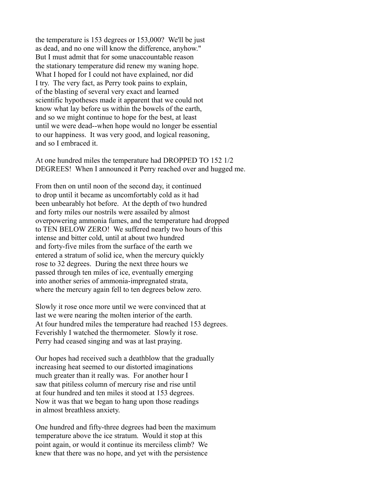the temperature is 153 degrees or 153,000? We'll be just as dead, and no one will know the difference, anyhow." But I must admit that for some unaccountable reason the stationary temperature did renew my waning hope. What I hoped for I could not have explained, nor did I try. The very fact, as Perry took pains to explain, of the blasting of several very exact and learned scientific hypotheses made it apparent that we could not know what lay before us within the bowels of the earth, and so we might continue to hope for the best, at least until we were dead--when hope would no longer be essential to our happiness. It was very good, and logical reasoning, and so I embraced it.

At one hundred miles the temperature had DROPPED TO 152 1/2 DEGREES! When I announced it Perry reached over and hugged me.

From then on until noon of the second day, it continued to drop until it became as uncomfortably cold as it had been unbearably hot before. At the depth of two hundred and forty miles our nostrils were assailed by almost overpowering ammonia fumes, and the temperature had dropped to TEN BELOW ZERO! We suffered nearly two hours of this intense and bitter cold, until at about two hundred and forty-five miles from the surface of the earth we entered a stratum of solid ice, when the mercury quickly rose to 32 degrees. During the next three hours we passed through ten miles of ice, eventually emerging into another series of ammonia-impregnated strata, where the mercury again fell to ten degrees below zero.

Slowly it rose once more until we were convinced that at last we were nearing the molten interior of the earth. At four hundred miles the temperature had reached 153 degrees. Feverishly I watched the thermometer. Slowly it rose. Perry had ceased singing and was at last praying.

Our hopes had received such a deathblow that the gradually increasing heat seemed to our distorted imaginations much greater than it really was. For another hour I saw that pitiless column of mercury rise and rise until at four hundred and ten miles it stood at 153 degrees. Now it was that we began to hang upon those readings in almost breathless anxiety.

One hundred and fifty-three degrees had been the maximum temperature above the ice stratum. Would it stop at this point again, or would it continue its merciless climb? We knew that there was no hope, and yet with the persistence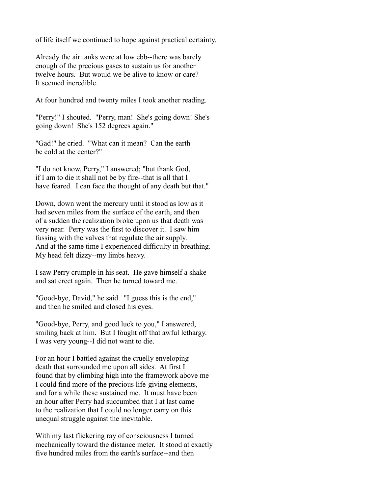of life itself we continued to hope against practical certainty.

Already the air tanks were at low ebb--there was barely enough of the precious gases to sustain us for another twelve hours. But would we be alive to know or care? It seemed incredible.

At four hundred and twenty miles I took another reading.

"Perry!" I shouted. "Perry, man! She's going down! She's going down! She's 152 degrees again."

"Gad!" he cried. "What can it mean? Can the earth be cold at the center?"

"I do not know, Perry," I answered; "but thank God, if I am to die it shall not be by fire--that is all that I have feared. I can face the thought of any death but that."

Down, down went the mercury until it stood as low as it had seven miles from the surface of the earth, and then of a sudden the realization broke upon us that death was very near. Perry was the first to discover it. I saw him fussing with the valves that regulate the air supply. And at the same time I experienced difficulty in breathing. My head felt dizzy--my limbs heavy.

I saw Perry crumple in his seat. He gave himself a shake and sat erect again. Then he turned toward me.

"Good-bye, David," he said. "I guess this is the end," and then he smiled and closed his eyes.

"Good-bye, Perry, and good luck to you," I answered, smiling back at him. But I fought off that awful lethargy. I was very young--I did not want to die.

For an hour I battled against the cruelly enveloping death that surrounded me upon all sides. At first I found that by climbing high into the framework above me I could find more of the precious life-giving elements, and for a while these sustained me. It must have been an hour after Perry had succumbed that I at last came to the realization that I could no longer carry on this unequal struggle against the inevitable.

With my last flickering ray of consciousness I turned mechanically toward the distance meter. It stood at exactly five hundred miles from the earth's surface--and then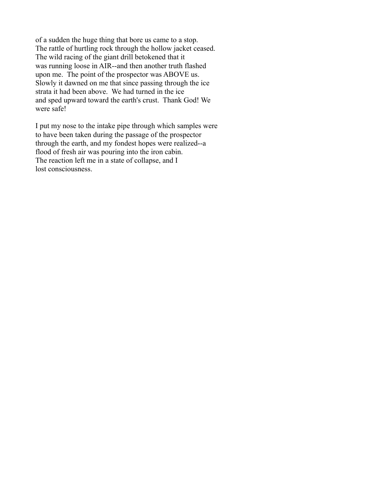of a sudden the huge thing that bore us came to a stop. The rattle of hurtling rock through the hollow jacket ceased. The wild racing of the giant drill betokened that it was running loose in AIR--and then another truth flashed upon me. The point of the prospector was ABOVE us. Slowly it dawned on me that since passing through the ice strata it had been above. We had turned in the ice and sped upward toward the earth's crust. Thank God! We were safe!

I put my nose to the intake pipe through which samples were to have been taken during the passage of the prospector through the earth, and my fondest hopes were realized--a flood of fresh air was pouring into the iron cabin. The reaction left me in a state of collapse, and I lost consciousness.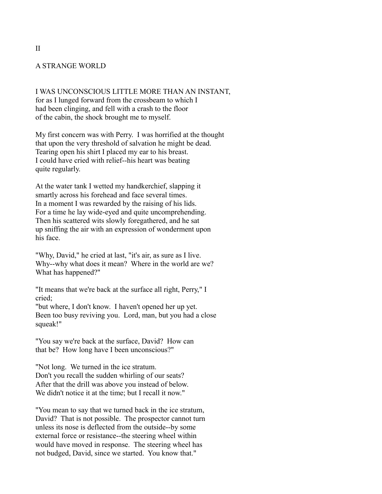### A STRANGE WORLD

I WAS UNCONSCIOUS LITTLE MORE THAN AN INSTANT, for as I lunged forward from the crossbeam to which I had been clinging, and fell with a crash to the floor of the cabin, the shock brought me to myself.

My first concern was with Perry. I was horrified at the thought that upon the very threshold of salvation he might be dead. Tearing open his shirt I placed my ear to his breast. I could have cried with relief--his heart was beating quite regularly.

At the water tank I wetted my handkerchief, slapping it smartly across his forehead and face several times. In a moment I was rewarded by the raising of his lids. For a time he lay wide-eyed and quite uncomprehending. Then his scattered wits slowly foregathered, and he sat up sniffing the air with an expression of wonderment upon his face.

"Why, David," he cried at last, "it's air, as sure as I live. Why--why what does it mean? Where in the world are we? What has happened?"

"It means that we're back at the surface all right, Perry," I cried;

"but where, I don't know. I haven't opened her up yet. Been too busy reviving you. Lord, man, but you had a close squeak!"

"You say we're back at the surface, David? How can that be? How long have I been unconscious?"

"Not long. We turned in the ice stratum. Don't you recall the sudden whirling of our seats? After that the drill was above you instead of below. We didn't notice it at the time; but I recall it now."

"You mean to say that we turned back in the ice stratum, David? That is not possible. The prospector cannot turn unless its nose is deflected from the outside--by some external force or resistance--the steering wheel within would have moved in response. The steering wheel has not budged, David, since we started. You know that."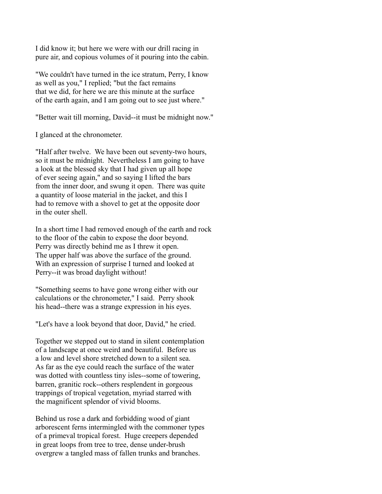I did know it; but here we were with our drill racing in pure air, and copious volumes of it pouring into the cabin.

"We couldn't have turned in the ice stratum, Perry, I know as well as you," I replied; "but the fact remains that we did, for here we are this minute at the surface of the earth again, and I am going out to see just where."

"Better wait till morning, David--it must be midnight now."

I glanced at the chronometer.

"Half after twelve. We have been out seventy-two hours, so it must be midnight. Nevertheless I am going to have a look at the blessed sky that I had given up all hope of ever seeing again," and so saying I lifted the bars from the inner door, and swung it open. There was quite a quantity of loose material in the jacket, and this I had to remove with a shovel to get at the opposite door in the outer shell.

In a short time I had removed enough of the earth and rock to the floor of the cabin to expose the door beyond. Perry was directly behind me as I threw it open. The upper half was above the surface of the ground. With an expression of surprise I turned and looked at Perry--it was broad daylight without!

"Something seems to have gone wrong either with our calculations or the chronometer," I said. Perry shook his head--there was a strange expression in his eyes.

"Let's have a look beyond that door, David," he cried.

Together we stepped out to stand in silent contemplation of a landscape at once weird and beautiful. Before us a low and level shore stretched down to a silent sea. As far as the eye could reach the surface of the water was dotted with countless tiny isles--some of towering, barren, granitic rock--others resplendent in gorgeous trappings of tropical vegetation, myriad starred with the magnificent splendor of vivid blooms.

Behind us rose a dark and forbidding wood of giant arborescent ferns intermingled with the commoner types of a primeval tropical forest. Huge creepers depended in great loops from tree to tree, dense under-brush overgrew a tangled mass of fallen trunks and branches.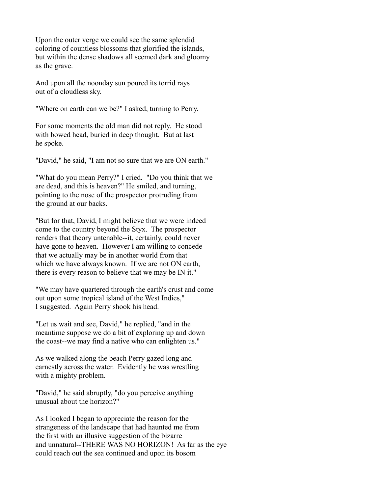Upon the outer verge we could see the same splendid coloring of countless blossoms that glorified the islands, but within the dense shadows all seemed dark and gloomy as the grave.

And upon all the noonday sun poured its torrid rays out of a cloudless sky.

"Where on earth can we be?" I asked, turning to Perry.

For some moments the old man did not reply. He stood with bowed head, buried in deep thought. But at last he spoke.

"David," he said, "I am not so sure that we are ON earth."

"What do you mean Perry?" I cried. "Do you think that we are dead, and this is heaven?" He smiled, and turning, pointing to the nose of the prospector protruding from the ground at our backs.

"But for that, David, I might believe that we were indeed come to the country beyond the Styx. The prospector renders that theory untenable--it, certainly, could never have gone to heaven. However I am willing to concede that we actually may be in another world from that which we have always known. If we are not ON earth, there is every reason to believe that we may be IN it."

"We may have quartered through the earth's crust and come out upon some tropical island of the West Indies," I suggested. Again Perry shook his head.

"Let us wait and see, David," he replied, "and in the meantime suppose we do a bit of exploring up and down the coast--we may find a native who can enlighten us."

As we walked along the beach Perry gazed long and earnestly across the water. Evidently he was wrestling with a mighty problem.

"David," he said abruptly, "do you perceive anything unusual about the horizon?"

As I looked I began to appreciate the reason for the strangeness of the landscape that had haunted me from the first with an illusive suggestion of the bizarre and unnatural--THERE WAS NO HORIZON! As far as the eye could reach out the sea continued and upon its bosom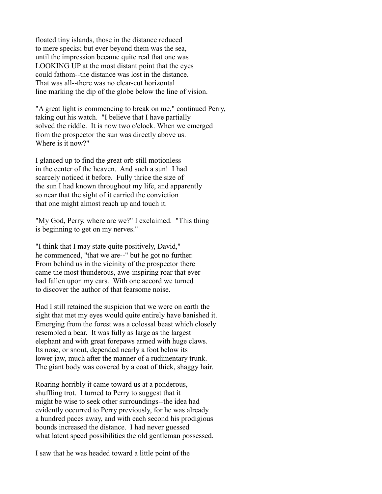floated tiny islands, those in the distance reduced to mere specks; but ever beyond them was the sea, until the impression became quite real that one was LOOKING UP at the most distant point that the eyes could fathom--the distance was lost in the distance. That was all--there was no clear-cut horizontal line marking the dip of the globe below the line of vision.

"A great light is commencing to break on me," continued Perry, taking out his watch. "I believe that I have partially solved the riddle. It is now two o'clock. When we emerged from the prospector the sun was directly above us. Where is it now?"

I glanced up to find the great orb still motionless in the center of the heaven. And such a sun! I had scarcely noticed it before. Fully thrice the size of the sun I had known throughout my life, and apparently so near that the sight of it carried the conviction that one might almost reach up and touch it.

"My God, Perry, where are we?" I exclaimed. "This thing is beginning to get on my nerves."

"I think that I may state quite positively, David," he commenced, "that we are--" but he got no further. From behind us in the vicinity of the prospector there came the most thunderous, awe-inspiring roar that ever had fallen upon my ears. With one accord we turned to discover the author of that fearsome noise.

Had I still retained the suspicion that we were on earth the sight that met my eyes would quite entirely have banished it. Emerging from the forest was a colossal beast which closely resembled a bear. It was fully as large as the largest elephant and with great forepaws armed with huge claws. Its nose, or snout, depended nearly a foot below its lower jaw, much after the manner of a rudimentary trunk. The giant body was covered by a coat of thick, shaggy hair.

Roaring horribly it came toward us at a ponderous, shuffling trot. I turned to Perry to suggest that it might be wise to seek other surroundings--the idea had evidently occurred to Perry previously, for he was already a hundred paces away, and with each second his prodigious bounds increased the distance. I had never guessed what latent speed possibilities the old gentleman possessed.

I saw that he was headed toward a little point of the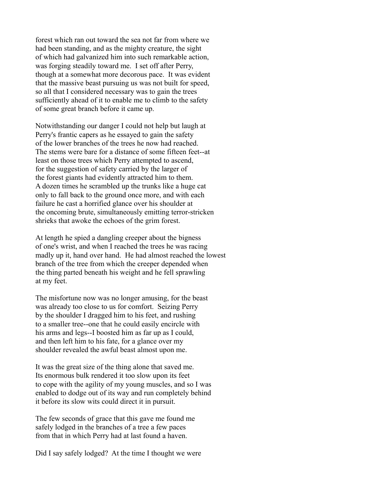forest which ran out toward the sea not far from where we had been standing, and as the mighty creature, the sight of which had galvanized him into such remarkable action, was forging steadily toward me. I set off after Perry, though at a somewhat more decorous pace. It was evident that the massive beast pursuing us was not built for speed, so all that I considered necessary was to gain the trees sufficiently ahead of it to enable me to climb to the safety of some great branch before it came up.

Notwithstanding our danger I could not help but laugh at Perry's frantic capers as he essayed to gain the safety of the lower branches of the trees he now had reached. The stems were bare for a distance of some fifteen feet--at least on those trees which Perry attempted to ascend, for the suggestion of safety carried by the larger of the forest giants had evidently attracted him to them. A dozen times he scrambled up the trunks like a huge cat only to fall back to the ground once more, and with each failure he cast a horrified glance over his shoulder at the oncoming brute, simultaneously emitting terror-stricken shrieks that awoke the echoes of the grim forest.

At length he spied a dangling creeper about the bigness of one's wrist, and when I reached the trees he was racing madly up it, hand over hand. He had almost reached the lowest branch of the tree from which the creeper depended when the thing parted beneath his weight and he fell sprawling at my feet.

The misfortune now was no longer amusing, for the beast was already too close to us for comfort. Seizing Perry by the shoulder I dragged him to his feet, and rushing to a smaller tree--one that he could easily encircle with his arms and legs--I boosted him as far up as I could, and then left him to his fate, for a glance over my shoulder revealed the awful beast almost upon me.

It was the great size of the thing alone that saved me. Its enormous bulk rendered it too slow upon its feet to cope with the agility of my young muscles, and so I was enabled to dodge out of its way and run completely behind it before its slow wits could direct it in pursuit.

The few seconds of grace that this gave me found me safely lodged in the branches of a tree a few paces from that in which Perry had at last found a haven.

Did I say safely lodged? At the time I thought we were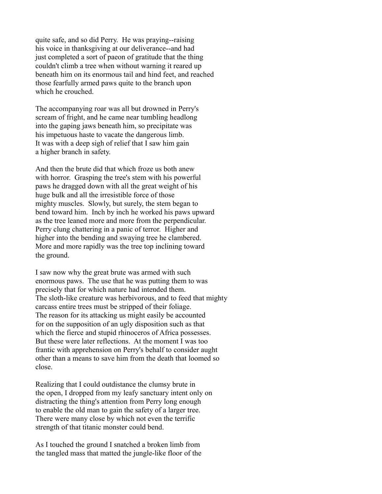quite safe, and so did Perry. He was praying--raising his voice in thanksgiving at our deliverance--and had just completed a sort of paeon of gratitude that the thing couldn't climb a tree when without warning it reared up beneath him on its enormous tail and hind feet, and reached those fearfully armed paws quite to the branch upon which he crouched.

The accompanying roar was all but drowned in Perry's scream of fright, and he came near tumbling headlong into the gaping jaws beneath him, so precipitate was his impetuous haste to vacate the dangerous limb. It was with a deep sigh of relief that I saw him gain a higher branch in safety.

And then the brute did that which froze us both anew with horror. Grasping the tree's stem with his powerful paws he dragged down with all the great weight of his huge bulk and all the irresistible force of those mighty muscles. Slowly, but surely, the stem began to bend toward him. Inch by inch he worked his paws upward as the tree leaned more and more from the perpendicular. Perry clung chattering in a panic of terror. Higher and higher into the bending and swaying tree he clambered. More and more rapidly was the tree top inclining toward the ground.

I saw now why the great brute was armed with such enormous paws. The use that he was putting them to was precisely that for which nature had intended them. The sloth-like creature was herbivorous, and to feed that mighty carcass entire trees must be stripped of their foliage. The reason for its attacking us might easily be accounted for on the supposition of an ugly disposition such as that which the fierce and stupid rhinoceros of Africa possesses. But these were later reflections. At the moment I was too frantic with apprehension on Perry's behalf to consider aught other than a means to save him from the death that loomed so close.

Realizing that I could outdistance the clumsy brute in the open, I dropped from my leafy sanctuary intent only on distracting the thing's attention from Perry long enough to enable the old man to gain the safety of a larger tree. There were many close by which not even the terrific strength of that titanic monster could bend.

As I touched the ground I snatched a broken limb from the tangled mass that matted the jungle-like floor of the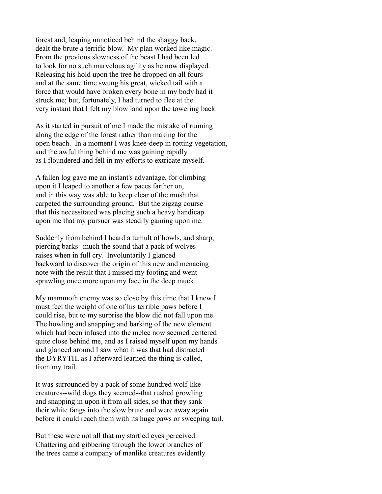forest and, leaping unnoticed behind the shaggy back, dealt the brute a terrific blow. My plan worked like magic. From the previous slowness of the beast I had been led to look for no such marvelous agility as he now displayed. Releasing his hold upon the tree he dropped on all fours and at the same time swung his great, wicked tail with a force that would have broken every bone in my body had it struck me; but, fortunately, I had turned to flee at the very instant that I felt my blow land upon the towering back.

As it started in pursuit of me I made the mistake of running along the edge of the forest rather than making for the open beach. In a moment I was knee-deep in rotting vegetation, and the awful thing behind me was gaining rapidly as I floundered and fell in my efforts to extricate myself.

A fallen log gave me an instant's advantage, for climbing upon it I leaped to another a few paces farther on, and in this way was able to keep clear of the mush that carpeted the surrounding ground. But the zigzag course that this necessitated was placing such a heavy handicap upon me that my pursuer was steadily gaining upon me.

Suddenly from behind I heard a tumult of howls, and sharp, piercing barks--much the sound that a pack of wolves raises when in full cry. Involuntarily I glanced backward to discover the origin of this new and menacing note with the result that I missed my footing and went sprawling once more upon my face in the deep muck.

My mammoth enemy was so close by this time that I knew I must feel the weight of one of his terrible paws before I could rise, but to my surprise the blow did not fall upon me. The howling and snapping and barking of the new element which had been infused into the melee now seemed centered quite close behind me, and as I raised myself upon my hands and glanced around I saw what it was that had distracted the DYRYTH, as I afterward learned the thing is called, from my trail.

It was surrounded by a pack of some hundred wolf-like creatures--wild dogs they seemed--that rushed growling and snapping in upon it from all sides, so that they sank their white fangs into the slow brute and were away again before it could reach them with its huge paws or sweeping tail.

But these were not all that my startled eyes perceived. Chattering and gibbering through the lower branches of the trees came a company of manlike creatures evidently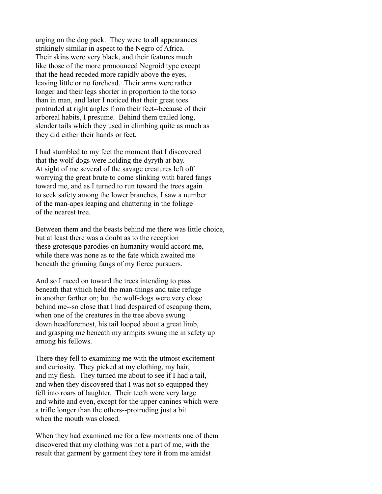urging on the dog pack. They were to all appearances strikingly similar in aspect to the Negro of Africa. Their skins were very black, and their features much like those of the more pronounced Negroid type except that the head receded more rapidly above the eyes, leaving little or no forehead. Their arms were rather longer and their legs shorter in proportion to the torso than in man, and later I noticed that their great toes protruded at right angles from their feet--because of their arboreal habits, I presume. Behind them trailed long, slender tails which they used in climbing quite as much as they did either their hands or feet.

I had stumbled to my feet the moment that I discovered that the wolf-dogs were holding the dyryth at bay. At sight of me several of the savage creatures left off worrying the great brute to come slinking with bared fangs toward me, and as I turned to run toward the trees again to seek safety among the lower branches, I saw a number of the man-apes leaping and chattering in the foliage of the nearest tree.

Between them and the beasts behind me there was little choice, but at least there was a doubt as to the reception these grotesque parodies on humanity would accord me, while there was none as to the fate which awaited me beneath the grinning fangs of my fierce pursuers.

And so I raced on toward the trees intending to pass beneath that which held the man-things and take refuge in another farther on; but the wolf-dogs were very close behind me--so close that I had despaired of escaping them, when one of the creatures in the tree above swung down headforemost, his tail looped about a great limb, and grasping me beneath my armpits swung me in safety up among his fellows.

There they fell to examining me with the utmost excitement and curiosity. They picked at my clothing, my hair, and my flesh. They turned me about to see if I had a tail, and when they discovered that I was not so equipped they fell into roars of laughter. Their teeth were very large and white and even, except for the upper canines which were a trifle longer than the others--protruding just a bit when the mouth was closed.

When they had examined me for a few moments one of them discovered that my clothing was not a part of me, with the result that garment by garment they tore it from me amidst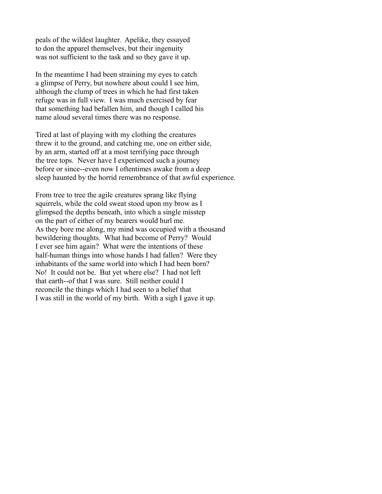peals of the wildest laughter. Apelike, they essayed to don the apparel themselves, but their ingenuity was not sufficient to the task and so they gave it up.

In the meantime I had been straining my eyes to catch a glimpse of Perry, but nowhere about could I see him, although the clump of trees in which he had first taken refuge was in full view. I was much exercised by fear that something had befallen him, and though I called his name aloud several times there was no response.

Tired at last of playing with my clothing the creatures threw it to the ground, and catching me, one on either side, by an arm, started off at a most terrifying pace through the tree tops. Never have I experienced such a journey before or since--even now I oftentimes awake from a deep sleep haunted by the horrid remembrance of that awful experience.

From tree to tree the agile creatures sprang like flying squirrels, while the cold sweat stood upon my brow as I glimpsed the depths beneath, into which a single misstep on the part of either of my bearers would hurl me. As they bore me along, my mind was occupied with a thousand bewildering thoughts. What had become of Perry? Would I ever see him again? What were the intentions of these half-human things into whose hands I had fallen? Were they inhabitants of the same world into which I had been born? No! It could not be. But yet where else? I had not left that earth--of that I was sure. Still neither could I reconcile the things which I had seen to a belief that I was still in the world of my birth. With a sigh I gave it up.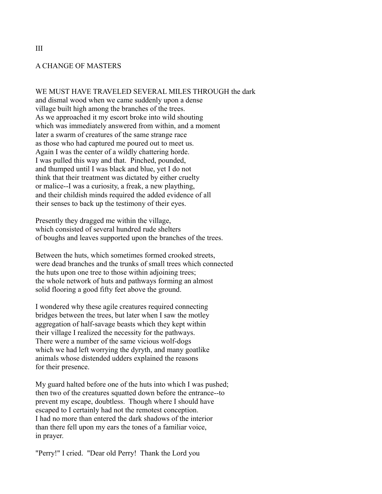#### A CHANGE OF MASTERS

WE MUST HAVE TRAVELED SEVERAL MILES THROUGH the dark and dismal wood when we came suddenly upon a dense village built high among the branches of the trees. As we approached it my escort broke into wild shouting which was immediately answered from within, and a moment later a swarm of creatures of the same strange race as those who had captured me poured out to meet us. Again I was the center of a wildly chattering horde. I was pulled this way and that. Pinched, pounded, and thumped until I was black and blue, yet I do not think that their treatment was dictated by either cruelty or malice--I was a curiosity, a freak, a new plaything, and their childish minds required the added evidence of all their senses to back up the testimony of their eyes.

Presently they dragged me within the village, which consisted of several hundred rude shelters of boughs and leaves supported upon the branches of the trees.

Between the huts, which sometimes formed crooked streets, were dead branches and the trunks of small trees which connected the huts upon one tree to those within adjoining trees; the whole network of huts and pathways forming an almost solid flooring a good fifty feet above the ground.

I wondered why these agile creatures required connecting bridges between the trees, but later when I saw the motley aggregation of half-savage beasts which they kept within their village I realized the necessity for the pathways. There were a number of the same vicious wolf-dogs which we had left worrying the dyryth, and many goatlike animals whose distended udders explained the reasons for their presence.

My guard halted before one of the huts into which I was pushed; then two of the creatures squatted down before the entrance--to prevent my escape, doubtless. Though where I should have escaped to I certainly had not the remotest conception. I had no more than entered the dark shadows of the interior than there fell upon my ears the tones of a familiar voice, in prayer.

"Perry!" I cried. "Dear old Perry! Thank the Lord you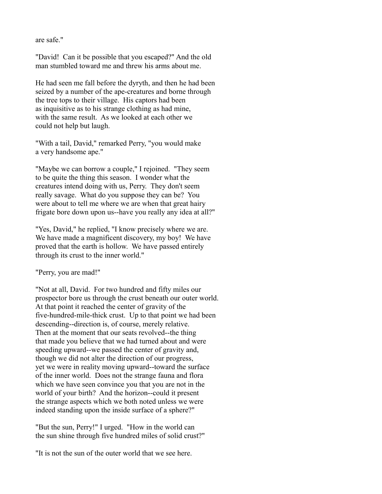are safe."

"David! Can it be possible that you escaped?" And the old man stumbled toward me and threw his arms about me.

He had seen me fall before the dyryth, and then he had been seized by a number of the ape-creatures and borne through the tree tops to their village. His captors had been as inquisitive as to his strange clothing as had mine, with the same result. As we looked at each other we could not help but laugh.

"With a tail, David," remarked Perry, "you would make a very handsome ape."

"Maybe we can borrow a couple," I rejoined. "They seem to be quite the thing this season. I wonder what the creatures intend doing with us, Perry. They don't seem really savage. What do you suppose they can be? You were about to tell me where we are when that great hairy frigate bore down upon us--have you really any idea at all?"

"Yes, David," he replied, "I know precisely where we are. We have made a magnificent discovery, my boy! We have proved that the earth is hollow. We have passed entirely through its crust to the inner world."

"Perry, you are mad!"

"Not at all, David. For two hundred and fifty miles our prospector bore us through the crust beneath our outer world. At that point it reached the center of gravity of the five-hundred-mile-thick crust. Up to that point we had been descending--direction is, of course, merely relative. Then at the moment that our seats revolved--the thing that made you believe that we had turned about and were speeding upward--we passed the center of gravity and, though we did not alter the direction of our progress, yet we were in reality moving upward--toward the surface of the inner world. Does not the strange fauna and flora which we have seen convince you that you are not in the world of your birth? And the horizon--could it present the strange aspects which we both noted unless we were indeed standing upon the inside surface of a sphere?"

"But the sun, Perry!" I urged. "How in the world can the sun shine through five hundred miles of solid crust?"

"It is not the sun of the outer world that we see here.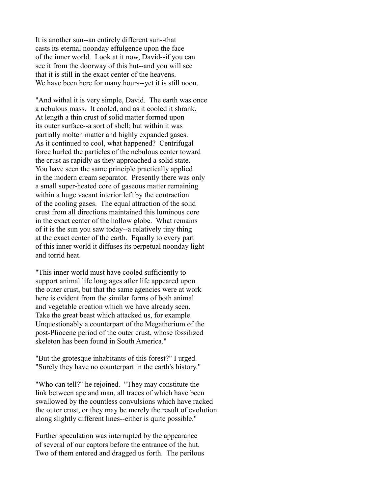It is another sun--an entirely different sun--that casts its eternal noonday effulgence upon the face of the inner world. Look at it now, David--if you can see it from the doorway of this hut--and you will see that it is still in the exact center of the heavens. We have been here for many hours--yet it is still noon.

"And withal it is very simple, David. The earth was once a nebulous mass. It cooled, and as it cooled it shrank. At length a thin crust of solid matter formed upon its outer surface--a sort of shell; but within it was partially molten matter and highly expanded gases. As it continued to cool, what happened? Centrifugal force hurled the particles of the nebulous center toward the crust as rapidly as they approached a solid state. You have seen the same principle practically applied in the modern cream separator. Presently there was only a small super-heated core of gaseous matter remaining within a huge vacant interior left by the contraction of the cooling gases. The equal attraction of the solid crust from all directions maintained this luminous core in the exact center of the hollow globe. What remains of it is the sun you saw today--a relatively tiny thing at the exact center of the earth. Equally to every part of this inner world it diffuses its perpetual noonday light and torrid heat.

"This inner world must have cooled sufficiently to support animal life long ages after life appeared upon the outer crust, but that the same agencies were at work here is evident from the similar forms of both animal and vegetable creation which we have already seen. Take the great beast which attacked us, for example. Unquestionably a counterpart of the Megatherium of the post-Pliocene period of the outer crust, whose fossilized skeleton has been found in South America."

"But the grotesque inhabitants of this forest?" I urged. "Surely they have no counterpart in the earth's history."

"Who can tell?" he rejoined. "They may constitute the link between ape and man, all traces of which have been swallowed by the countless convulsions which have racked the outer crust, or they may be merely the result of evolution along slightly different lines--either is quite possible."

Further speculation was interrupted by the appearance of several of our captors before the entrance of the hut. Two of them entered and dragged us forth. The perilous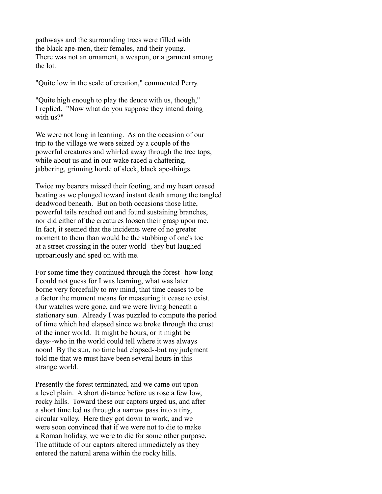pathways and the surrounding trees were filled with the black ape-men, their females, and their young. There was not an ornament, a weapon, or a garment among the lot.

"Quite low in the scale of creation," commented Perry.

"Quite high enough to play the deuce with us, though," I replied. "Now what do you suppose they intend doing with us?"

We were not long in learning. As on the occasion of our trip to the village we were seized by a couple of the powerful creatures and whirled away through the tree tops, while about us and in our wake raced a chattering, jabbering, grinning horde of sleek, black ape-things.

Twice my bearers missed their footing, and my heart ceased beating as we plunged toward instant death among the tangled deadwood beneath. But on both occasions those lithe, powerful tails reached out and found sustaining branches, nor did either of the creatures loosen their grasp upon me. In fact, it seemed that the incidents were of no greater moment to them than would be the stubbing of one's toe at a street crossing in the outer world--they but laughed uproariously and sped on with me.

For some time they continued through the forest--how long I could not guess for I was learning, what was later borne very forcefully to my mind, that time ceases to be a factor the moment means for measuring it cease to exist. Our watches were gone, and we were living beneath a stationary sun. Already I was puzzled to compute the period of time which had elapsed since we broke through the crust of the inner world. It might be hours, or it might be days--who in the world could tell where it was always noon! By the sun, no time had elapsed--but my judgment told me that we must have been several hours in this strange world.

Presently the forest terminated, and we came out upon a level plain. A short distance before us rose a few low, rocky hills. Toward these our captors urged us, and after a short time led us through a narrow pass into a tiny, circular valley. Here they got down to work, and we were soon convinced that if we were not to die to make a Roman holiday, we were to die for some other purpose. The attitude of our captors altered immediately as they entered the natural arena within the rocky hills.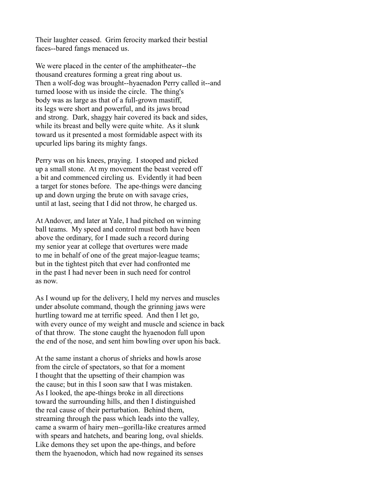Their laughter ceased. Grim ferocity marked their bestial faces--bared fangs menaced us.

We were placed in the center of the amphitheater--the thousand creatures forming a great ring about us. Then a wolf-dog was brought--hyaenadon Perry called it--and turned loose with us inside the circle. The thing's body was as large as that of a full-grown mastiff, its legs were short and powerful, and its jaws broad and strong. Dark, shaggy hair covered its back and sides, while its breast and belly were quite white. As it slunk toward us it presented a most formidable aspect with its upcurled lips baring its mighty fangs.

Perry was on his knees, praying. I stooped and picked up a small stone. At my movement the beast veered off a bit and commenced circling us. Evidently it had been a target for stones before. The ape-things were dancing up and down urging the brute on with savage cries, until at last, seeing that I did not throw, he charged us.

At Andover, and later at Yale, I had pitched on winning ball teams. My speed and control must both have been above the ordinary, for I made such a record during my senior year at college that overtures were made to me in behalf of one of the great major-league teams; but in the tightest pitch that ever had confronted me in the past I had never been in such need for control as now.

As I wound up for the delivery, I held my nerves and muscles under absolute command, though the grinning jaws were hurtling toward me at terrific speed. And then I let go, with every ounce of my weight and muscle and science in back of that throw. The stone caught the hyaenodon full upon the end of the nose, and sent him bowling over upon his back.

At the same instant a chorus of shrieks and howls arose from the circle of spectators, so that for a moment I thought that the upsetting of their champion was the cause; but in this I soon saw that I was mistaken. As I looked, the ape-things broke in all directions toward the surrounding hills, and then I distinguished the real cause of their perturbation. Behind them, streaming through the pass which leads into the valley, came a swarm of hairy men--gorilla-like creatures armed with spears and hatchets, and bearing long, oval shields. Like demons they set upon the ape-things, and before them the hyaenodon, which had now regained its senses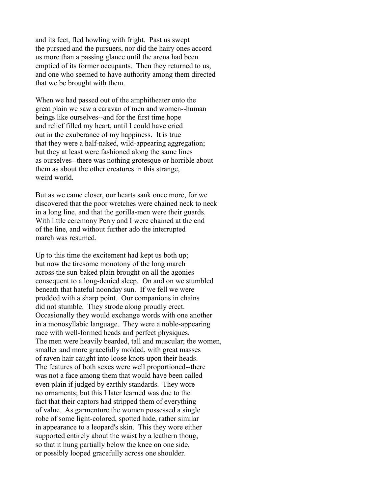and its feet, fled howling with fright. Past us swept the pursued and the pursuers, nor did the hairy ones accord us more than a passing glance until the arena had been emptied of its former occupants. Then they returned to us, and one who seemed to have authority among them directed that we be brought with them.

When we had passed out of the amphitheater onto the great plain we saw a caravan of men and women--human beings like ourselves--and for the first time hope and relief filled my heart, until I could have cried out in the exuberance of my happiness. It is true that they were a half-naked, wild-appearing aggregation; but they at least were fashioned along the same lines as ourselves--there was nothing grotesque or horrible about them as about the other creatures in this strange, weird world.

But as we came closer, our hearts sank once more, for we discovered that the poor wretches were chained neck to neck in a long line, and that the gorilla-men were their guards. With little ceremony Perry and I were chained at the end of the line, and without further ado the interrupted march was resumed.

Up to this time the excitement had kept us both up; but now the tiresome monotony of the long march across the sun-baked plain brought on all the agonies consequent to a long-denied sleep. On and on we stumbled beneath that hateful noonday sun. If we fell we were prodded with a sharp point. Our companions in chains did not stumble. They strode along proudly erect. Occasionally they would exchange words with one another in a monosyllabic language. They were a noble-appearing race with well-formed heads and perfect physiques. The men were heavily bearded, tall and muscular; the women, smaller and more gracefully molded, with great masses of raven hair caught into loose knots upon their heads. The features of both sexes were well proportioned--there was not a face among them that would have been called even plain if judged by earthly standards. They wore no ornaments; but this I later learned was due to the fact that their captors had stripped them of everything of value. As garmenture the women possessed a single robe of some light-colored, spotted hide, rather similar in appearance to a leopard's skin. This they wore either supported entirely about the waist by a leathern thong, so that it hung partially below the knee on one side, or possibly looped gracefully across one shoulder.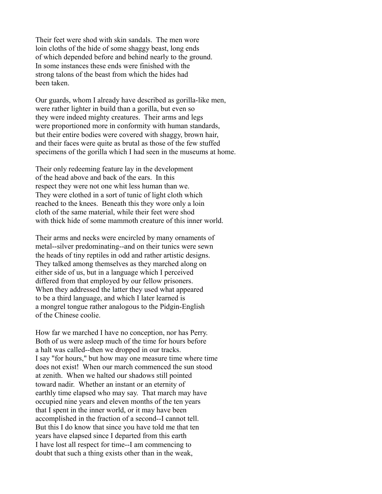Their feet were shod with skin sandals. The men wore loin cloths of the hide of some shaggy beast, long ends of which depended before and behind nearly to the ground. In some instances these ends were finished with the strong talons of the beast from which the hides had been taken.

Our guards, whom I already have described as gorilla-like men, were rather lighter in build than a gorilla, but even so they were indeed mighty creatures. Their arms and legs were proportioned more in conformity with human standards, but their entire bodies were covered with shaggy, brown hair, and their faces were quite as brutal as those of the few stuffed specimens of the gorilla which I had seen in the museums at home.

Their only redeeming feature lay in the development of the head above and back of the ears. In this respect they were not one whit less human than we. They were clothed in a sort of tunic of light cloth which reached to the knees. Beneath this they wore only a loin cloth of the same material, while their feet were shod with thick hide of some mammoth creature of this inner world.

Their arms and necks were encircled by many ornaments of metal--silver predominating--and on their tunics were sewn the heads of tiny reptiles in odd and rather artistic designs. They talked among themselves as they marched along on either side of us, but in a language which I perceived differed from that employed by our fellow prisoners. When they addressed the latter they used what appeared to be a third language, and which I later learned is a mongrel tongue rather analogous to the Pidgin-English of the Chinese coolie.

How far we marched I have no conception, nor has Perry. Both of us were asleep much of the time for hours before a halt was called--then we dropped in our tracks. I say "for hours," but how may one measure time where time does not exist! When our march commenced the sun stood at zenith. When we halted our shadows still pointed toward nadir. Whether an instant or an eternity of earthly time elapsed who may say. That march may have occupied nine years and eleven months of the ten years that I spent in the inner world, or it may have been accomplished in the fraction of a second--I cannot tell. But this I do know that since you have told me that ten years have elapsed since I departed from this earth I have lost all respect for time--I am commencing to doubt that such a thing exists other than in the weak,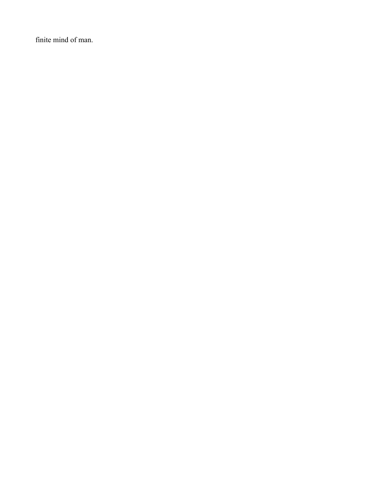finite mind of man.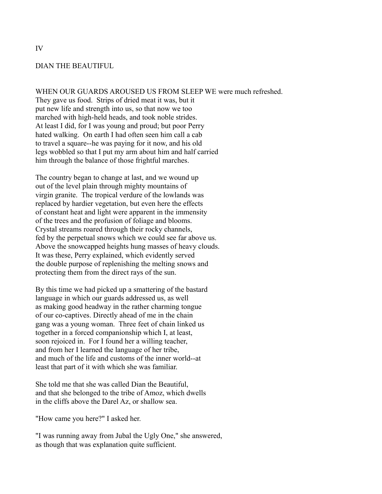## DIAN THE BEAUTIFUL

WHEN OUR GUARDS AROUSED US FROM SLEEP WE were much refreshed.

They gave us food. Strips of dried meat it was, but it put new life and strength into us, so that now we too marched with high-held heads, and took noble strides. At least I did, for I was young and proud; but poor Perry hated walking. On earth I had often seen him call a cab to travel a square--he was paying for it now, and his old legs wobbled so that I put my arm about him and half carried him through the balance of those frightful marches.

The country began to change at last, and we wound up out of the level plain through mighty mountains of virgin granite. The tropical verdure of the lowlands was replaced by hardier vegetation, but even here the effects of constant heat and light were apparent in the immensity of the trees and the profusion of foliage and blooms. Crystal streams roared through their rocky channels, fed by the perpetual snows which we could see far above us. Above the snowcapped heights hung masses of heavy clouds. It was these, Perry explained, which evidently served the double purpose of replenishing the melting snows and protecting them from the direct rays of the sun.

By this time we had picked up a smattering of the bastard language in which our guards addressed us, as well as making good headway in the rather charming tongue of our co-captives. Directly ahead of me in the chain gang was a young woman. Three feet of chain linked us together in a forced companionship which I, at least, soon rejoiced in. For I found her a willing teacher, and from her I learned the language of her tribe, and much of the life and customs of the inner world--at least that part of it with which she was familiar.

She told me that she was called Dian the Beautiful, and that she belonged to the tribe of Amoz, which dwells in the cliffs above the Darel Az, or shallow sea.

"How came you here?" I asked her.

"I was running away from Jubal the Ugly One," she answered, as though that was explanation quite sufficient.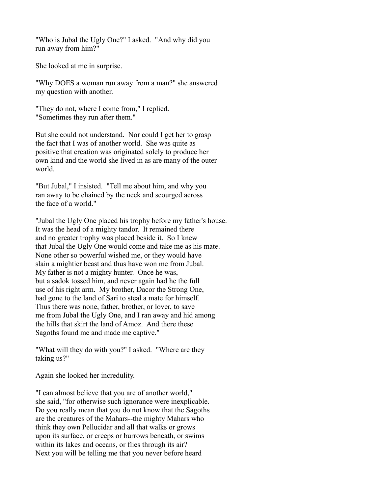"Who is Jubal the Ugly One?" I asked. "And why did you run away from him?"

She looked at me in surprise.

"Why DOES a woman run away from a man?" she answered my question with another.

"They do not, where I come from," I replied. "Sometimes they run after them."

But she could not understand. Nor could I get her to grasp the fact that I was of another world. She was quite as positive that creation was originated solely to produce her own kind and the world she lived in as are many of the outer world.

"But Jubal," I insisted. "Tell me about him, and why you ran away to be chained by the neck and scourged across the face of a world."

"Jubal the Ugly One placed his trophy before my father's house. It was the head of a mighty tandor. It remained there and no greater trophy was placed beside it. So I knew that Jubal the Ugly One would come and take me as his mate. None other so powerful wished me, or they would have slain a mightier beast and thus have won me from Jubal. My father is not a mighty hunter. Once he was, but a sadok tossed him, and never again had he the full use of his right arm. My brother, Dacor the Strong One, had gone to the land of Sari to steal a mate for himself. Thus there was none, father, brother, or lover, to save me from Jubal the Ugly One, and I ran away and hid among the hills that skirt the land of Amoz. And there these Sagoths found me and made me captive."

"What will they do with you?" I asked. "Where are they taking us?"

Again she looked her incredulity.

"I can almost believe that you are of another world," she said, "for otherwise such ignorance were inexplicable. Do you really mean that you do not know that the Sagoths are the creatures of the Mahars--the mighty Mahars who think they own Pellucidar and all that walks or grows upon its surface, or creeps or burrows beneath, or swims within its lakes and oceans, or flies through its air? Next you will be telling me that you never before heard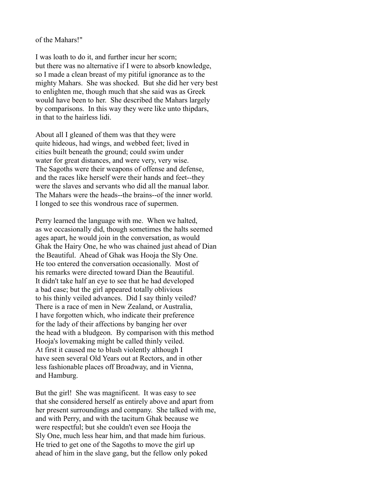of the Mahars!"

I was loath to do it, and further incur her scorn; but there was no alternative if I were to absorb knowledge, so I made a clean breast of my pitiful ignorance as to the mighty Mahars. She was shocked. But she did her very best to enlighten me, though much that she said was as Greek would have been to her. She described the Mahars largely by comparisons. In this way they were like unto thipdars, in that to the hairless lidi.

About all I gleaned of them was that they were quite hideous, had wings, and webbed feet; lived in cities built beneath the ground; could swim under water for great distances, and were very, very wise. The Sagoths were their weapons of offense and defense, and the races like herself were their hands and feet--they were the slaves and servants who did all the manual labor. The Mahars were the heads--the brains--of the inner world. I longed to see this wondrous race of supermen.

Perry learned the language with me. When we halted, as we occasionally did, though sometimes the halts seemed ages apart, he would join in the conversation, as would Ghak the Hairy One, he who was chained just ahead of Dian the Beautiful. Ahead of Ghak was Hooja the Sly One. He too entered the conversation occasionally. Most of his remarks were directed toward Dian the Beautiful. It didn't take half an eye to see that he had developed a bad case; but the girl appeared totally oblivious to his thinly veiled advances. Did I say thinly veiled? There is a race of men in New Zealand, or Australia, I have forgotten which, who indicate their preference for the lady of their affections by banging her over the head with a bludgeon. By comparison with this method Hooja's lovemaking might be called thinly veiled. At first it caused me to blush violently although I have seen several Old Years out at Rectors, and in other less fashionable places off Broadway, and in Vienna, and Hamburg.

But the girl! She was magnificent. It was easy to see that she considered herself as entirely above and apart from her present surroundings and company. She talked with me, and with Perry, and with the taciturn Ghak because we were respectful; but she couldn't even see Hooja the Sly One, much less hear him, and that made him furious. He tried to get one of the Sagoths to move the girl up ahead of him in the slave gang, but the fellow only poked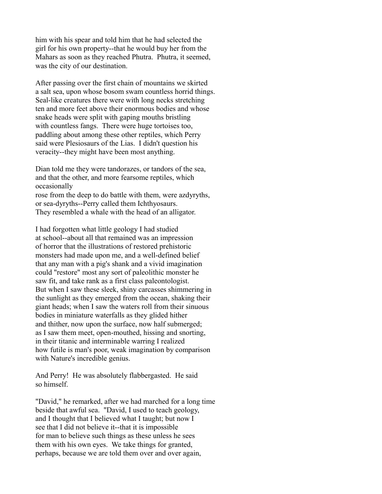him with his spear and told him that he had selected the girl for his own property--that he would buy her from the Mahars as soon as they reached Phutra. Phutra, it seemed, was the city of our destination.

After passing over the first chain of mountains we skirted a salt sea, upon whose bosom swam countless horrid things. Seal-like creatures there were with long necks stretching ten and more feet above their enormous bodies and whose snake heads were split with gaping mouths bristling with countless fangs. There were huge tortoises too, paddling about among these other reptiles, which Perry said were Plesiosaurs of the Lias. I didn't question his veracity--they might have been most anything.

Dian told me they were tandorazes, or tandors of the sea, and that the other, and more fearsome reptiles, which occasionally

rose from the deep to do battle with them, were azdyryths, or sea-dyryths--Perry called them Ichthyosaurs. They resembled a whale with the head of an alligator.

I had forgotten what little geology I had studied at school--about all that remained was an impression of horror that the illustrations of restored prehistoric monsters had made upon me, and a well-defined belief that any man with a pig's shank and a vivid imagination could "restore" most any sort of paleolithic monster he saw fit, and take rank as a first class paleontologist. But when I saw these sleek, shiny carcasses shimmering in the sunlight as they emerged from the ocean, shaking their giant heads; when I saw the waters roll from their sinuous bodies in miniature waterfalls as they glided hither and thither, now upon the surface, now half submerged; as I saw them meet, open-mouthed, hissing and snorting, in their titanic and interminable warring I realized how futile is man's poor, weak imagination by comparison with Nature's incredible genius.

And Perry! He was absolutely flabbergasted. He said so himself.

"David," he remarked, after we had marched for a long time beside that awful sea. "David, I used to teach geology, and I thought that I believed what I taught; but now I see that I did not believe it--that it is impossible for man to believe such things as these unless he sees them with his own eyes. We take things for granted, perhaps, because we are told them over and over again,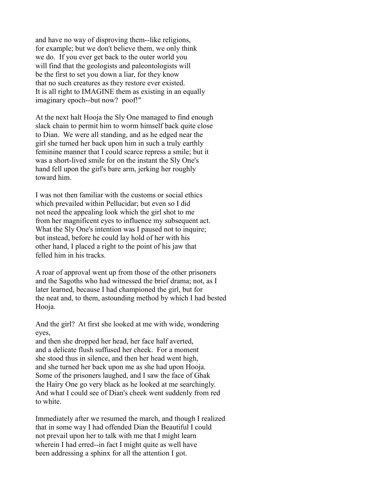and have no way of disproving them--like religions, for example; but we don't believe them, we only think we do. If you ever get back to the outer world you will find that the geologists and paleontologists will be the first to set you down a liar, for they know that no such creatures as they restore ever existed. It is all right to IMAGINE them as existing in an equally imaginary epoch--but now? poof!"

At the next halt Hooja the Sly One managed to find enough slack chain to permit him to worm himself back quite close to Dian. We were all standing, and as he edged near the girl she turned her back upon him in such a truly earthly feminine manner that I could scarce repress a smile; but it was a short-lived smile for on the instant the Sly One's hand fell upon the girl's bare arm, jerking her roughly toward him.

I was not then familiar with the customs or social ethics which prevailed within Pellucidar; but even so I did not need the appealing look which the girl shot to me from her magnificent eyes to influence my subsequent act. What the Sly One's intention was I paused not to inquire; but instead, before he could lay hold of her with his other hand, I placed a right to the point of his jaw that felled him in his tracks.

A roar of approval went up from those of the other prisoners and the Sagoths who had witnessed the brief drama; not, as I later learned, because I had championed the girl, but for the neat and, to them, astounding method by which I had bested Hooja.

And the girl? At first she looked at me with wide, wondering eyes,

and then she dropped her head, her face half averted, and a delicate flush suffused her cheek. For a moment she stood thus in silence, and then her head went high, and she turned her back upon me as she had upon Hooja. Some of the prisoners laughed, and I saw the face of Ghak the Hairy One go very black as he looked at me searchingly. And what I could see of Dian's cheek went suddenly from red to white.

Immediately after we resumed the march, and though I realized that in some way I had offended Dian the Beautiful I could not prevail upon her to talk with me that I might learn wherein I had erred--in fact I might quite as well have been addressing a sphinx for all the attention I got.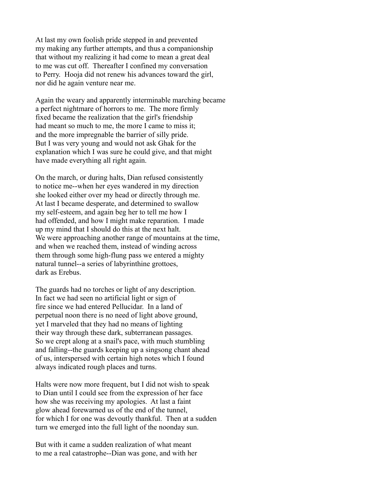At last my own foolish pride stepped in and prevented my making any further attempts, and thus a companionship that without my realizing it had come to mean a great deal to me was cut off. Thereafter I confined my conversation to Perry. Hooja did not renew his advances toward the girl, nor did he again venture near me.

Again the weary and apparently interminable marching became a perfect nightmare of horrors to me. The more firmly fixed became the realization that the girl's friendship had meant so much to me, the more I came to miss it; and the more impregnable the barrier of silly pride. But I was very young and would not ask Ghak for the explanation which I was sure he could give, and that might have made everything all right again.

On the march, or during halts, Dian refused consistently to notice me--when her eyes wandered in my direction she looked either over my head or directly through me. At last I became desperate, and determined to swallow my self-esteem, and again beg her to tell me how I had offended, and how I might make reparation. I made up my mind that I should do this at the next halt. We were approaching another range of mountains at the time, and when we reached them, instead of winding across them through some high-flung pass we entered a mighty natural tunnel--a series of labyrinthine grottoes, dark as Erebus.

The guards had no torches or light of any description. In fact we had seen no artificial light or sign of fire since we had entered Pellucidar. In a land of perpetual noon there is no need of light above ground, yet I marveled that they had no means of lighting their way through these dark, subterranean passages. So we crept along at a snail's pace, with much stumbling and falling--the guards keeping up a singsong chant ahead of us, interspersed with certain high notes which I found always indicated rough places and turns.

Halts were now more frequent, but I did not wish to speak to Dian until I could see from the expression of her face how she was receiving my apologies. At last a faint glow ahead forewarned us of the end of the tunnel, for which I for one was devoutly thankful. Then at a sudden turn we emerged into the full light of the noonday sun.

But with it came a sudden realization of what meant to me a real catastrophe--Dian was gone, and with her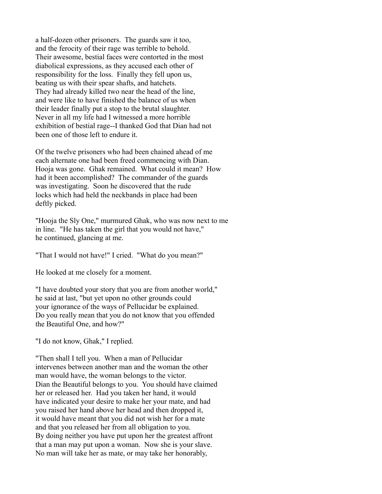a half-dozen other prisoners. The guards saw it too, and the ferocity of their rage was terrible to behold. Their awesome, bestial faces were contorted in the most diabolical expressions, as they accused each other of responsibility for the loss. Finally they fell upon us, beating us with their spear shafts, and hatchets. They had already killed two near the head of the line, and were like to have finished the balance of us when their leader finally put a stop to the brutal slaughter. Never in all my life had I witnessed a more horrible exhibition of bestial rage--I thanked God that Dian had not been one of those left to endure it.

Of the twelve prisoners who had been chained ahead of me each alternate one had been freed commencing with Dian. Hooja was gone. Ghak remained. What could it mean? How had it been accomplished? The commander of the guards was investigating. Soon he discovered that the rude locks which had held the neckbands in place had been deftly picked.

"Hooja the Sly One," murmured Ghak, who was now next to me in line. "He has taken the girl that you would not have," he continued, glancing at me.

"That I would not have!" I cried. "What do you mean?"

He looked at me closely for a moment.

"I have doubted your story that you are from another world," he said at last, "but yet upon no other grounds could your ignorance of the ways of Pellucidar be explained. Do you really mean that you do not know that you offended the Beautiful One, and how?"

"I do not know, Ghak," I replied.

"Then shall I tell you. When a man of Pellucidar intervenes between another man and the woman the other man would have, the woman belongs to the victor. Dian the Beautiful belongs to you. You should have claimed her or released her. Had you taken her hand, it would have indicated your desire to make her your mate, and had you raised her hand above her head and then dropped it, it would have meant that you did not wish her for a mate and that you released her from all obligation to you. By doing neither you have put upon her the greatest affront that a man may put upon a woman. Now she is your slave. No man will take her as mate, or may take her honorably,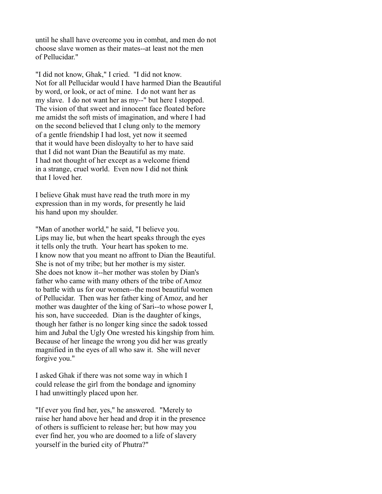until he shall have overcome you in combat, and men do not choose slave women as their mates--at least not the men of Pellucidar."

"I did not know, Ghak," I cried. "I did not know. Not for all Pellucidar would I have harmed Dian the Beautiful by word, or look, or act of mine. I do not want her as my slave. I do not want her as my--" but here I stopped. The vision of that sweet and innocent face floated before me amidst the soft mists of imagination, and where I had on the second believed that I clung only to the memory of a gentle friendship I had lost, yet now it seemed that it would have been disloyalty to her to have said that I did not want Dian the Beautiful as my mate. I had not thought of her except as a welcome friend in a strange, cruel world. Even now I did not think that I loved her.

I believe Ghak must have read the truth more in my expression than in my words, for presently he laid his hand upon my shoulder.

"Man of another world," he said, "I believe you. Lips may lie, but when the heart speaks through the eyes it tells only the truth. Your heart has spoken to me. I know now that you meant no affront to Dian the Beautiful. She is not of my tribe; but her mother is my sister. She does not know it--her mother was stolen by Dian's father who came with many others of the tribe of Amoz to battle with us for our women--the most beautiful women of Pellucidar. Then was her father king of Amoz, and her mother was daughter of the king of Sari--to whose power I, his son, have succeeded. Dian is the daughter of kings, though her father is no longer king since the sadok tossed him and Jubal the Ugly One wrested his kingship from him. Because of her lineage the wrong you did her was greatly magnified in the eyes of all who saw it. She will never forgive you."

I asked Ghak if there was not some way in which I could release the girl from the bondage and ignominy I had unwittingly placed upon her.

"If ever you find her, yes," he answered. "Merely to raise her hand above her head and drop it in the presence of others is sufficient to release her; but how may you ever find her, you who are doomed to a life of slavery yourself in the buried city of Phutra?"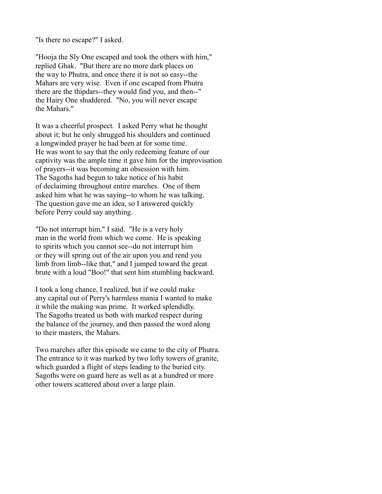"Is there no escape?" I asked.

"Hooja the Sly One escaped and took the others with him," replied Ghak. "But there are no more dark places on the way to Phutra, and once there it is not so easy--the Mahars are very wise. Even if one escaped from Phutra there are the thipdars--they would find you, and then--" the Hairy One shuddered. "No, you will never escape the Mahars."

It was a cheerful prospect. I asked Perry what he thought about it; but he only shrugged his shoulders and continued a longwinded prayer he had been at for some time. He was wont to say that the only redeeming feature of our captivity was the ample time it gave him for the improvisation of prayers--it was becoming an obsession with him. The Sagoths had begun to take notice of his habit of declaiming throughout entire marches. One of them asked him what he was saying--to whom he was talking. The question gave me an idea, so I answered quickly before Perry could say anything.

"Do not interrupt him," I said. "He is a very holy man in the world from which we come. He is speaking to spirits which you cannot see--do not interrupt him or they will spring out of the air upon you and rend you limb from limb--like that," and I jumped toward the great brute with a loud "Boo!" that sent him stumbling backward.

I took a long chance, I realized, but if we could make any capital out of Perry's harmless mania I wanted to make it while the making was prime. It worked splendidly. The Sagoths treated us both with marked respect during the balance of the journey, and then passed the word along to their masters, the Mahars.

Two marches after this episode we came to the city of Phutra. The entrance to it was marked by two lofty towers of granite, which guarded a flight of steps leading to the buried city. Sagoths were on guard here as well as at a hundred or more other towers scattered about over a large plain.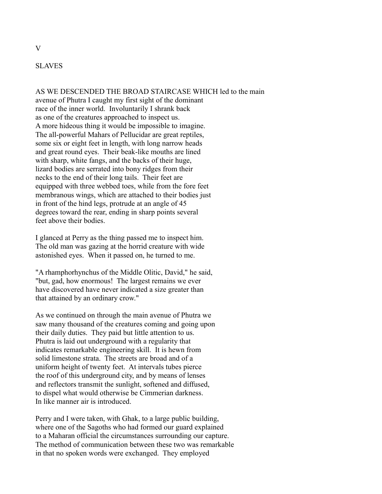## SLAVES

AS WE DESCENDED THE BROAD STAIRCASE WHICH led to the main avenue of Phutra I caught my first sight of the dominant race of the inner world. Involuntarily I shrank back as one of the creatures approached to inspect us. A more hideous thing it would be impossible to imagine. The all-powerful Mahars of Pellucidar are great reptiles, some six or eight feet in length, with long narrow heads and great round eyes. Their beak-like mouths are lined with sharp, white fangs, and the backs of their huge, lizard bodies are serrated into bony ridges from their necks to the end of their long tails. Their feet are equipped with three webbed toes, while from the fore feet membranous wings, which are attached to their bodies just in front of the hind legs, protrude at an angle of 45 degrees toward the rear, ending in sharp points several feet above their bodies.

I glanced at Perry as the thing passed me to inspect him. The old man was gazing at the horrid creature with wide astonished eyes. When it passed on, he turned to me.

"A rhamphorhynchus of the Middle Olitic, David," he said, "but, gad, how enormous! The largest remains we ever have discovered have never indicated a size greater than that attained by an ordinary crow."

As we continued on through the main avenue of Phutra we saw many thousand of the creatures coming and going upon their daily duties. They paid but little attention to us. Phutra is laid out underground with a regularity that indicates remarkable engineering skill. It is hewn from solid limestone strata. The streets are broad and of a uniform height of twenty feet. At intervals tubes pierce the roof of this underground city, and by means of lenses and reflectors transmit the sunlight, softened and diffused, to dispel what would otherwise be Cimmerian darkness. In like manner air is introduced.

Perry and I were taken, with Ghak, to a large public building, where one of the Sagoths who had formed our guard explained to a Maharan official the circumstances surrounding our capture. The method of communication between these two was remarkable in that no spoken words were exchanged. They employed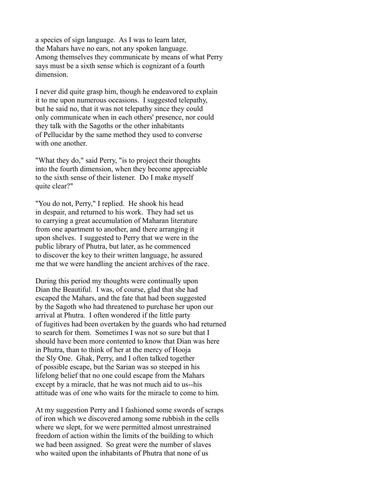a species of sign language. As I was to learn later, the Mahars have no ears, not any spoken language. Among themselves they communicate by means of what Perry says must be a sixth sense which is cognizant of a fourth dimension.

I never did quite grasp him, though he endeavored to explain it to me upon numerous occasions. I suggested telepathy, but he said no, that it was not telepathy since they could only communicate when in each others' presence, nor could they talk with the Sagoths or the other inhabitants of Pellucidar by the same method they used to converse with one another.

"What they do," said Perry, "is to project their thoughts into the fourth dimension, when they become appreciable to the sixth sense of their listener. Do I make myself quite clear?"

"You do not, Perry," I replied. He shook his head in despair, and returned to his work. They had set us to carrying a great accumulation of Maharan literature from one apartment to another, and there arranging it upon shelves. I suggested to Perry that we were in the public library of Phutra, but later, as he commenced to discover the key to their written language, he assured me that we were handling the ancient archives of the race.

During this period my thoughts were continually upon Dian the Beautiful. I was, of course, glad that she had escaped the Mahars, and the fate that had been suggested by the Sagoth who had threatened to purchase her upon our arrival at Phutra. I often wondered if the little party of fugitives had been overtaken by the guards who had returned to search for them. Sometimes I was not so sure but that I should have been more contented to know that Dian was here in Phutra, than to think of her at the mercy of Hooja the Sly One. Ghak, Perry, and I often talked together of possible escape, but the Sarian was so steeped in his lifelong belief that no one could escape from the Mahars except by a miracle, that he was not much aid to us--his attitude was of one who waits for the miracle to come to him.

At my suggestion Perry and I fashioned some swords of scraps of iron which we discovered among some rubbish in the cells where we slept, for we were permitted almost unrestrained freedom of action within the limits of the building to which we had been assigned. So great were the number of slaves who waited upon the inhabitants of Phutra that none of us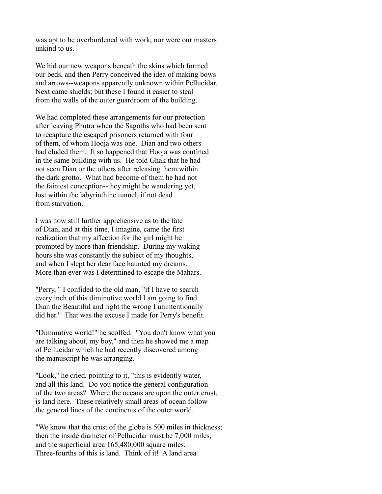was apt to be overburdened with work, nor were our masters unkind to us.

We hid our new weapons beneath the skins which formed our beds, and then Perry conceived the idea of making bows and arrows--weapons apparently unknown within Pellucidar. Next came shields; but these I found it easier to steal from the walls of the outer guardroom of the building.

We had completed these arrangements for our protection after leaving Phutra when the Sagoths who had been sent to recapture the escaped prisoners returned with four of them, of whom Hooja was one. Dian and two others had eluded them. It so happened that Hooja was confined in the same building with us. He told Ghak that he had not seen Dian or the others after releasing them within the dark grotto. What had become of them he had not the faintest conception--they might be wandering yet, lost within the labyrinthine tunnel, if not dead from starvation.

I was now still further apprehensive as to the fate of Dian, and at this time, I imagine, came the first realization that my affection for the girl might be prompted by more than friendship. During my waking hours she was constantly the subject of my thoughts, and when I slept her dear face haunted my dreams. More than ever was I determined to escape the Mahars.

"Perry, " I confided to the old man, "if I have to search every inch of this diminutive world I am going to find Dian the Beautiful and right the wrong I unintentionally did her." That was the excuse I made for Perry's benefit.

"Diminutive world!" he scoffed. "You don't know what you are talking about, my boy," and then he showed me a map of Pellucidar which he had recently discovered among the manuscript he was arranging.

"Look," he cried, pointing to it, "this is evidently water, and all this land. Do you notice the general configuration of the two areas? Where the oceans are upon the outer crust, is land here. These relatively small areas of ocean follow the general lines of the continents of the outer world.

"We know that the crust of the globe is 500 miles in thickness; then the inside diameter of Pellucidar must be 7,000 miles, and the superficial area 165,480,000 square miles. Three-fourths of this is land. Think of it! A land area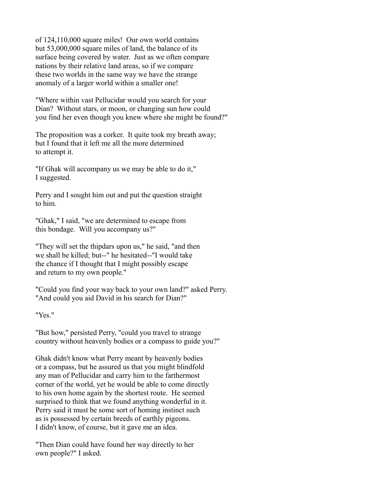of 124,110,000 square miles! Our own world contains but 53,000,000 square miles of land, the balance of its surface being covered by water. Just as we often compare nations by their relative land areas, so if we compare these two worlds in the same way we have the strange anomaly of a larger world within a smaller one!

"Where within vast Pellucidar would you search for your Dian? Without stars, or moon, or changing sun how could you find her even though you knew where she might be found?"

The proposition was a corker. It quite took my breath away; but I found that it left me all the more determined to attempt it.

"If Ghak will accompany us we may be able to do it," I suggested.

Perry and I sought him out and put the question straight to him.

"Ghak," I said, "we are determined to escape from this bondage. Will you accompany us?"

"They will set the thipdars upon us," he said, "and then we shall be killed; but--" he hesitated--"I would take the chance if I thought that I might possibly escape and return to my own people."

"Could you find your way back to your own land?" asked Perry. "And could you aid David in his search for Dian?"

"Yes."

"But how," persisted Perry, "could you travel to strange country without heavenly bodies or a compass to guide you?"

Ghak didn't know what Perry meant by heavenly bodies or a compass, but he assured us that you might blindfold any man of Pellucidar and carry him to the farthermost corner of the world, yet he would be able to come directly to his own home again by the shortest route. He seemed surprised to think that we found anything wonderful in it. Perry said it must be some sort of homing instinct such as is possessed by certain breeds of earthly pigeons. I didn't know, of course, but it gave me an idea.

"Then Dian could have found her way directly to her own people?" I asked.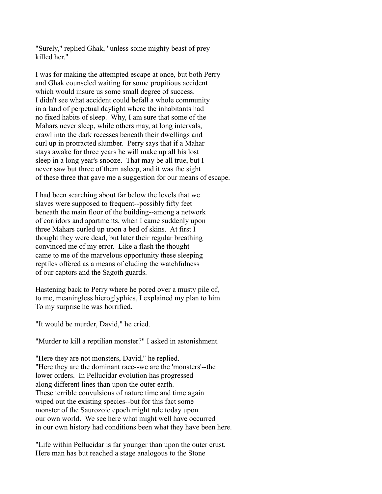"Surely," replied Ghak, "unless some mighty beast of prey killed her."

I was for making the attempted escape at once, but both Perry and Ghak counseled waiting for some propitious accident which would insure us some small degree of success. I didn't see what accident could befall a whole community in a land of perpetual daylight where the inhabitants had no fixed habits of sleep. Why, I am sure that some of the Mahars never sleep, while others may, at long intervals, crawl into the dark recesses beneath their dwellings and curl up in protracted slumber. Perry says that if a Mahar stays awake for three years he will make up all his lost sleep in a long year's snooze. That may be all true, but I never saw but three of them asleep, and it was the sight of these three that gave me a suggestion for our means of escape.

I had been searching about far below the levels that we slaves were supposed to frequent--possibly fifty feet beneath the main floor of the building--among a network of corridors and apartments, when I came suddenly upon three Mahars curled up upon a bed of skins. At first I thought they were dead, but later their regular breathing convinced me of my error. Like a flash the thought came to me of the marvelous opportunity these sleeping reptiles offered as a means of eluding the watchfulness of our captors and the Sagoth guards.

Hastening back to Perry where he pored over a musty pile of, to me, meaningless hieroglyphics, I explained my plan to him. To my surprise he was horrified.

"It would be murder, David," he cried.

"Murder to kill a reptilian monster?" I asked in astonishment.

"Here they are not monsters, David," he replied. "Here they are the dominant race--we are the 'monsters'--the lower orders. In Pellucidar evolution has progressed along different lines than upon the outer earth. These terrible convulsions of nature time and time again wiped out the existing species--but for this fact some monster of the Saurozoic epoch might rule today upon our own world. We see here what might well have occurred in our own history had conditions been what they have been here.

"Life within Pellucidar is far younger than upon the outer crust. Here man has but reached a stage analogous to the Stone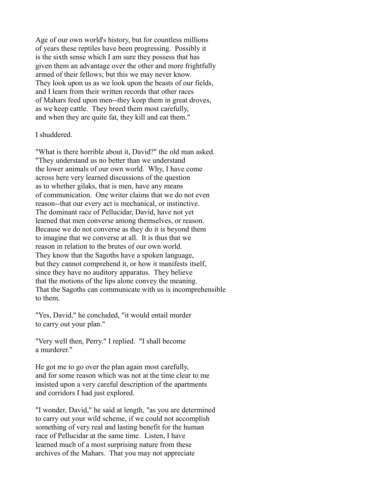Age of our own world's history, but for countless millions of years these reptiles have been progressing. Possibly it is the sixth sense which I am sure they possess that has given them an advantage over the other and more frightfully armed of their fellows; but this we may never know. They look upon us as we look upon the beasts of our fields, and I learn from their written records that other races of Mahars feed upon men--they keep them in great droves, as we keep cattle. They breed them most carefully, and when they are quite fat, they kill and eat them."

#### I shuddered.

"What is there horrible about it, David?" the old man asked. "They understand us no better than we understand the lower animals of our own world. Why, I have come across here very learned discussions of the question as to whether gilaks, that is men, have any means of communication. One writer claims that we do not even reason--that our every act is mechanical, or instinctive. The dominant race of Pellucidar, David, have not yet learned that men converse among themselves, or reason. Because we do not converse as they do it is beyond them to imagine that we converse at all. It is thus that we reason in relation to the brutes of our own world. They know that the Sagoths have a spoken language, but they cannot comprehend it, or how it manifests itself, since they have no auditory apparatus. They believe that the motions of the lips alone convey the meaning. That the Sagoths can communicate with us is incomprehensible to them.

"Yes, David," he concluded, "it would entail murder to carry out your plan."

"Very well then, Perry." I replied. "I shall become a murderer."

He got me to go over the plan again most carefully, and for some reason which was not at the time clear to me insisted upon a very careful description of the apartments and corridors I had just explored.

"I wonder, David," he said at length, "as you are determined to carry out your wild scheme, if we could not accomplish something of very real and lasting benefit for the human race of Pellucidar at the same time. Listen, I have learned much of a most surprising nature from these archives of the Mahars. That you may not appreciate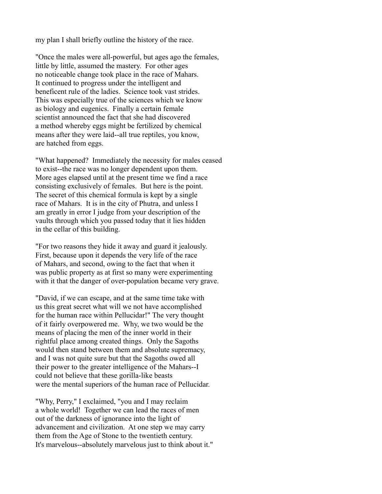my plan I shall briefly outline the history of the race.

"Once the males were all-powerful, but ages ago the females, little by little, assumed the mastery. For other ages no noticeable change took place in the race of Mahars. It continued to progress under the intelligent and beneficent rule of the ladies. Science took vast strides. This was especially true of the sciences which we know as biology and eugenics. Finally a certain female scientist announced the fact that she had discovered a method whereby eggs might be fertilized by chemical means after they were laid--all true reptiles, you know, are hatched from eggs.

"What happened? Immediately the necessity for males ceased to exist--the race was no longer dependent upon them. More ages elapsed until at the present time we find a race consisting exclusively of females. But here is the point. The secret of this chemical formula is kept by a single race of Mahars. It is in the city of Phutra, and unless I am greatly in error I judge from your description of the vaults through which you passed today that it lies hidden in the cellar of this building.

"For two reasons they hide it away and guard it jealously. First, because upon it depends the very life of the race of Mahars, and second, owing to the fact that when it was public property as at first so many were experimenting with it that the danger of over-population became very grave.

"David, if we can escape, and at the same time take with us this great secret what will we not have accomplished for the human race within Pellucidar!" The very thought of it fairly overpowered me. Why, we two would be the means of placing the men of the inner world in their rightful place among created things. Only the Sagoths would then stand between them and absolute supremacy, and I was not quite sure but that the Sagoths owed all their power to the greater intelligence of the Mahars--I could not believe that these gorilla-like beasts were the mental superiors of the human race of Pellucidar.

"Why, Perry," I exclaimed, "you and I may reclaim a whole world! Together we can lead the races of men out of the darkness of ignorance into the light of advancement and civilization. At one step we may carry them from the Age of Stone to the twentieth century. It's marvelous--absolutely marvelous just to think about it."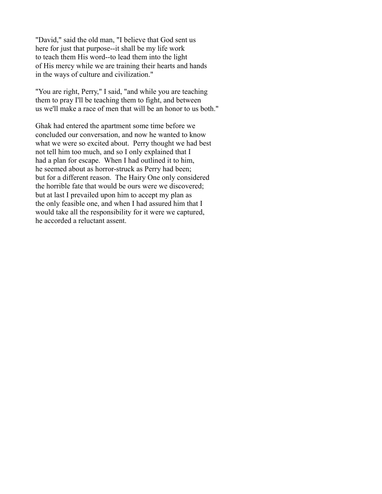"David," said the old man, "I believe that God sent us here for just that purpose--it shall be my life work to teach them His word--to lead them into the light of His mercy while we are training their hearts and hands in the ways of culture and civilization."

"You are right, Perry," I said, "and while you are teaching them to pray I'll be teaching them to fight, and between us we'll make a race of men that will be an honor to us both."

Ghak had entered the apartment some time before we concluded our conversation, and now he wanted to know what we were so excited about. Perry thought we had best not tell him too much, and so I only explained that I had a plan for escape. When I had outlined it to him, he seemed about as horror-struck as Perry had been; but for a different reason. The Hairy One only considered the horrible fate that would be ours were we discovered; but at last I prevailed upon him to accept my plan as the only feasible one, and when I had assured him that I would take all the responsibility for it were we captured, he accorded a reluctant assent.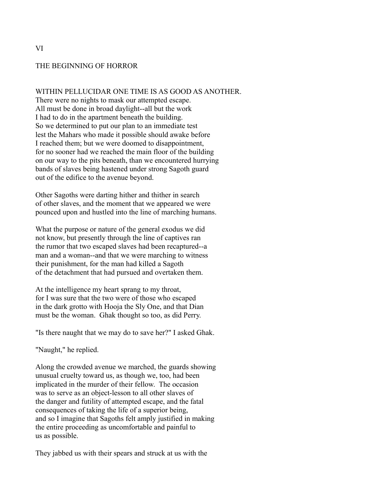#### THE BEGINNING OF HORROR

WITHIN PELLUCIDAR ONE TIME IS AS GOOD AS ANOTHER.

There were no nights to mask our attempted escape. All must be done in broad daylight--all but the work I had to do in the apartment beneath the building. So we determined to put our plan to an immediate test lest the Mahars who made it possible should awake before I reached them; but we were doomed to disappointment, for no sooner had we reached the main floor of the building on our way to the pits beneath, than we encountered hurrying bands of slaves being hastened under strong Sagoth guard out of the edifice to the avenue beyond.

Other Sagoths were darting hither and thither in search of other slaves, and the moment that we appeared we were pounced upon and hustled into the line of marching humans.

What the purpose or nature of the general exodus we did not know, but presently through the line of captives ran the rumor that two escaped slaves had been recaptured--a man and a woman--and that we were marching to witness their punishment, for the man had killed a Sagoth of the detachment that had pursued and overtaken them.

At the intelligence my heart sprang to my throat, for I was sure that the two were of those who escaped in the dark grotto with Hooja the Sly One, and that Dian must be the woman. Ghak thought so too, as did Perry.

"Is there naught that we may do to save her?" I asked Ghak.

"Naught," he replied.

Along the crowded avenue we marched, the guards showing unusual cruelty toward us, as though we, too, had been implicated in the murder of their fellow. The occasion was to serve as an object-lesson to all other slaves of the danger and futility of attempted escape, and the fatal consequences of taking the life of a superior being, and so I imagine that Sagoths felt amply justified in making the entire proceeding as uncomfortable and painful to us as possible.

They jabbed us with their spears and struck at us with the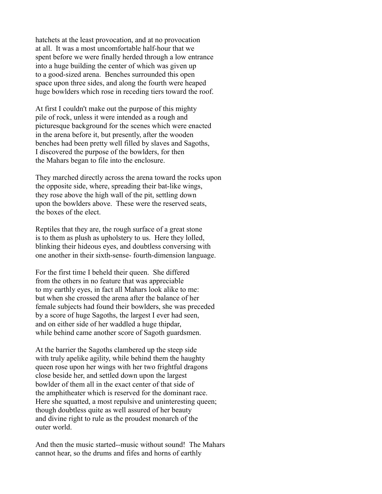hatchets at the least provocation, and at no provocation at all. It was a most uncomfortable half-hour that we spent before we were finally herded through a low entrance into a huge building the center of which was given up to a good-sized arena. Benches surrounded this open space upon three sides, and along the fourth were heaped huge bowlders which rose in receding tiers toward the roof.

At first I couldn't make out the purpose of this mighty pile of rock, unless it were intended as a rough and picturesque background for the scenes which were enacted in the arena before it, but presently, after the wooden benches had been pretty well filled by slaves and Sagoths, I discovered the purpose of the bowlders, for then the Mahars began to file into the enclosure.

They marched directly across the arena toward the rocks upon the opposite side, where, spreading their bat-like wings, they rose above the high wall of the pit, settling down upon the bowlders above. These were the reserved seats, the boxes of the elect.

Reptiles that they are, the rough surface of a great stone is to them as plush as upholstery to us. Here they lolled, blinking their hideous eyes, and doubtless conversing with one another in their sixth-sense- fourth-dimension language.

For the first time I beheld their queen. She differed from the others in no feature that was appreciable to my earthly eyes, in fact all Mahars look alike to me: but when she crossed the arena after the balance of her female subjects had found their bowlders, she was preceded by a score of huge Sagoths, the largest I ever had seen, and on either side of her waddled a huge thipdar, while behind came another score of Sagoth guardsmen.

At the barrier the Sagoths clambered up the steep side with truly apelike agility, while behind them the haughty queen rose upon her wings with her two frightful dragons close beside her, and settled down upon the largest bowlder of them all in the exact center of that side of the amphitheater which is reserved for the dominant race. Here she squatted, a most repulsive and uninteresting queen; though doubtless quite as well assured of her beauty and divine right to rule as the proudest monarch of the outer world.

And then the music started--music without sound! The Mahars cannot hear, so the drums and fifes and horns of earthly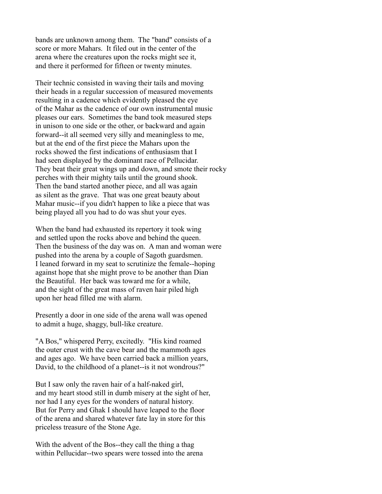bands are unknown among them. The "band" consists of a score or more Mahars. It filed out in the center of the arena where the creatures upon the rocks might see it, and there it performed for fifteen or twenty minutes.

Their technic consisted in waving their tails and moving their heads in a regular succession of measured movements resulting in a cadence which evidently pleased the eye of the Mahar as the cadence of our own instrumental music pleases our ears. Sometimes the band took measured steps in unison to one side or the other, or backward and again forward--it all seemed very silly and meaningless to me, but at the end of the first piece the Mahars upon the rocks showed the first indications of enthusiasm that I had seen displayed by the dominant race of Pellucidar. They beat their great wings up and down, and smote their rocky perches with their mighty tails until the ground shook. Then the band started another piece, and all was again as silent as the grave. That was one great beauty about Mahar music--if you didn't happen to like a piece that was being played all you had to do was shut your eyes.

When the band had exhausted its repertory it took wing and settled upon the rocks above and behind the queen. Then the business of the day was on. A man and woman were pushed into the arena by a couple of Sagoth guardsmen. I leaned forward in my seat to scrutinize the female--hoping against hope that she might prove to be another than Dian the Beautiful. Her back was toward me for a while, and the sight of the great mass of raven hair piled high upon her head filled me with alarm.

Presently a door in one side of the arena wall was opened to admit a huge, shaggy, bull-like creature.

"A Bos," whispered Perry, excitedly. "His kind roamed the outer crust with the cave bear and the mammoth ages and ages ago. We have been carried back a million years, David, to the childhood of a planet--is it not wondrous?"

But I saw only the raven hair of a half-naked girl, and my heart stood still in dumb misery at the sight of her, nor had I any eyes for the wonders of natural history. But for Perry and Ghak I should have leaped to the floor of the arena and shared whatever fate lay in store for this priceless treasure of the Stone Age.

With the advent of the Bos--they call the thing a thag within Pellucidar--two spears were tossed into the arena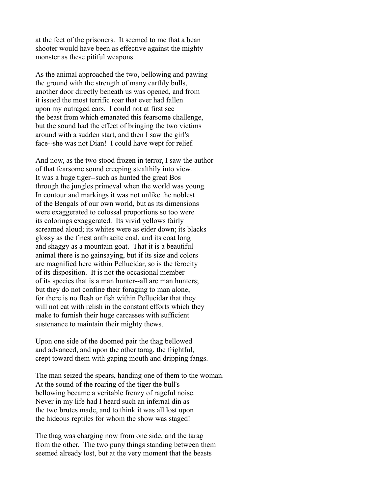at the feet of the prisoners. It seemed to me that a bean shooter would have been as effective against the mighty monster as these pitiful weapons.

As the animal approached the two, bellowing and pawing the ground with the strength of many earthly bulls, another door directly beneath us was opened, and from it issued the most terrific roar that ever had fallen upon my outraged ears. I could not at first see the beast from which emanated this fearsome challenge, but the sound had the effect of bringing the two victims around with a sudden start, and then I saw the girl's face--she was not Dian! I could have wept for relief.

And now, as the two stood frozen in terror, I saw the author of that fearsome sound creeping stealthily into view. It was a huge tiger--such as hunted the great Bos through the jungles primeval when the world was young. In contour and markings it was not unlike the noblest of the Bengals of our own world, but as its dimensions were exaggerated to colossal proportions so too were its colorings exaggerated. Its vivid yellows fairly screamed aloud; its whites were as eider down; its blacks glossy as the finest anthracite coal, and its coat long and shaggy as a mountain goat. That it is a beautiful animal there is no gainsaying, but if its size and colors are magnified here within Pellucidar, so is the ferocity of its disposition. It is not the occasional member of its species that is a man hunter--all are man hunters; but they do not confine their foraging to man alone, for there is no flesh or fish within Pellucidar that they will not eat with relish in the constant efforts which they make to furnish their huge carcasses with sufficient sustenance to maintain their mighty thews.

Upon one side of the doomed pair the thag bellowed and advanced, and upon the other tarag, the frightful, crept toward them with gaping mouth and dripping fangs.

The man seized the spears, handing one of them to the woman. At the sound of the roaring of the tiger the bull's bellowing became a veritable frenzy of rageful noise. Never in my life had I heard such an infernal din as the two brutes made, and to think it was all lost upon the hideous reptiles for whom the show was staged!

The thag was charging now from one side, and the tarag from the other. The two puny things standing between them seemed already lost, but at the very moment that the beasts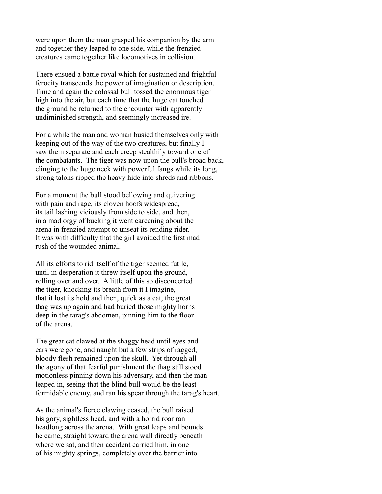were upon them the man grasped his companion by the arm and together they leaped to one side, while the frenzied creatures came together like locomotives in collision.

There ensued a battle royal which for sustained and frightful ferocity transcends the power of imagination or description. Time and again the colossal bull tossed the enormous tiger high into the air, but each time that the huge cat touched the ground he returned to the encounter with apparently undiminished strength, and seemingly increased ire.

For a while the man and woman busied themselves only with keeping out of the way of the two creatures, but finally I saw them separate and each creep stealthily toward one of the combatants. The tiger was now upon the bull's broad back, clinging to the huge neck with powerful fangs while its long, strong talons ripped the heavy hide into shreds and ribbons.

For a moment the bull stood bellowing and quivering with pain and rage, its cloven hoofs widespread, its tail lashing viciously from side to side, and then, in a mad orgy of bucking it went careening about the arena in frenzied attempt to unseat its rending rider. It was with difficulty that the girl avoided the first mad rush of the wounded animal.

All its efforts to rid itself of the tiger seemed futile, until in desperation it threw itself upon the ground, rolling over and over. A little of this so disconcerted the tiger, knocking its breath from it I imagine, that it lost its hold and then, quick as a cat, the great thag was up again and had buried those mighty horns deep in the tarag's abdomen, pinning him to the floor of the arena.

The great cat clawed at the shaggy head until eyes and ears were gone, and naught but a few strips of ragged, bloody flesh remained upon the skull. Yet through all the agony of that fearful punishment the thag still stood motionless pinning down his adversary, and then the man leaped in, seeing that the blind bull would be the least formidable enemy, and ran his spear through the tarag's heart.

As the animal's fierce clawing ceased, the bull raised his gory, sightless head, and with a horrid roar ran headlong across the arena. With great leaps and bounds he came, straight toward the arena wall directly beneath where we sat, and then accident carried him, in one of his mighty springs, completely over the barrier into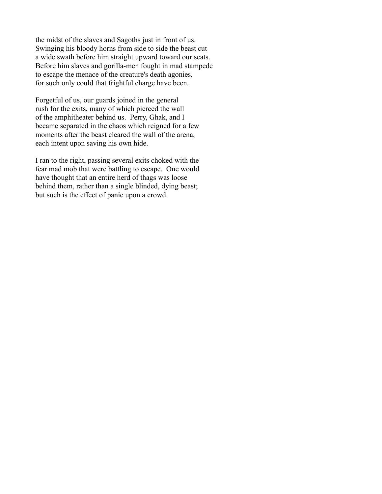the midst of the slaves and Sagoths just in front of us. Swinging his bloody horns from side to side the beast cut a wide swath before him straight upward toward our seats. Before him slaves and gorilla-men fought in mad stampede to escape the menace of the creature's death agonies, for such only could that frightful charge have been.

Forgetful of us, our guards joined in the general rush for the exits, many of which pierced the wall of the amphitheater behind us. Perry, Ghak, and I became separated in the chaos which reigned for a few moments after the beast cleared the wall of the arena, each intent upon saving his own hide.

I ran to the right, passing several exits choked with the fear mad mob that were battling to escape. One would have thought that an entire herd of thags was loose behind them, rather than a single blinded, dying beast; but such is the effect of panic upon a crowd.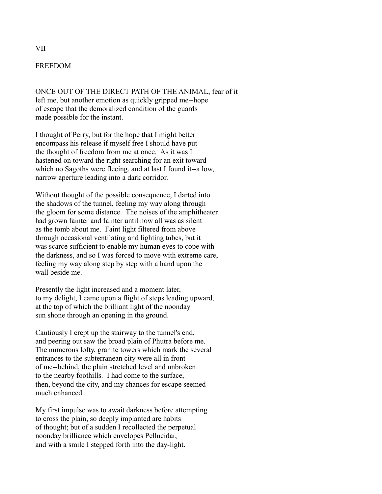## FREEDOM

ONCE OUT OF THE DIRECT PATH OF THE ANIMAL, fear of it left me, but another emotion as quickly gripped me--hope of escape that the demoralized condition of the guards made possible for the instant.

I thought of Perry, but for the hope that I might better encompass his release if myself free I should have put the thought of freedom from me at once. As it was I hastened on toward the right searching for an exit toward which no Sagoths were fleeing, and at last I found it--a low, narrow aperture leading into a dark corridor.

Without thought of the possible consequence, I darted into the shadows of the tunnel, feeling my way along through the gloom for some distance. The noises of the amphitheater had grown fainter and fainter until now all was as silent as the tomb about me. Faint light filtered from above through occasional ventilating and lighting tubes, but it was scarce sufficient to enable my human eyes to cope with the darkness, and so I was forced to move with extreme care, feeling my way along step by step with a hand upon the wall beside me.

Presently the light increased and a moment later, to my delight, I came upon a flight of steps leading upward, at the top of which the brilliant light of the noonday sun shone through an opening in the ground.

Cautiously I crept up the stairway to the tunnel's end, and peering out saw the broad plain of Phutra before me. The numerous lofty, granite towers which mark the several entrances to the subterranean city were all in front of me--behind, the plain stretched level and unbroken to the nearby foothills. I had come to the surface, then, beyond the city, and my chances for escape seemed much enhanced.

My first impulse was to await darkness before attempting to cross the plain, so deeply implanted are habits of thought; but of a sudden I recollected the perpetual noonday brilliance which envelopes Pellucidar, and with a smile I stepped forth into the day-light.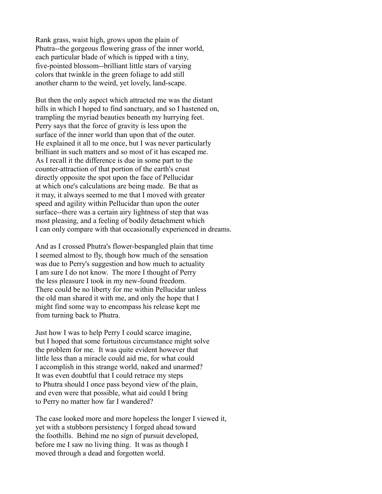Rank grass, waist high, grows upon the plain of Phutra--the gorgeous flowering grass of the inner world, each particular blade of which is tipped with a tiny, five-pointed blossom--brilliant little stars of varying colors that twinkle in the green foliage to add still another charm to the weird, yet lovely, land-scape.

But then the only aspect which attracted me was the distant hills in which I hoped to find sanctuary, and so I hastened on, trampling the myriad beauties beneath my hurrying feet. Perry says that the force of gravity is less upon the surface of the inner world than upon that of the outer. He explained it all to me once, but I was never particularly brilliant in such matters and so most of it has escaped me. As I recall it the difference is due in some part to the counter-attraction of that portion of the earth's crust directly opposite the spot upon the face of Pellucidar at which one's calculations are being made. Be that as it may, it always seemed to me that I moved with greater speed and agility within Pellucidar than upon the outer surface--there was a certain airy lightness of step that was most pleasing, and a feeling of bodily detachment which I can only compare with that occasionally experienced in dreams.

And as I crossed Phutra's flower-bespangled plain that time I seemed almost to fly, though how much of the sensation was due to Perry's suggestion and how much to actuality I am sure I do not know. The more I thought of Perry the less pleasure I took in my new-found freedom. There could be no liberty for me within Pellucidar unless the old man shared it with me, and only the hope that I might find some way to encompass his release kept me from turning back to Phutra.

Just how I was to help Perry I could scarce imagine, but I hoped that some fortuitous circumstance might solve the problem for me. It was quite evident however that little less than a miracle could aid me, for what could I accomplish in this strange world, naked and unarmed? It was even doubtful that I could retrace my steps to Phutra should I once pass beyond view of the plain, and even were that possible, what aid could I bring to Perry no matter how far I wandered?

The case looked more and more hopeless the longer I viewed it, yet with a stubborn persistency I forged ahead toward the foothills. Behind me no sign of pursuit developed, before me I saw no living thing. It was as though I moved through a dead and forgotten world.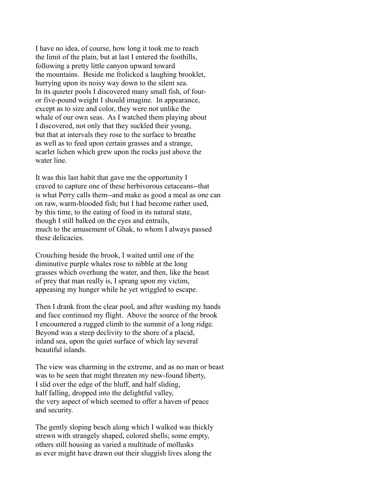I have no idea, of course, how long it took me to reach the limit of the plain, but at last I entered the foothills, following a pretty little canyon upward toward the mountains. Beside me frolicked a laughing brooklet, hurrying upon its noisy way down to the silent sea. In its quieter pools I discovered many small fish, of fouror five-pound weight I should imagine. In appearance, except as to size and color, they were not unlike the whale of our own seas. As I watched them playing about I discovered, not only that they suckled their young, but that at intervals they rose to the surface to breathe as well as to feed upon certain grasses and a strange, scarlet lichen which grew upon the rocks just above the water line.

It was this last habit that gave me the opportunity I craved to capture one of these herbivorous cetaceans--that is what Perry calls them--and make as good a meal as one can on raw, warm-blooded fish; but I had become rather used, by this time, to the eating of food in its natural state, though I still balked on the eyes and entrails, much to the amusement of Ghak, to whom I always passed these delicacies.

Crouching beside the brook, I waited until one of the diminutive purple whales rose to nibble at the long grasses which overhung the water, and then, like the beast of prey that man really is, I sprang upon my victim, appeasing my hunger while he yet wriggled to escape.

Then I drank from the clear pool, and after washing my hands and face continued my flight. Above the source of the brook I encountered a rugged climb to the summit of a long ridge. Beyond was a steep declivity to the shore of a placid, inland sea, upon the quiet surface of which lay several beautiful islands.

The view was charming in the extreme, and as no man or beast was to be seen that might threaten my new-found liberty, I slid over the edge of the bluff, and half sliding, half falling, dropped into the delightful valley, the very aspect of which seemed to offer a haven of peace and security.

The gently sloping beach along which I walked was thickly strewn with strangely shaped, colored shells; some empty, others still housing as varied a multitude of mollusks as ever might have drawn out their sluggish lives along the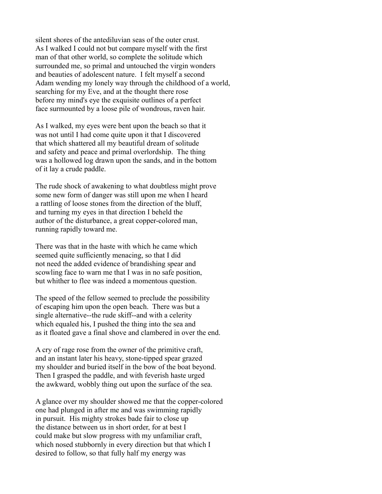silent shores of the antediluvian seas of the outer crust. As I walked I could not but compare myself with the first man of that other world, so complete the solitude which surrounded me, so primal and untouched the virgin wonders and beauties of adolescent nature. I felt myself a second Adam wending my lonely way through the childhood of a world, searching for my Eve, and at the thought there rose before my mind's eye the exquisite outlines of a perfect face surmounted by a loose pile of wondrous, raven hair.

As I walked, my eyes were bent upon the beach so that it was not until I had come quite upon it that I discovered that which shattered all my beautiful dream of solitude and safety and peace and primal overlordship. The thing was a hollowed log drawn upon the sands, and in the bottom of it lay a crude paddle.

The rude shock of awakening to what doubtless might prove some new form of danger was still upon me when I heard a rattling of loose stones from the direction of the bluff, and turning my eyes in that direction I beheld the author of the disturbance, a great copper-colored man, running rapidly toward me.

There was that in the haste with which he came which seemed quite sufficiently menacing, so that I did not need the added evidence of brandishing spear and scowling face to warn me that I was in no safe position, but whither to flee was indeed a momentous question.

The speed of the fellow seemed to preclude the possibility of escaping him upon the open beach. There was but a single alternative--the rude skiff--and with a celerity which equaled his, I pushed the thing into the sea and as it floated gave a final shove and clambered in over the end.

A cry of rage rose from the owner of the primitive craft, and an instant later his heavy, stone-tipped spear grazed my shoulder and buried itself in the bow of the boat beyond. Then I grasped the paddle, and with feverish haste urged the awkward, wobbly thing out upon the surface of the sea.

A glance over my shoulder showed me that the copper-colored one had plunged in after me and was swimming rapidly in pursuit. His mighty strokes bade fair to close up the distance between us in short order, for at best I could make but slow progress with my unfamiliar craft, which nosed stubbornly in every direction but that which I desired to follow, so that fully half my energy was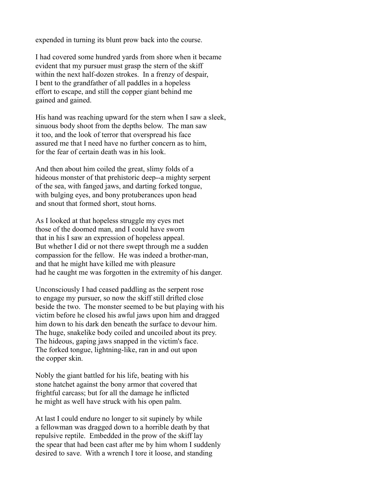expended in turning its blunt prow back into the course.

I had covered some hundred yards from shore when it became evident that my pursuer must grasp the stern of the skiff within the next half-dozen strokes. In a frenzy of despair, I bent to the grandfather of all paddles in a hopeless effort to escape, and still the copper giant behind me gained and gained.

His hand was reaching upward for the stern when I saw a sleek, sinuous body shoot from the depths below. The man saw it too, and the look of terror that overspread his face assured me that I need have no further concern as to him, for the fear of certain death was in his look.

And then about him coiled the great, slimy folds of a hideous monster of that prehistoric deep--a mighty serpent of the sea, with fanged jaws, and darting forked tongue, with bulging eyes, and bony protuberances upon head and snout that formed short, stout horns.

As I looked at that hopeless struggle my eyes met those of the doomed man, and I could have sworn that in his I saw an expression of hopeless appeal. But whether I did or not there swept through me a sudden compassion for the fellow. He was indeed a brother-man, and that he might have killed me with pleasure had he caught me was forgotten in the extremity of his danger.

Unconsciously I had ceased paddling as the serpent rose to engage my pursuer, so now the skiff still drifted close beside the two. The monster seemed to be but playing with his victim before he closed his awful jaws upon him and dragged him down to his dark den beneath the surface to devour him. The huge, snakelike body coiled and uncoiled about its prey. The hideous, gaping jaws snapped in the victim's face. The forked tongue, lightning-like, ran in and out upon the copper skin.

Nobly the giant battled for his life, beating with his stone hatchet against the bony armor that covered that frightful carcass; but for all the damage he inflicted he might as well have struck with his open palm.

At last I could endure no longer to sit supinely by while a fellowman was dragged down to a horrible death by that repulsive reptile. Embedded in the prow of the skiff lay the spear that had been cast after me by him whom I suddenly desired to save. With a wrench I tore it loose, and standing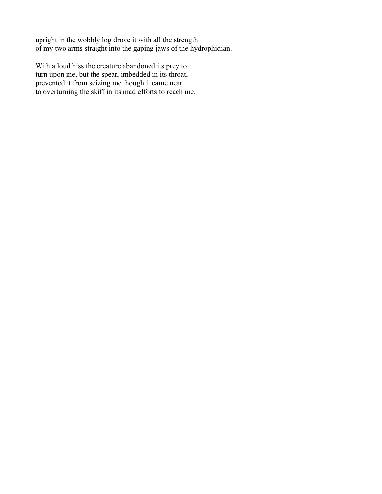upright in the wobbly log drove it with all the strength of my two arms straight into the gaping jaws of the hydrophidian.

With a loud hiss the creature abandoned its prey to turn upon me, but the spear, imbedded in its throat, prevented it from seizing me though it came near to overturning the skiff in its mad efforts to reach me.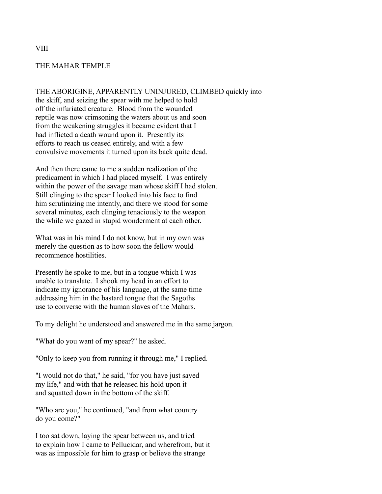# THE MAHAR TEMPLE

THE ABORIGINE, APPARENTLY UNINJURED, CLIMBED quickly into the skiff, and seizing the spear with me helped to hold off the infuriated creature. Blood from the wounded reptile was now crimsoning the waters about us and soon from the weakening struggles it became evident that I had inflicted a death wound upon it. Presently its efforts to reach us ceased entirely, and with a few convulsive movements it turned upon its back quite dead.

And then there came to me a sudden realization of the predicament in which I had placed myself. I was entirely within the power of the savage man whose skiff I had stolen. Still clinging to the spear I looked into his face to find him scrutinizing me intently, and there we stood for some several minutes, each clinging tenaciously to the weapon the while we gazed in stupid wonderment at each other.

What was in his mind I do not know, but in my own was merely the question as to how soon the fellow would recommence hostilities.

Presently he spoke to me, but in a tongue which I was unable to translate. I shook my head in an effort to indicate my ignorance of his language, at the same time addressing him in the bastard tongue that the Sagoths use to converse with the human slaves of the Mahars.

To my delight he understood and answered me in the same jargon.

"What do you want of my spear?" he asked.

"Only to keep you from running it through me," I replied.

"I would not do that," he said, "for you have just saved my life," and with that he released his hold upon it and squatted down in the bottom of the skiff.

"Who are you," he continued, "and from what country do you come?"

I too sat down, laying the spear between us, and tried to explain how I came to Pellucidar, and wherefrom, but it was as impossible for him to grasp or believe the strange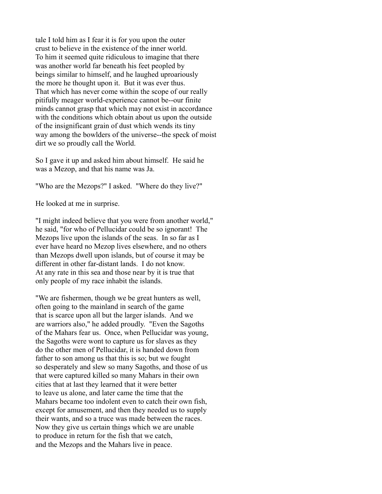tale I told him as I fear it is for you upon the outer crust to believe in the existence of the inner world. To him it seemed quite ridiculous to imagine that there was another world far beneath his feet peopled by beings similar to himself, and he laughed uproariously the more he thought upon it. But it was ever thus. That which has never come within the scope of our really pitifully meager world-experience cannot be--our finite minds cannot grasp that which may not exist in accordance with the conditions which obtain about us upon the outside of the insignificant grain of dust which wends its tiny way among the bowlders of the universe--the speck of moist dirt we so proudly call the World.

So I gave it up and asked him about himself. He said he was a Mezop, and that his name was Ja.

"Who are the Mezops?" I asked. "Where do they live?"

He looked at me in surprise.

"I might indeed believe that you were from another world," he said, "for who of Pellucidar could be so ignorant! The Mezops live upon the islands of the seas. In so far as I ever have heard no Mezop lives elsewhere, and no others than Mezops dwell upon islands, but of course it may be different in other far-distant lands. I do not know. At any rate in this sea and those near by it is true that only people of my race inhabit the islands.

"We are fishermen, though we be great hunters as well, often going to the mainland in search of the game that is scarce upon all but the larger islands. And we are warriors also," he added proudly. "Even the Sagoths of the Mahars fear us. Once, when Pellucidar was young, the Sagoths were wont to capture us for slaves as they do the other men of Pellucidar, it is handed down from father to son among us that this is so; but we fought so desperately and slew so many Sagoths, and those of us that were captured killed so many Mahars in their own cities that at last they learned that it were better to leave us alone, and later came the time that the Mahars became too indolent even to catch their own fish, except for amusement, and then they needed us to supply their wants, and so a truce was made between the races. Now they give us certain things which we are unable to produce in return for the fish that we catch, and the Mezops and the Mahars live in peace.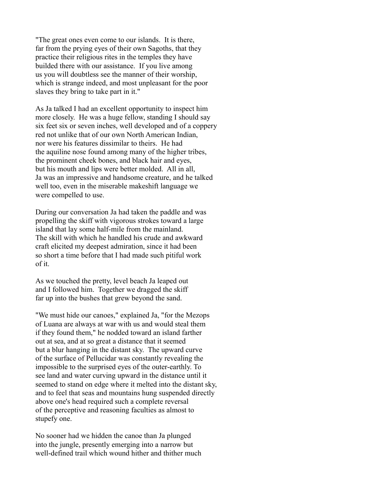"The great ones even come to our islands. It is there, far from the prying eyes of their own Sagoths, that they practice their religious rites in the temples they have builded there with our assistance. If you live among us you will doubtless see the manner of their worship, which is strange indeed, and most unpleasant for the poor slaves they bring to take part in it."

As Ja talked I had an excellent opportunity to inspect him more closely. He was a huge fellow, standing I should say six feet six or seven inches, well developed and of a coppery red not unlike that of our own North American Indian, nor were his features dissimilar to theirs. He had the aquiline nose found among many of the higher tribes, the prominent cheek bones, and black hair and eyes, but his mouth and lips were better molded. All in all, Ja was an impressive and handsome creature, and he talked well too, even in the miserable makeshift language we were compelled to use.

During our conversation Ja had taken the paddle and was propelling the skiff with vigorous strokes toward a large island that lay some half-mile from the mainland. The skill with which he handled his crude and awkward craft elicited my deepest admiration, since it had been so short a time before that I had made such pitiful work of it.

As we touched the pretty, level beach Ja leaped out and I followed him. Together we dragged the skiff far up into the bushes that grew beyond the sand.

"We must hide our canoes," explained Ja, "for the Mezops of Luana are always at war with us and would steal them if they found them," he nodded toward an island farther out at sea, and at so great a distance that it seemed but a blur hanging in the distant sky. The upward curve of the surface of Pellucidar was constantly revealing the impossible to the surprised eyes of the outer-earthly. To see land and water curving upward in the distance until it seemed to stand on edge where it melted into the distant sky, and to feel that seas and mountains hung suspended directly above one's head required such a complete reversal of the perceptive and reasoning faculties as almost to stupefy one.

No sooner had we hidden the canoe than Ja plunged into the jungle, presently emerging into a narrow but well-defined trail which wound hither and thither much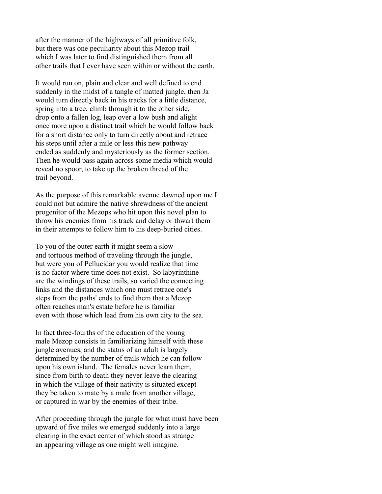after the manner of the highways of all primitive folk, but there was one peculiarity about this Mezop trail which I was later to find distinguished them from all other trails that I ever have seen within or without the earth.

It would run on, plain and clear and well defined to end suddenly in the midst of a tangle of matted jungle, then Ja would turn directly back in his tracks for a little distance, spring into a tree, climb through it to the other side, drop onto a fallen log, leap over a low bush and alight once more upon a distinct trail which he would follow back for a short distance only to turn directly about and retrace his steps until after a mile or less this new pathway ended as suddenly and mysteriously as the former section. Then he would pass again across some media which would reveal no spoor, to take up the broken thread of the trail beyond.

As the purpose of this remarkable avenue dawned upon me I could not but admire the native shrewdness of the ancient progenitor of the Mezops who hit upon this novel plan to throw his enemies from his track and delay or thwart them in their attempts to follow him to his deep-buried cities.

To you of the outer earth it might seem a slow and tortuous method of traveling through the jungle, but were you of Pellucidar you would realize that time is no factor where time does not exist. So labyrinthine are the windings of these trails, so varied the connecting links and the distances which one must retrace one's steps from the paths' ends to find them that a Mezop often reaches man's estate before he is familiar even with those which lead from his own city to the sea.

In fact three-fourths of the education of the young male Mezop consists in familiarizing himself with these jungle avenues, and the status of an adult is largely determined by the number of trails which he can follow upon his own island. The females never learn them, since from birth to death they never leave the clearing in which the village of their nativity is situated except they be taken to mate by a male from another village, or captured in war by the enemies of their tribe.

After proceeding through the jungle for what must have been upward of five miles we emerged suddenly into a large clearing in the exact center of which stood as strange an appearing village as one might well imagine.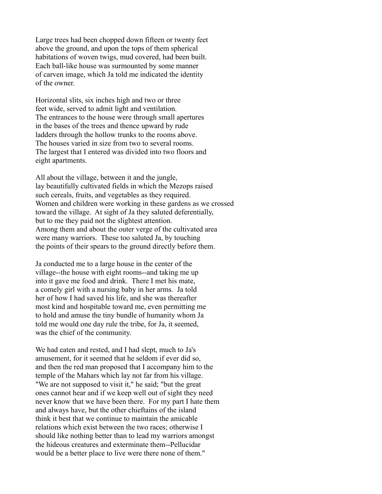Large trees had been chopped down fifteen or twenty feet above the ground, and upon the tops of them spherical habitations of woven twigs, mud covered, had been built. Each ball-like house was surmounted by some manner of carven image, which Ja told me indicated the identity of the owner.

Horizontal slits, six inches high and two or three feet wide, served to admit light and ventilation. The entrances to the house were through small apertures in the bases of the trees and thence upward by rude ladders through the hollow trunks to the rooms above. The houses varied in size from two to several rooms. The largest that I entered was divided into two floors and eight apartments.

All about the village, between it and the jungle, lay beautifully cultivated fields in which the Mezops raised such cereals, fruits, and vegetables as they required. Women and children were working in these gardens as we crossed toward the village. At sight of Ja they saluted deferentially, but to me they paid not the slightest attention. Among them and about the outer verge of the cultivated area were many warriors. These too saluted Ja, by touching the points of their spears to the ground directly before them.

Ja conducted me to a large house in the center of the village--the house with eight rooms--and taking me up into it gave me food and drink. There I met his mate, a comely girl with a nursing baby in her arms. Ja told her of how I had saved his life, and she was thereafter most kind and hospitable toward me, even permitting me to hold and amuse the tiny bundle of humanity whom Ja told me would one day rule the tribe, for Ja, it seemed, was the chief of the community.

We had eaten and rested, and I had slept, much to Ja's amusement, for it seemed that he seldom if ever did so, and then the red man proposed that I accompany him to the temple of the Mahars which lay not far from his village. "We are not supposed to visit it," he said; "but the great ones cannot hear and if we keep well out of sight they need never know that we have been there. For my part I hate them and always have, but the other chieftains of the island think it best that we continue to maintain the amicable relations which exist between the two races; otherwise I should like nothing better than to lead my warriors amongst the hideous creatures and exterminate them--Pellucidar would be a better place to live were there none of them."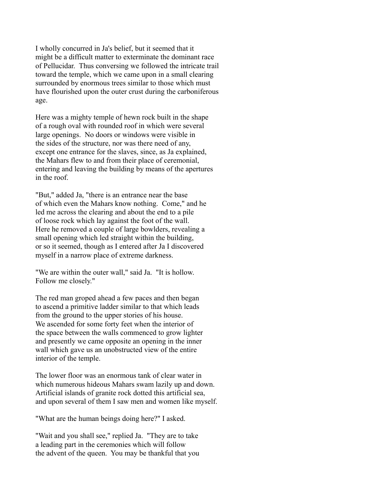I wholly concurred in Ja's belief, but it seemed that it might be a difficult matter to exterminate the dominant race of Pellucidar. Thus conversing we followed the intricate trail toward the temple, which we came upon in a small clearing surrounded by enormous trees similar to those which must have flourished upon the outer crust during the carboniferous age.

Here was a mighty temple of hewn rock built in the shape of a rough oval with rounded roof in which were several large openings. No doors or windows were visible in the sides of the structure, nor was there need of any, except one entrance for the slaves, since, as Ja explained, the Mahars flew to and from their place of ceremonial, entering and leaving the building by means of the apertures in the roof.

"But," added Ja, "there is an entrance near the base of which even the Mahars know nothing. Come," and he led me across the clearing and about the end to a pile of loose rock which lay against the foot of the wall. Here he removed a couple of large bowlders, revealing a small opening which led straight within the building, or so it seemed, though as I entered after Ja I discovered myself in a narrow place of extreme darkness.

"We are within the outer wall," said Ja. "It is hollow. Follow me closely."

The red man groped ahead a few paces and then began to ascend a primitive ladder similar to that which leads from the ground to the upper stories of his house. We ascended for some forty feet when the interior of the space between the walls commenced to grow lighter and presently we came opposite an opening in the inner wall which gave us an unobstructed view of the entire interior of the temple.

The lower floor was an enormous tank of clear water in which numerous hideous Mahars swam lazily up and down. Artificial islands of granite rock dotted this artificial sea, and upon several of them I saw men and women like myself.

"What are the human beings doing here?" I asked.

"Wait and you shall see," replied Ja. "They are to take a leading part in the ceremonies which will follow the advent of the queen. You may be thankful that you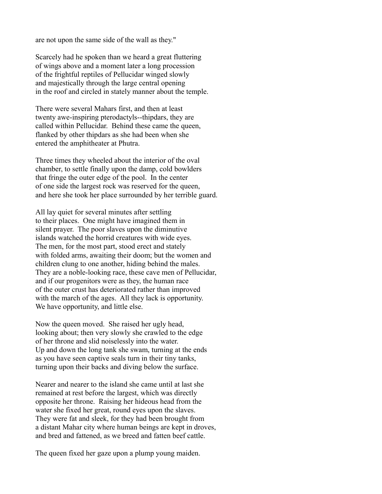are not upon the same side of the wall as they."

Scarcely had he spoken than we heard a great fluttering of wings above and a moment later a long procession of the frightful reptiles of Pellucidar winged slowly and majestically through the large central opening in the roof and circled in stately manner about the temple.

There were several Mahars first, and then at least twenty awe-inspiring pterodactyls--thipdars, they are called within Pellucidar. Behind these came the queen, flanked by other thipdars as she had been when she entered the amphitheater at Phutra.

Three times they wheeled about the interior of the oval chamber, to settle finally upon the damp, cold bowlders that fringe the outer edge of the pool. In the center of one side the largest rock was reserved for the queen, and here she took her place surrounded by her terrible guard.

All lay quiet for several minutes after settling to their places. One might have imagined them in silent prayer. The poor slaves upon the diminutive islands watched the horrid creatures with wide eyes. The men, for the most part, stood erect and stately with folded arms, awaiting their doom; but the women and children clung to one another, hiding behind the males. They are a noble-looking race, these cave men of Pellucidar, and if our progenitors were as they, the human race of the outer crust has deteriorated rather than improved with the march of the ages. All they lack is opportunity. We have opportunity, and little else.

Now the queen moved. She raised her ugly head, looking about; then very slowly she crawled to the edge of her throne and slid noiselessly into the water. Up and down the long tank she swam, turning at the ends as you have seen captive seals turn in their tiny tanks, turning upon their backs and diving below the surface.

Nearer and nearer to the island she came until at last she remained at rest before the largest, which was directly opposite her throne. Raising her hideous head from the water she fixed her great, round eyes upon the slaves. They were fat and sleek, for they had been brought from a distant Mahar city where human beings are kept in droves, and bred and fattened, as we breed and fatten beef cattle.

The queen fixed her gaze upon a plump young maiden.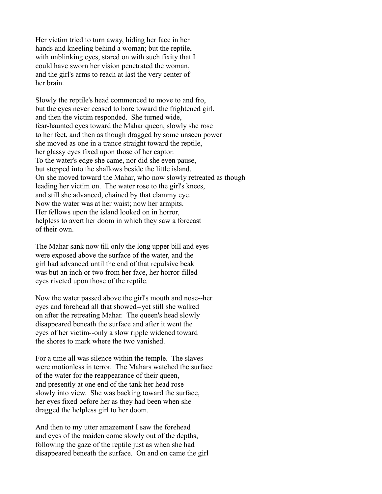Her victim tried to turn away, hiding her face in her hands and kneeling behind a woman; but the reptile, with unblinking eyes, stared on with such fixity that I could have sworn her vision penetrated the woman, and the girl's arms to reach at last the very center of her brain.

Slowly the reptile's head commenced to move to and fro, but the eyes never ceased to bore toward the frightened girl, and then the victim responded. She turned wide, fear-haunted eyes toward the Mahar queen, slowly she rose to her feet, and then as though dragged by some unseen power she moved as one in a trance straight toward the reptile, her glassy eyes fixed upon those of her captor. To the water's edge she came, nor did she even pause, but stepped into the shallows beside the little island. On she moved toward the Mahar, who now slowly retreated as though leading her victim on. The water rose to the girl's knees, and still she advanced, chained by that clammy eye. Now the water was at her waist; now her armpits. Her fellows upon the island looked on in horror, helpless to avert her doom in which they saw a forecast of their own.

The Mahar sank now till only the long upper bill and eyes were exposed above the surface of the water, and the girl had advanced until the end of that repulsive beak was but an inch or two from her face, her horror-filled eyes riveted upon those of the reptile.

Now the water passed above the girl's mouth and nose--her eyes and forehead all that showed--yet still she walked on after the retreating Mahar. The queen's head slowly disappeared beneath the surface and after it went the eyes of her victim--only a slow ripple widened toward the shores to mark where the two vanished.

For a time all was silence within the temple. The slaves were motionless in terror. The Mahars watched the surface of the water for the reappearance of their queen, and presently at one end of the tank her head rose slowly into view. She was backing toward the surface, her eyes fixed before her as they had been when she dragged the helpless girl to her doom.

And then to my utter amazement I saw the forehead and eyes of the maiden come slowly out of the depths, following the gaze of the reptile just as when she had disappeared beneath the surface. On and on came the girl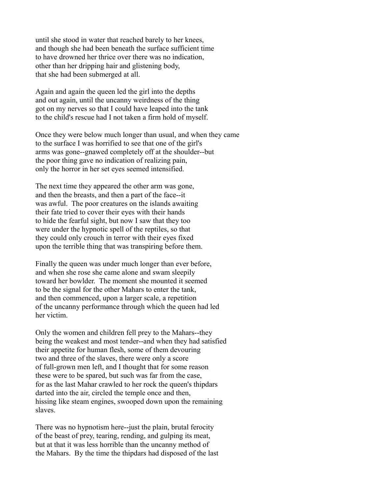until she stood in water that reached barely to her knees, and though she had been beneath the surface sufficient time to have drowned her thrice over there was no indication, other than her dripping hair and glistening body, that she had been submerged at all.

Again and again the queen led the girl into the depths and out again, until the uncanny weirdness of the thing got on my nerves so that I could have leaped into the tank to the child's rescue had I not taken a firm hold of myself.

Once they were below much longer than usual, and when they came to the surface I was horrified to see that one of the girl's arms was gone--gnawed completely off at the shoulder--but the poor thing gave no indication of realizing pain, only the horror in her set eyes seemed intensified.

The next time they appeared the other arm was gone, and then the breasts, and then a part of the face--it was awful. The poor creatures on the islands awaiting their fate tried to cover their eyes with their hands to hide the fearful sight, but now I saw that they too were under the hypnotic spell of the reptiles, so that they could only crouch in terror with their eyes fixed upon the terrible thing that was transpiring before them.

Finally the queen was under much longer than ever before, and when she rose she came alone and swam sleepily toward her bowlder. The moment she mounted it seemed to be the signal for the other Mahars to enter the tank, and then commenced, upon a larger scale, a repetition of the uncanny performance through which the queen had led her victim.

Only the women and children fell prey to the Mahars--they being the weakest and most tender--and when they had satisfied their appetite for human flesh, some of them devouring two and three of the slaves, there were only a score of full-grown men left, and I thought that for some reason these were to be spared, but such was far from the case, for as the last Mahar crawled to her rock the queen's thipdars darted into the air, circled the temple once and then, hissing like steam engines, swooped down upon the remaining slaves.

There was no hypnotism here--just the plain, brutal ferocity of the beast of prey, tearing, rending, and gulping its meat, but at that it was less horrible than the uncanny method of the Mahars. By the time the thipdars had disposed of the last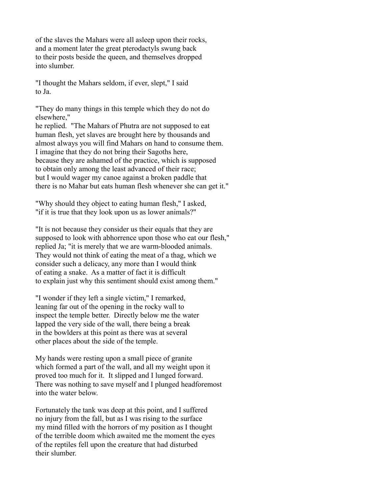of the slaves the Mahars were all asleep upon their rocks, and a moment later the great pterodactyls swung back to their posts beside the queen, and themselves dropped into slumber.

"I thought the Mahars seldom, if ever, slept," I said to Ja.

"They do many things in this temple which they do not do elsewhere,"

he replied. "The Mahars of Phutra are not supposed to eat human flesh, yet slaves are brought here by thousands and almost always you will find Mahars on hand to consume them. I imagine that they do not bring their Sagoths here, because they are ashamed of the practice, which is supposed to obtain only among the least advanced of their race; but I would wager my canoe against a broken paddle that there is no Mahar but eats human flesh whenever she can get it."

"Why should they object to eating human flesh," I asked, "if it is true that they look upon us as lower animals?"

"It is not because they consider us their equals that they are supposed to look with abhorrence upon those who eat our flesh," replied Ja; "it is merely that we are warm-blooded animals. They would not think of eating the meat of a thag, which we consider such a delicacy, any more than I would think of eating a snake. As a matter of fact it is difficult to explain just why this sentiment should exist among them."

"I wonder if they left a single victim," I remarked, leaning far out of the opening in the rocky wall to inspect the temple better. Directly below me the water lapped the very side of the wall, there being a break in the bowlders at this point as there was at several other places about the side of the temple.

My hands were resting upon a small piece of granite which formed a part of the wall, and all my weight upon it proved too much for it. It slipped and I lunged forward. There was nothing to save myself and I plunged headforemost into the water below.

Fortunately the tank was deep at this point, and I suffered no injury from the fall, but as I was rising to the surface my mind filled with the horrors of my position as I thought of the terrible doom which awaited me the moment the eyes of the reptiles fell upon the creature that had disturbed their slumber.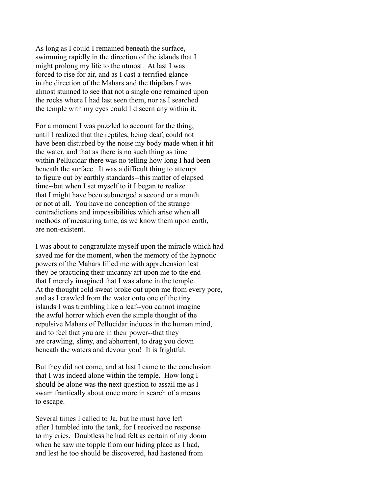As long as I could I remained beneath the surface, swimming rapidly in the direction of the islands that I might prolong my life to the utmost. At last I was forced to rise for air, and as I cast a terrified glance in the direction of the Mahars and the thipdars I was almost stunned to see that not a single one remained upon the rocks where I had last seen them, nor as I searched the temple with my eyes could I discern any within it.

For a moment I was puzzled to account for the thing, until I realized that the reptiles, being deaf, could not have been disturbed by the noise my body made when it hit the water, and that as there is no such thing as time within Pellucidar there was no telling how long I had been beneath the surface. It was a difficult thing to attempt to figure out by earthly standards--this matter of elapsed time--but when I set myself to it I began to realize that I might have been submerged a second or a month or not at all. You have no conception of the strange contradictions and impossibilities which arise when all methods of measuring time, as we know them upon earth, are non-existent.

I was about to congratulate myself upon the miracle which had saved me for the moment, when the memory of the hypnotic powers of the Mahars filled me with apprehension lest they be practicing their uncanny art upon me to the end that I merely imagined that I was alone in the temple. At the thought cold sweat broke out upon me from every pore, and as I crawled from the water onto one of the tiny islands I was trembling like a leaf--you cannot imagine the awful horror which even the simple thought of the repulsive Mahars of Pellucidar induces in the human mind, and to feel that you are in their power--that they are crawling, slimy, and abhorrent, to drag you down beneath the waters and devour you! It is frightful.

But they did not come, and at last I came to the conclusion that I was indeed alone within the temple. How long I should be alone was the next question to assail me as I swam frantically about once more in search of a means to escape.

Several times I called to Ja, but he must have left after I tumbled into the tank, for I received no response to my cries. Doubtless he had felt as certain of my doom when he saw me topple from our hiding place as I had, and lest he too should be discovered, had hastened from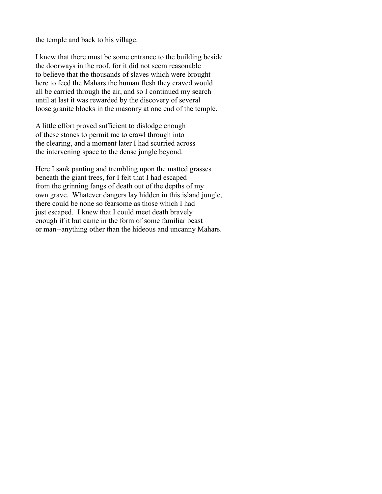the temple and back to his village.

I knew that there must be some entrance to the building beside the doorways in the roof, for it did not seem reasonable to believe that the thousands of slaves which were brought here to feed the Mahars the human flesh they craved would all be carried through the air, and so I continued my search until at last it was rewarded by the discovery of several loose granite blocks in the masonry at one end of the temple.

A little effort proved sufficient to dislodge enough of these stones to permit me to crawl through into the clearing, and a moment later I had scurried across the intervening space to the dense jungle beyond.

Here I sank panting and trembling upon the matted grasses beneath the giant trees, for I felt that I had escaped from the grinning fangs of death out of the depths of my own grave. Whatever dangers lay hidden in this island jungle, there could be none so fearsome as those which I had just escaped. I knew that I could meet death bravely enough if it but came in the form of some familiar beast or man--anything other than the hideous and uncanny Mahars.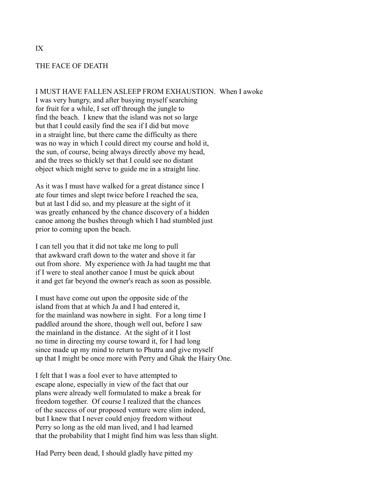### THE FACE OF DEATH

#### I MUST HAVE FALLEN ASLEEP FROM EXHAUSTION. When I awoke

I was very hungry, and after busying myself searching for fruit for a while, I set off through the jungle to find the beach. I knew that the island was not so large but that I could easily find the sea if I did but move in a straight line, but there came the difficulty as there was no way in which I could direct my course and hold it, the sun, of course, being always directly above my head, and the trees so thickly set that I could see no distant object which might serve to guide me in a straight line.

As it was I must have walked for a great distance since I ate four times and slept twice before I reached the sea, but at last I did so, and my pleasure at the sight of it was greatly enhanced by the chance discovery of a hidden canoe among the bushes through which I had stumbled just prior to coming upon the beach.

I can tell you that it did not take me long to pull that awkward craft down to the water and shove it far out from shore. My experience with Ja had taught me that if I were to steal another canoe I must be quick about it and get far beyond the owner's reach as soon as possible.

I must have come out upon the opposite side of the island from that at which Ja and I had entered it, for the mainland was nowhere in sight. For a long time I paddled around the shore, though well out, before I saw the mainland in the distance. At the sight of it I lost no time in directing my course toward it, for I had long since made up my mind to return to Phutra and give myself up that I might be once more with Perry and Ghak the Hairy One.

I felt that I was a fool ever to have attempted to escape alone, especially in view of the fact that our plans were already well formulated to make a break for freedom together. Of course I realized that the chances of the success of our proposed venture were slim indeed, but I knew that I never could enjoy freedom without Perry so long as the old man lived, and I had learned that the probability that I might find him was less than slight.

Had Perry been dead, I should gladly have pitted my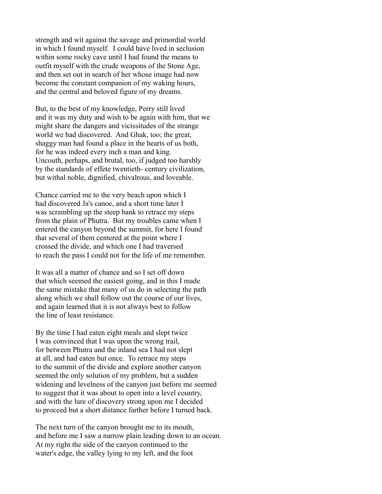strength and wit against the savage and primordial world in which I found myself. I could have lived in seclusion within some rocky cave until I had found the means to outfit myself with the crude weapons of the Stone Age, and then set out in search of her whose image had now become the constant companion of my waking hours, and the central and beloved figure of my dreams.

But, to the best of my knowledge, Perry still lived and it was my duty and wish to be again with him, that we might share the dangers and vicissitudes of the strange world we had discovered. And Ghak, too; the great, shaggy man had found a place in the hearts of us both, for he was indeed every inch a man and king. Uncouth, perhaps, and brutal, too, if judged too harshly by the standards of effete twentieth- century civilization, but withal noble, dignified, chivalrous, and loveable.

Chance carried me to the very beach upon which I had discovered Ja's canoe, and a short time later I was scrambling up the steep bank to retrace my steps from the plain of Phutra. But my troubles came when I entered the canyon beyond the summit, for here I found that several of them centered at the point where I crossed the divide, and which one I had traversed to reach the pass I could not for the life of me remember.

It was all a matter of chance and so I set off down that which seemed the easiest going, and in this I made the same mistake that many of us do in selecting the path along which we shall follow out the course of our lives, and again learned that it is not always best to follow the line of least resistance.

By the time I had eaten eight meals and slept twice I was convinced that I was upon the wrong trail, for between Phutra and the inland sea I had not slept at all, and had eaten but once. To retrace my steps to the summit of the divide and explore another canyon seemed the only solution of my problem, but a sudden widening and levelness of the canyon just before me seemed to suggest that it was about to open into a level country, and with the lure of discovery strong upon me I decided to proceed but a short distance farther before I turned back.

The next turn of the canyon brought me to its mouth, and before me I saw a narrow plain leading down to an ocean. At my right the side of the canyon continued to the water's edge, the valley lying to my left, and the foot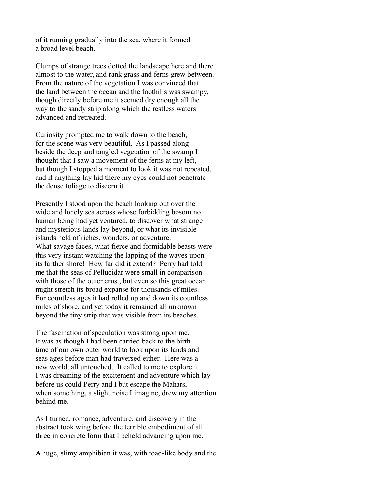of it running gradually into the sea, where it formed a broad level beach.

Clumps of strange trees dotted the landscape here and there almost to the water, and rank grass and ferns grew between. From the nature of the vegetation I was convinced that the land between the ocean and the foothills was swampy, though directly before me it seemed dry enough all the way to the sandy strip along which the restless waters advanced and retreated.

Curiosity prompted me to walk down to the beach, for the scene was very beautiful. As I passed along beside the deep and tangled vegetation of the swamp I thought that I saw a movement of the ferns at my left, but though I stopped a moment to look it was not repeated, and if anything lay hid there my eyes could not penetrate the dense foliage to discern it.

Presently I stood upon the beach looking out over the wide and lonely sea across whose forbidding bosom no human being had yet ventured, to discover what strange and mysterious lands lay beyond, or what its invisible islands held of riches, wonders, or adventure. What savage faces, what fierce and formidable beasts were this very instant watching the lapping of the waves upon its farther shore! How far did it extend? Perry had told me that the seas of Pellucidar were small in comparison with those of the outer crust, but even so this great ocean might stretch its broad expanse for thousands of miles. For countless ages it had rolled up and down its countless miles of shore, and yet today it remained all unknown beyond the tiny strip that was visible from its beaches.

The fascination of speculation was strong upon me. It was as though I had been carried back to the birth time of our own outer world to look upon its lands and seas ages before man had traversed either. Here was a new world, all untouched. It called to me to explore it. I was dreaming of the excitement and adventure which lay before us could Perry and I but escape the Mahars, when something, a slight noise I imagine, drew my attention behind me.

As I turned, romance, adventure, and discovery in the abstract took wing before the terrible embodiment of all three in concrete form that I beheld advancing upon me.

A huge, slimy amphibian it was, with toad-like body and the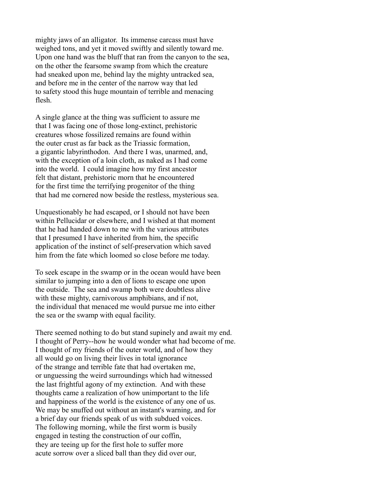mighty jaws of an alligator. Its immense carcass must have weighed tons, and yet it moved swiftly and silently toward me. Upon one hand was the bluff that ran from the canyon to the sea, on the other the fearsome swamp from which the creature had sneaked upon me, behind lay the mighty untracked sea, and before me in the center of the narrow way that led to safety stood this huge mountain of terrible and menacing flesh.

A single glance at the thing was sufficient to assure me that I was facing one of those long-extinct, prehistoric creatures whose fossilized remains are found within the outer crust as far back as the Triassic formation, a gigantic labyrinthodon. And there I was, unarmed, and, with the exception of a loin cloth, as naked as I had come into the world. I could imagine how my first ancestor felt that distant, prehistoric morn that he encountered for the first time the terrifying progenitor of the thing that had me cornered now beside the restless, mysterious sea.

Unquestionably he had escaped, or I should not have been within Pellucidar or elsewhere, and I wished at that moment that he had handed down to me with the various attributes that I presumed I have inherited from him, the specific application of the instinct of self-preservation which saved him from the fate which loomed so close before me today.

To seek escape in the swamp or in the ocean would have been similar to jumping into a den of lions to escape one upon the outside. The sea and swamp both were doubtless alive with these mighty, carnivorous amphibians, and if not, the individual that menaced me would pursue me into either the sea or the swamp with equal facility.

There seemed nothing to do but stand supinely and await my end. I thought of Perry--how he would wonder what had become of me. I thought of my friends of the outer world, and of how they all would go on living their lives in total ignorance of the strange and terrible fate that had overtaken me, or unguessing the weird surroundings which had witnessed the last frightful agony of my extinction. And with these thoughts came a realization of how unimportant to the life and happiness of the world is the existence of any one of us. We may be snuffed out without an instant's warning, and for a brief day our friends speak of us with subdued voices. The following morning, while the first worm is busily engaged in testing the construction of our coffin, they are teeing up for the first hole to suffer more acute sorrow over a sliced ball than they did over our,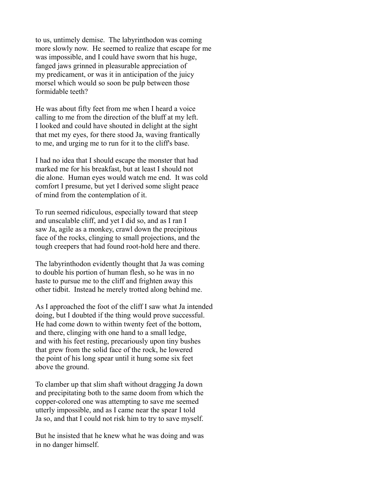to us, untimely demise. The labyrinthodon was coming more slowly now. He seemed to realize that escape for me was impossible, and I could have sworn that his huge, fanged jaws grinned in pleasurable appreciation of my predicament, or was it in anticipation of the juicy morsel which would so soon be pulp between those formidable teeth?

He was about fifty feet from me when I heard a voice calling to me from the direction of the bluff at my left. I looked and could have shouted in delight at the sight that met my eyes, for there stood Ja, waving frantically to me, and urging me to run for it to the cliff's base.

I had no idea that I should escape the monster that had marked me for his breakfast, but at least I should not die alone. Human eyes would watch me end. It was cold comfort I presume, but yet I derived some slight peace of mind from the contemplation of it.

To run seemed ridiculous, especially toward that steep and unscalable cliff, and yet I did so, and as I ran I saw Ja, agile as a monkey, crawl down the precipitous face of the rocks, clinging to small projections, and the tough creepers that had found root-hold here and there.

The labyrinthodon evidently thought that Ja was coming to double his portion of human flesh, so he was in no haste to pursue me to the cliff and frighten away this other tidbit. Instead he merely trotted along behind me.

As I approached the foot of the cliff I saw what Ja intended doing, but I doubted if the thing would prove successful. He had come down to within twenty feet of the bottom, and there, clinging with one hand to a small ledge, and with his feet resting, precariously upon tiny bushes that grew from the solid face of the rock, he lowered the point of his long spear until it hung some six feet above the ground.

To clamber up that slim shaft without dragging Ja down and precipitating both to the same doom from which the copper-colored one was attempting to save me seemed utterly impossible, and as I came near the spear I told Ja so, and that I could not risk him to try to save myself.

But he insisted that he knew what he was doing and was in no danger himself.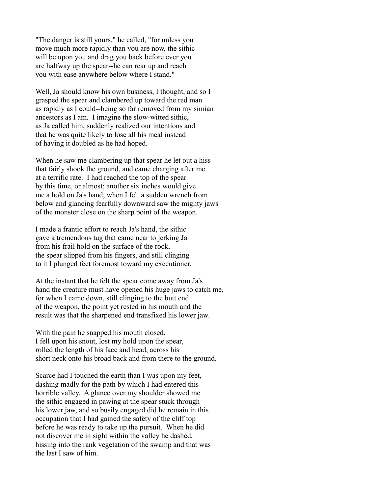"The danger is still yours," he called, "for unless you move much more rapidly than you are now, the sithic will be upon you and drag you back before ever you are halfway up the spear--he can rear up and reach you with ease anywhere below where I stand."

Well, Ja should know his own business, I thought, and so I grasped the spear and clambered up toward the red man as rapidly as I could--being so far removed from my simian ancestors as I am. I imagine the slow-witted sithic, as Ja called him, suddenly realized our intentions and that he was quite likely to lose all his meal instead of having it doubled as he had hoped.

When he saw me clambering up that spear he let out a hiss that fairly shook the ground, and came charging after me at a terrific rate. I had reached the top of the spear by this time, or almost; another six inches would give me a hold on Ja's hand, when I felt a sudden wrench from below and glancing fearfully downward saw the mighty jaws of the monster close on the sharp point of the weapon.

I made a frantic effort to reach Ja's hand, the sithic gave a tremendous tug that came near to jerking Ja from his frail hold on the surface of the rock, the spear slipped from his fingers, and still clinging to it I plunged feet foremost toward my executioner.

At the instant that he felt the spear come away from Ja's hand the creature must have opened his huge jaws to catch me, for when I came down, still clinging to the butt end of the weapon, the point yet rested in his mouth and the result was that the sharpened end transfixed his lower jaw.

With the pain he snapped his mouth closed. I fell upon his snout, lost my hold upon the spear, rolled the length of his face and head, across his short neck onto his broad back and from there to the ground.

Scarce had I touched the earth than I was upon my feet, dashing madly for the path by which I had entered this horrible valley. A glance over my shoulder showed me the sithic engaged in pawing at the spear stuck through his lower jaw, and so busily engaged did he remain in this occupation that I had gained the safety of the cliff top before he was ready to take up the pursuit. When he did not discover me in sight within the valley he dashed, hissing into the rank vegetation of the swamp and that was the last I saw of him.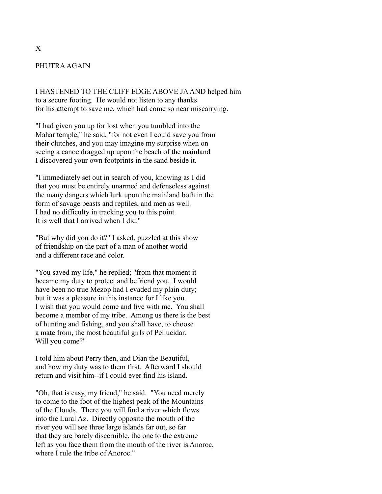# PHUTRA AGAIN

I HASTENED TO THE CLIFF EDGE ABOVE JA AND helped him to a secure footing. He would not listen to any thanks for his attempt to save me, which had come so near miscarrying.

"I had given you up for lost when you tumbled into the Mahar temple," he said, "for not even I could save you from their clutches, and you may imagine my surprise when on seeing a canoe dragged up upon the beach of the mainland I discovered your own footprints in the sand beside it.

"I immediately set out in search of you, knowing as I did that you must be entirely unarmed and defenseless against the many dangers which lurk upon the mainland both in the form of savage beasts and reptiles, and men as well. I had no difficulty in tracking you to this point. It is well that I arrived when I did."

"But why did you do it?" I asked, puzzled at this show of friendship on the part of a man of another world and a different race and color.

"You saved my life," he replied; "from that moment it became my duty to protect and befriend you. I would have been no true Mezop had I evaded my plain duty; but it was a pleasure in this instance for I like you. I wish that you would come and live with me. You shall become a member of my tribe. Among us there is the best of hunting and fishing, and you shall have, to choose a mate from, the most beautiful girls of Pellucidar. Will you come?"

I told him about Perry then, and Dian the Beautiful, and how my duty was to them first. Afterward I should return and visit him--if I could ever find his island.

"Oh, that is easy, my friend," he said. "You need merely to come to the foot of the highest peak of the Mountains of the Clouds. There you will find a river which flows into the Lural Az. Directly opposite the mouth of the river you will see three large islands far out, so far that they are barely discernible, the one to the extreme left as you face them from the mouth of the river is Anoroc, where I rule the tribe of Anoroc."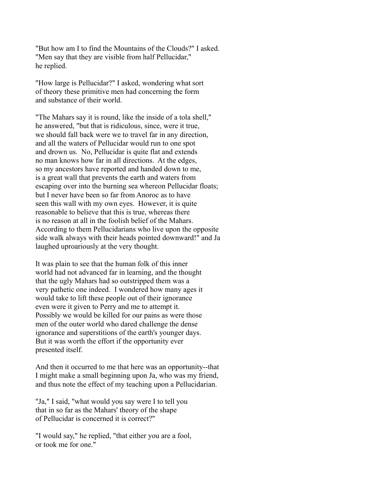"But how am I to find the Mountains of the Clouds?" I asked. "Men say that they are visible from half Pellucidar," he replied.

"How large is Pellucidar?" I asked, wondering what sort of theory these primitive men had concerning the form and substance of their world.

"The Mahars say it is round, like the inside of a tola shell," he answered, "but that is ridiculous, since, were it true, we should fall back were we to travel far in any direction, and all the waters of Pellucidar would run to one spot and drown us. No, Pellucidar is quite flat and extends no man knows how far in all directions. At the edges, so my ancestors have reported and handed down to me, is a great wall that prevents the earth and waters from escaping over into the burning sea whereon Pellucidar floats; but I never have been so far from Anoroc as to have seen this wall with my own eyes. However, it is quite reasonable to believe that this is true, whereas there is no reason at all in the foolish belief of the Mahars. According to them Pellucidarians who live upon the opposite side walk always with their heads pointed downward!" and Ja laughed uproariously at the very thought.

It was plain to see that the human folk of this inner world had not advanced far in learning, and the thought that the ugly Mahars had so outstripped them was a very pathetic one indeed. I wondered how many ages it would take to lift these people out of their ignorance even were it given to Perry and me to attempt it. Possibly we would be killed for our pains as were those men of the outer world who dared challenge the dense ignorance and superstitions of the earth's younger days. But it was worth the effort if the opportunity ever presented itself.

And then it occurred to me that here was an opportunity--that I might make a small beginning upon Ja, who was my friend, and thus note the effect of my teaching upon a Pellucidarian.

"Ja," I said, "what would you say were I to tell you that in so far as the Mahars' theory of the shape of Pellucidar is concerned it is correct?"

"I would say," he replied, "that either you are a fool, or took me for one."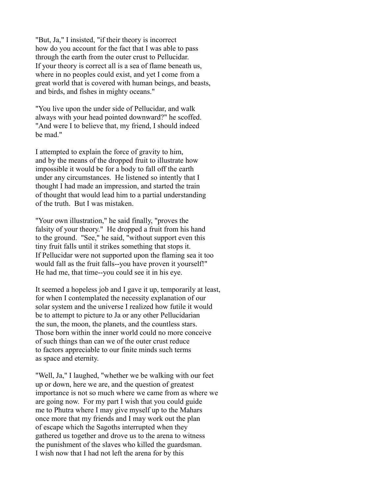"But, Ja," I insisted, "if their theory is incorrect how do you account for the fact that I was able to pass through the earth from the outer crust to Pellucidar. If your theory is correct all is a sea of flame beneath us, where in no peoples could exist, and yet I come from a great world that is covered with human beings, and beasts, and birds, and fishes in mighty oceans."

"You live upon the under side of Pellucidar, and walk always with your head pointed downward?" he scoffed. "And were I to believe that, my friend, I should indeed be mad."

I attempted to explain the force of gravity to him, and by the means of the dropped fruit to illustrate how impossible it would be for a body to fall off the earth under any circumstances. He listened so intently that I thought I had made an impression, and started the train of thought that would lead him to a partial understanding of the truth. But I was mistaken.

"Your own illustration," he said finally, "proves the falsity of your theory." He dropped a fruit from his hand to the ground. "See," he said, "without support even this tiny fruit falls until it strikes something that stops it. If Pellucidar were not supported upon the flaming sea it too would fall as the fruit falls--you have proven it yourself!" He had me, that time--you could see it in his eye.

It seemed a hopeless job and I gave it up, temporarily at least, for when I contemplated the necessity explanation of our solar system and the universe I realized how futile it would be to attempt to picture to Ja or any other Pellucidarian the sun, the moon, the planets, and the countless stars. Those born within the inner world could no more conceive of such things than can we of the outer crust reduce to factors appreciable to our finite minds such terms as space and eternity.

"Well, Ja," I laughed, "whether we be walking with our feet up or down, here we are, and the question of greatest importance is not so much where we came from as where we are going now. For my part I wish that you could guide me to Phutra where I may give myself up to the Mahars once more that my friends and I may work out the plan of escape which the Sagoths interrupted when they gathered us together and drove us to the arena to witness the punishment of the slaves who killed the guardsman. I wish now that I had not left the arena for by this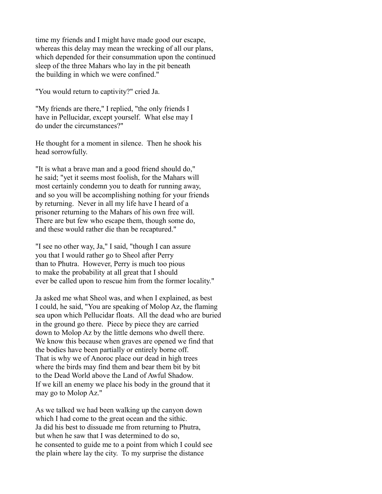time my friends and I might have made good our escape, whereas this delay may mean the wrecking of all our plans, which depended for their consummation upon the continued sleep of the three Mahars who lay in the pit beneath the building in which we were confined."

"You would return to captivity?" cried Ja.

"My friends are there," I replied, "the only friends I have in Pellucidar, except yourself. What else may I do under the circumstances?"

He thought for a moment in silence. Then he shook his head sorrowfully.

"It is what a brave man and a good friend should do," he said; "yet it seems most foolish, for the Mahars will most certainly condemn you to death for running away, and so you will be accomplishing nothing for your friends by returning. Never in all my life have I heard of a prisoner returning to the Mahars of his own free will. There are but few who escape them, though some do, and these would rather die than be recaptured."

"I see no other way, Ja," I said, "though I can assure you that I would rather go to Sheol after Perry than to Phutra. However, Perry is much too pious to make the probability at all great that I should ever be called upon to rescue him from the former locality."

Ja asked me what Sheol was, and when I explained, as best I could, he said, "You are speaking of Molop Az, the flaming sea upon which Pellucidar floats. All the dead who are buried in the ground go there. Piece by piece they are carried down to Molop Az by the little demons who dwell there. We know this because when graves are opened we find that the bodies have been partially or entirely borne off. That is why we of Anoroc place our dead in high trees where the birds may find them and bear them bit by bit to the Dead World above the Land of Awful Shadow. If we kill an enemy we place his body in the ground that it may go to Molop Az."

As we talked we had been walking up the canyon down which I had come to the great ocean and the sithic. Ja did his best to dissuade me from returning to Phutra, but when he saw that I was determined to do so, he consented to guide me to a point from which I could see the plain where lay the city. To my surprise the distance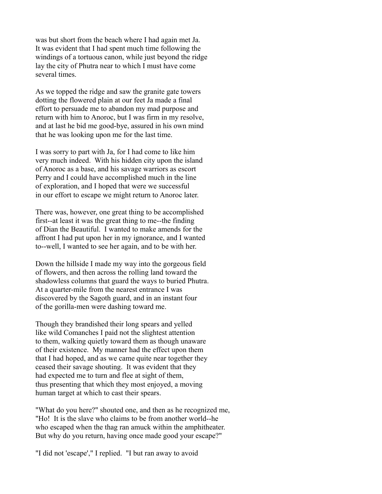was but short from the beach where I had again met Ja. It was evident that I had spent much time following the windings of a tortuous canon, while just beyond the ridge lay the city of Phutra near to which I must have come several times.

As we topped the ridge and saw the granite gate towers dotting the flowered plain at our feet Ja made a final effort to persuade me to abandon my mad purpose and return with him to Anoroc, but I was firm in my resolve, and at last he bid me good-bye, assured in his own mind that he was looking upon me for the last time.

I was sorry to part with Ja, for I had come to like him very much indeed. With his hidden city upon the island of Anoroc as a base, and his savage warriors as escort Perry and I could have accomplished much in the line of exploration, and I hoped that were we successful in our effort to escape we might return to Anoroc later.

There was, however, one great thing to be accomplished first--at least it was the great thing to me--the finding of Dian the Beautiful. I wanted to make amends for the affront I had put upon her in my ignorance, and I wanted to--well, I wanted to see her again, and to be with her.

Down the hillside I made my way into the gorgeous field of flowers, and then across the rolling land toward the shadowless columns that guard the ways to buried Phutra. At a quarter-mile from the nearest entrance I was discovered by the Sagoth guard, and in an instant four of the gorilla-men were dashing toward me.

Though they brandished their long spears and yelled like wild Comanches I paid not the slightest attention to them, walking quietly toward them as though unaware of their existence. My manner had the effect upon them that I had hoped, and as we came quite near together they ceased their savage shouting. It was evident that they had expected me to turn and flee at sight of them, thus presenting that which they most enjoyed, a moving human target at which to cast their spears.

"What do you here?" shouted one, and then as he recognized me, "Ho! It is the slave who claims to be from another world--he who escaped when the thag ran amuck within the amphitheater. But why do you return, having once made good your escape?"

"I did not 'escape'," I replied. "I but ran away to avoid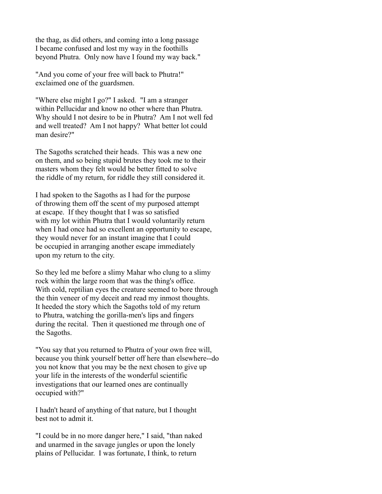the thag, as did others, and coming into a long passage I became confused and lost my way in the foothills beyond Phutra. Only now have I found my way back."

"And you come of your free will back to Phutra!" exclaimed one of the guardsmen.

"Where else might I go?" I asked. "I am a stranger within Pellucidar and know no other where than Phutra. Why should I not desire to be in Phutra? Am I not well fed and well treated? Am I not happy? What better lot could man desire?"

The Sagoths scratched their heads. This was a new one on them, and so being stupid brutes they took me to their masters whom they felt would be better fitted to solve the riddle of my return, for riddle they still considered it.

I had spoken to the Sagoths as I had for the purpose of throwing them off the scent of my purposed attempt at escape. If they thought that I was so satisfied with my lot within Phutra that I would voluntarily return when I had once had so excellent an opportunity to escape, they would never for an instant imagine that I could be occupied in arranging another escape immediately upon my return to the city.

So they led me before a slimy Mahar who clung to a slimy rock within the large room that was the thing's office. With cold, reptilian eyes the creature seemed to bore through the thin veneer of my deceit and read my inmost thoughts. It heeded the story which the Sagoths told of my return to Phutra, watching the gorilla-men's lips and fingers during the recital. Then it questioned me through one of the Sagoths.

"You say that you returned to Phutra of your own free will, because you think yourself better off here than elsewhere--do you not know that you may be the next chosen to give up your life in the interests of the wonderful scientific investigations that our learned ones are continually occupied with?"

I hadn't heard of anything of that nature, but I thought best not to admit it.

"I could be in no more danger here," I said, "than naked and unarmed in the savage jungles or upon the lonely plains of Pellucidar. I was fortunate, I think, to return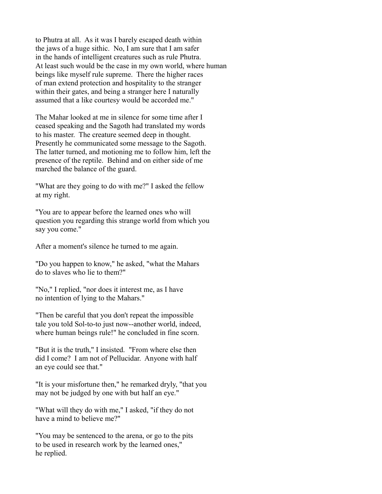to Phutra at all. As it was I barely escaped death within the jaws of a huge sithic. No, I am sure that I am safer in the hands of intelligent creatures such as rule Phutra. At least such would be the case in my own world, where human beings like myself rule supreme. There the higher races of man extend protection and hospitality to the stranger within their gates, and being a stranger here I naturally assumed that a like courtesy would be accorded me."

The Mahar looked at me in silence for some time after I ceased speaking and the Sagoth had translated my words to his master. The creature seemed deep in thought. Presently he communicated some message to the Sagoth. The latter turned, and motioning me to follow him, left the presence of the reptile. Behind and on either side of me marched the balance of the guard.

"What are they going to do with me?" I asked the fellow at my right.

"You are to appear before the learned ones who will question you regarding this strange world from which you say you come."

After a moment's silence he turned to me again.

"Do you happen to know," he asked, "what the Mahars do to slaves who lie to them?"

"No," I replied, "nor does it interest me, as I have no intention of lying to the Mahars."

"Then be careful that you don't repeat the impossible tale you told Sol-to-to just now--another world, indeed, where human beings rule!" he concluded in fine scorn.

"But it is the truth," I insisted. "From where else then did I come? I am not of Pellucidar. Anyone with half an eye could see that."

"It is your misfortune then," he remarked dryly, "that you may not be judged by one with but half an eye."

"What will they do with me," I asked, "if they do not have a mind to believe me?"

"You may be sentenced to the arena, or go to the pits to be used in research work by the learned ones," he replied.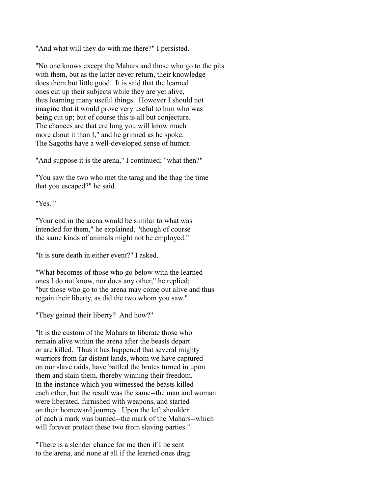"And what will they do with me there?" I persisted.

"No one knows except the Mahars and those who go to the pits with them, but as the latter never return, their knowledge does them but little good. It is said that the learned ones cut up their subjects while they are yet alive, thus learning many useful things. However I should not imagine that it would prove very useful to him who was being cut up; but of course this is all but conjecture. The chances are that ere long you will know much more about it than I," and he grinned as he spoke. The Sagoths have a well-developed sense of humor.

"And suppose it is the arena," I continued; "what then?"

"You saw the two who met the tarag and the thag the time that you escaped?" he said.

"Yes. "

"Your end in the arena would be similar to what was intended for them," he explained, "though of course the same kinds of animals might not be employed."

"It is sure death in either event?" I asked.

"What becomes of those who go below with the learned ones I do not know, nor does any other," he replied; "but those who go to the arena may come out alive and thus regain their liberty, as did the two whom you saw."

"They gained their liberty? And how?"

"It is the custom of the Mahars to liberate those who remain alive within the arena after the beasts depart or are killed. Thus it has happened that several mighty warriors from far distant lands, whom we have captured on our slave raids, have battled the brutes turned in upon them and slain them, thereby winning their freedom. In the instance which you witnessed the beasts killed each other, but the result was the same--the man and woman were liberated, furnished with weapons, and started on their homeward journey. Upon the left shoulder of each a mark was burned--the mark of the Mahars--which will forever protect these two from slaving parties."

"There is a slender chance for me then if I be sent to the arena, and none at all if the learned ones drag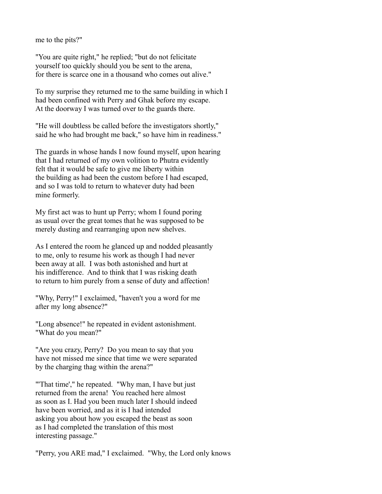me to the pits?"

"You are quite right," he replied; "but do not felicitate yourself too quickly should you be sent to the arena, for there is scarce one in a thousand who comes out alive."

To my surprise they returned me to the same building in which I had been confined with Perry and Ghak before my escape. At the doorway I was turned over to the guards there.

"He will doubtless be called before the investigators shortly," said he who had brought me back," so have him in readiness."

The guards in whose hands I now found myself, upon hearing that I had returned of my own volition to Phutra evidently felt that it would be safe to give me liberty within the building as had been the custom before I had escaped, and so I was told to return to whatever duty had been mine formerly.

My first act was to hunt up Perry; whom I found poring as usual over the great tomes that he was supposed to be merely dusting and rearranging upon new shelves.

As I entered the room he glanced up and nodded pleasantly to me, only to resume his work as though I had never been away at all. I was both astonished and hurt at his indifference. And to think that I was risking death to return to him purely from a sense of duty and affection!

"Why, Perry!" I exclaimed, "haven't you a word for me after my long absence?"

"Long absence!" he repeated in evident astonishment. "What do you mean?"

"Are you crazy, Perry? Do you mean to say that you have not missed me since that time we were separated by the charging thag within the arena?"

"That time'," he repeated. "Why man, I have but just returned from the arena! You reached here almost as soon as I. Had you been much later I should indeed have been worried, and as it is I had intended asking you about how you escaped the beast as soon as I had completed the translation of this most interesting passage."

"Perry, you ARE mad," I exclaimed. "Why, the Lord only knows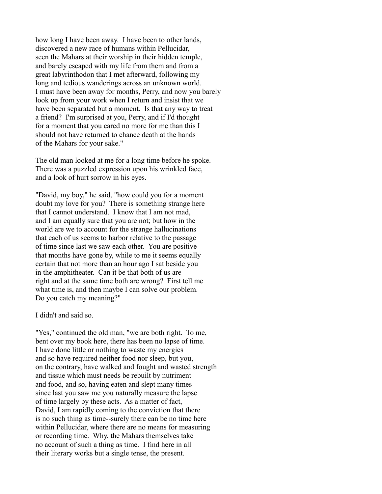how long I have been away. I have been to other lands, discovered a new race of humans within Pellucidar, seen the Mahars at their worship in their hidden temple, and barely escaped with my life from them and from a great labyrinthodon that I met afterward, following my long and tedious wanderings across an unknown world. I must have been away for months, Perry, and now you barely look up from your work when I return and insist that we have been separated but a moment. Is that any way to treat a friend? I'm surprised at you, Perry, and if I'd thought for a moment that you cared no more for me than this I should not have returned to chance death at the hands of the Mahars for your sake."

The old man looked at me for a long time before he spoke. There was a puzzled expression upon his wrinkled face, and a look of hurt sorrow in his eyes.

"David, my boy," he said, "how could you for a moment doubt my love for you? There is something strange here that I cannot understand. I know that I am not mad, and I am equally sure that you are not; but how in the world are we to account for the strange hallucinations that each of us seems to harbor relative to the passage of time since last we saw each other. You are positive that months have gone by, while to me it seems equally certain that not more than an hour ago I sat beside you in the amphitheater. Can it be that both of us are right and at the same time both are wrong? First tell me what time is, and then maybe I can solve our problem. Do you catch my meaning?"

I didn't and said so.

"Yes," continued the old man, "we are both right. To me, bent over my book here, there has been no lapse of time. I have done little or nothing to waste my energies and so have required neither food nor sleep, but you, on the contrary, have walked and fought and wasted strength and tissue which must needs be rebuilt by nutriment and food, and so, having eaten and slept many times since last you saw me you naturally measure the lapse of time largely by these acts. As a matter of fact, David, I am rapidly coming to the conviction that there is no such thing as time--surely there can be no time here within Pellucidar, where there are no means for measuring or recording time. Why, the Mahars themselves take no account of such a thing as time. I find here in all their literary works but a single tense, the present.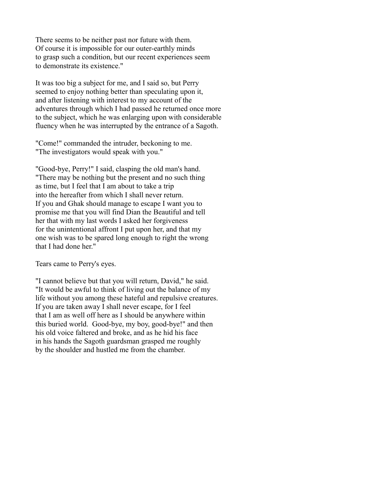There seems to be neither past nor future with them. Of course it is impossible for our outer-earthly minds to grasp such a condition, but our recent experiences seem to demonstrate its existence."

It was too big a subject for me, and I said so, but Perry seemed to enjoy nothing better than speculating upon it, and after listening with interest to my account of the adventures through which I had passed he returned once more to the subject, which he was enlarging upon with considerable fluency when he was interrupted by the entrance of a Sagoth.

"Come!" commanded the intruder, beckoning to me. "The investigators would speak with you."

"Good-bye, Perry!" I said, clasping the old man's hand. "There may be nothing but the present and no such thing as time, but I feel that I am about to take a trip into the hereafter from which I shall never return. If you and Ghak should manage to escape I want you to promise me that you will find Dian the Beautiful and tell her that with my last words I asked her forgiveness for the unintentional affront I put upon her, and that my one wish was to be spared long enough to right the wrong that I had done her."

Tears came to Perry's eyes.

"I cannot believe but that you will return, David," he said. "It would be awful to think of living out the balance of my life without you among these hateful and repulsive creatures. If you are taken away I shall never escape, for I feel that I am as well off here as I should be anywhere within this buried world. Good-bye, my boy, good-bye!" and then his old voice faltered and broke, and as he hid his face in his hands the Sagoth guardsman grasped me roughly by the shoulder and hustled me from the chamber.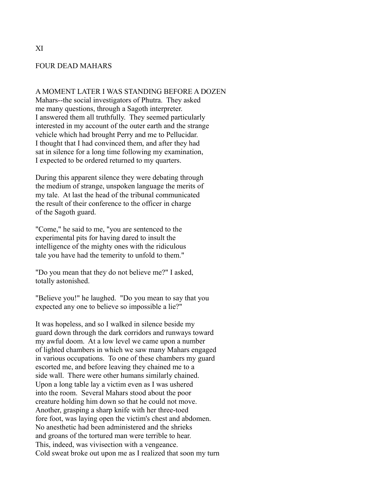## FOUR DEAD MAHARS

#### A MOMENT LATER I WAS STANDING BEFORE A DOZEN

Mahars--the social investigators of Phutra. They asked me many questions, through a Sagoth interpreter. I answered them all truthfully. They seemed particularly interested in my account of the outer earth and the strange vehicle which had brought Perry and me to Pellucidar. I thought that I had convinced them, and after they had sat in silence for a long time following my examination, I expected to be ordered returned to my quarters.

During this apparent silence they were debating through the medium of strange, unspoken language the merits of my tale. At last the head of the tribunal communicated the result of their conference to the officer in charge of the Sagoth guard.

"Come," he said to me, "you are sentenced to the experimental pits for having dared to insult the intelligence of the mighty ones with the ridiculous tale you have had the temerity to unfold to them."

"Do you mean that they do not believe me?" I asked, totally astonished.

"Believe you!" he laughed. "Do you mean to say that you expected any one to believe so impossible a lie?"

It was hopeless, and so I walked in silence beside my guard down through the dark corridors and runways toward my awful doom. At a low level we came upon a number of lighted chambers in which we saw many Mahars engaged in various occupations. To one of these chambers my guard escorted me, and before leaving they chained me to a side wall. There were other humans similarly chained. Upon a long table lay a victim even as I was ushered into the room. Several Mahars stood about the poor creature holding him down so that he could not move. Another, grasping a sharp knife with her three-toed fore foot, was laying open the victim's chest and abdomen. No anesthetic had been administered and the shrieks and groans of the tortured man were terrible to hear. This, indeed, was vivisection with a vengeance. Cold sweat broke out upon me as I realized that soon my turn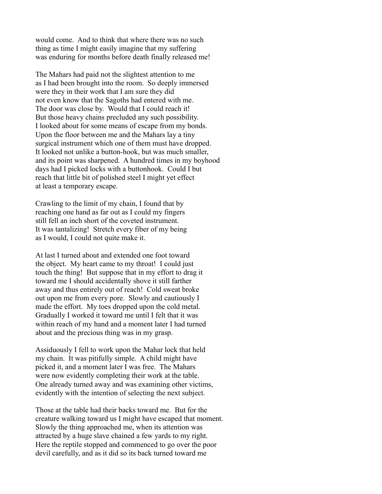would come. And to think that where there was no such thing as time I might easily imagine that my suffering was enduring for months before death finally released me!

The Mahars had paid not the slightest attention to me as I had been brought into the room. So deeply immersed were they in their work that I am sure they did not even know that the Sagoths had entered with me. The door was close by. Would that I could reach it! But those heavy chains precluded any such possibility. I looked about for some means of escape from my bonds. Upon the floor between me and the Mahars lay a tiny surgical instrument which one of them must have dropped. It looked not unlike a button-hook, but was much smaller, and its point was sharpened. A hundred times in my boyhood days had I picked locks with a buttonhook. Could I but reach that little bit of polished steel I might yet effect at least a temporary escape.

Crawling to the limit of my chain, I found that by reaching one hand as far out as I could my fingers still fell an inch short of the coveted instrument. It was tantalizing! Stretch every fiber of my being as I would, I could not quite make it.

At last I turned about and extended one foot toward the object. My heart came to my throat! I could just touch the thing! But suppose that in my effort to drag it toward me I should accidentally shove it still farther away and thus entirely out of reach! Cold sweat broke out upon me from every pore. Slowly and cautiously I made the effort. My toes dropped upon the cold metal. Gradually I worked it toward me until I felt that it was within reach of my hand and a moment later I had turned about and the precious thing was in my grasp.

Assiduously I fell to work upon the Mahar lock that held my chain. It was pitifully simple. A child might have picked it, and a moment later I was free. The Mahars were now evidently completing their work at the table. One already turned away and was examining other victims, evidently with the intention of selecting the next subject.

Those at the table had their backs toward me. But for the creature walking toward us I might have escaped that moment. Slowly the thing approached me, when its attention was attracted by a huge slave chained a few yards to my right. Here the reptile stopped and commenced to go over the poor devil carefully, and as it did so its back turned toward me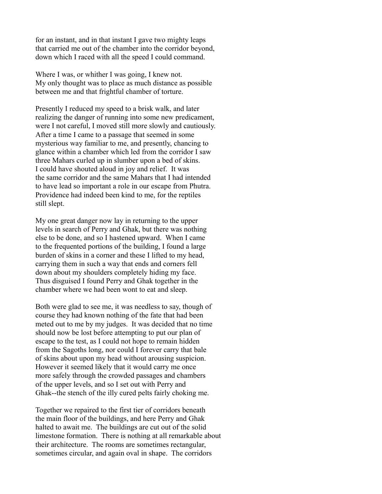for an instant, and in that instant I gave two mighty leaps that carried me out of the chamber into the corridor beyond, down which I raced with all the speed I could command.

Where I was, or whither I was going, I knew not. My only thought was to place as much distance as possible between me and that frightful chamber of torture.

Presently I reduced my speed to a brisk walk, and later realizing the danger of running into some new predicament, were I not careful, I moved still more slowly and cautiously. After a time I came to a passage that seemed in some mysterious way familiar to me, and presently, chancing to glance within a chamber which led from the corridor I saw three Mahars curled up in slumber upon a bed of skins. I could have shouted aloud in joy and relief. It was the same corridor and the same Mahars that I had intended to have lead so important a role in our escape from Phutra. Providence had indeed been kind to me, for the reptiles still slept.

My one great danger now lay in returning to the upper levels in search of Perry and Ghak, but there was nothing else to be done, and so I hastened upward. When I came to the frequented portions of the building, I found a large burden of skins in a corner and these I lifted to my head, carrying them in such a way that ends and corners fell down about my shoulders completely hiding my face. Thus disguised I found Perry and Ghak together in the chamber where we had been wont to eat and sleep.

Both were glad to see me, it was needless to say, though of course they had known nothing of the fate that had been meted out to me by my judges. It was decided that no time should now be lost before attempting to put our plan of escape to the test, as I could not hope to remain hidden from the Sagoths long, nor could I forever carry that bale of skins about upon my head without arousing suspicion. However it seemed likely that it would carry me once more safely through the crowded passages and chambers of the upper levels, and so I set out with Perry and Ghak--the stench of the illy cured pelts fairly choking me.

Together we repaired to the first tier of corridors beneath the main floor of the buildings, and here Perry and Ghak halted to await me. The buildings are cut out of the solid limestone formation. There is nothing at all remarkable about their architecture. The rooms are sometimes rectangular, sometimes circular, and again oval in shape. The corridors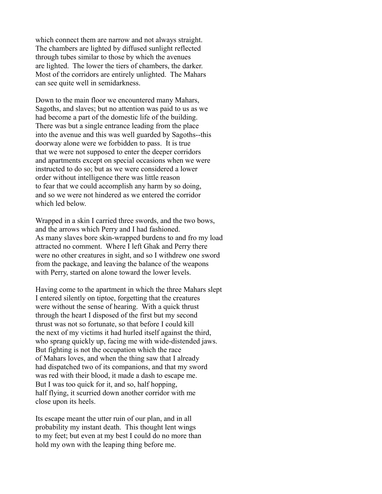which connect them are narrow and not always straight. The chambers are lighted by diffused sunlight reflected through tubes similar to those by which the avenues are lighted. The lower the tiers of chambers, the darker. Most of the corridors are entirely unlighted. The Mahars can see quite well in semidarkness.

Down to the main floor we encountered many Mahars, Sagoths, and slaves; but no attention was paid to us as we had become a part of the domestic life of the building. There was but a single entrance leading from the place into the avenue and this was well guarded by Sagoths--this doorway alone were we forbidden to pass. It is true that we were not supposed to enter the deeper corridors and apartments except on special occasions when we were instructed to do so; but as we were considered a lower order without intelligence there was little reason to fear that we could accomplish any harm by so doing, and so we were not hindered as we entered the corridor which led below.

Wrapped in a skin I carried three swords, and the two bows, and the arrows which Perry and I had fashioned. As many slaves bore skin-wrapped burdens to and fro my load attracted no comment. Where I left Ghak and Perry there were no other creatures in sight, and so I withdrew one sword from the package, and leaving the balance of the weapons with Perry, started on alone toward the lower levels.

Having come to the apartment in which the three Mahars slept I entered silently on tiptoe, forgetting that the creatures were without the sense of hearing. With a quick thrust through the heart I disposed of the first but my second thrust was not so fortunate, so that before I could kill the next of my victims it had hurled itself against the third, who sprang quickly up, facing me with wide-distended jaws. But fighting is not the occupation which the race of Mahars loves, and when the thing saw that I already had dispatched two of its companions, and that my sword was red with their blood, it made a dash to escape me. But I was too quick for it, and so, half hopping, half flying, it scurried down another corridor with me close upon its heels.

Its escape meant the utter ruin of our plan, and in all probability my instant death. This thought lent wings to my feet; but even at my best I could do no more than hold my own with the leaping thing before me.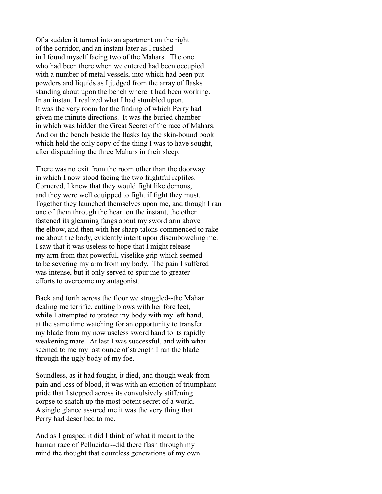Of a sudden it turned into an apartment on the right of the corridor, and an instant later as I rushed in I found myself facing two of the Mahars. The one who had been there when we entered had been occupied with a number of metal vessels, into which had been put powders and liquids as I judged from the array of flasks standing about upon the bench where it had been working. In an instant I realized what I had stumbled upon. It was the very room for the finding of which Perry had given me minute directions. It was the buried chamber in which was hidden the Great Secret of the race of Mahars. And on the bench beside the flasks lay the skin-bound book which held the only copy of the thing I was to have sought, after dispatching the three Mahars in their sleep.

There was no exit from the room other than the doorway in which I now stood facing the two frightful reptiles. Cornered, I knew that they would fight like demons, and they were well equipped to fight if fight they must. Together they launched themselves upon me, and though I ran one of them through the heart on the instant, the other fastened its gleaming fangs about my sword arm above the elbow, and then with her sharp talons commenced to rake me about the body, evidently intent upon disemboweling me. I saw that it was useless to hope that I might release my arm from that powerful, viselike grip which seemed to be severing my arm from my body. The pain I suffered was intense, but it only served to spur me to greater efforts to overcome my antagonist.

Back and forth across the floor we struggled--the Mahar dealing me terrific, cutting blows with her fore feet, while I attempted to protect my body with my left hand, at the same time watching for an opportunity to transfer my blade from my now useless sword hand to its rapidly weakening mate. At last I was successful, and with what seemed to me my last ounce of strength I ran the blade through the ugly body of my foe.

Soundless, as it had fought, it died, and though weak from pain and loss of blood, it was with an emotion of triumphant pride that I stepped across its convulsively stiffening corpse to snatch up the most potent secret of a world. A single glance assured me it was the very thing that Perry had described to me.

And as I grasped it did I think of what it meant to the human race of Pellucidar--did there flash through my mind the thought that countless generations of my own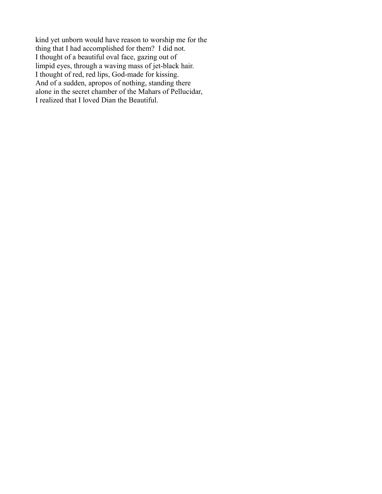kind yet unborn would have reason to worship me for the thing that I had accomplished for them? I did not. I thought of a beautiful oval face, gazing out of limpid eyes, through a waving mass of jet-black hair. I thought of red, red lips, God-made for kissing. And of a sudden, apropos of nothing, standing there alone in the secret chamber of the Mahars of Pellucidar, I realized that I loved Dian the Beautiful.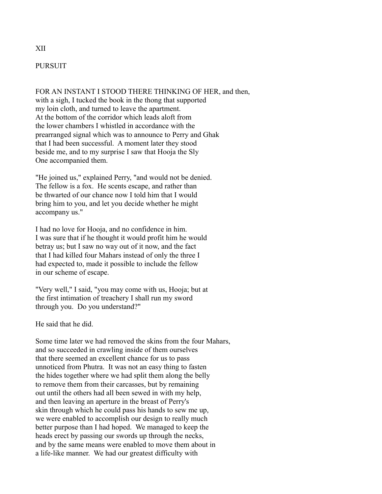# PURSUIT

FOR AN INSTANT I STOOD THERE THINKING OF HER, and then, with a sigh, I tucked the book in the thong that supported my loin cloth, and turned to leave the apartment. At the bottom of the corridor which leads aloft from the lower chambers I whistled in accordance with the prearranged signal which was to announce to Perry and Ghak that I had been successful. A moment later they stood beside me, and to my surprise I saw that Hooja the Sly One accompanied them.

"He joined us," explained Perry, "and would not be denied. The fellow is a fox. He scents escape, and rather than be thwarted of our chance now I told him that I would bring him to you, and let you decide whether he might accompany us."

I had no love for Hooja, and no confidence in him. I was sure that if he thought it would profit him he would betray us; but I saw no way out of it now, and the fact that I had killed four Mahars instead of only the three I had expected to, made it possible to include the fellow in our scheme of escape.

"Very well," I said, "you may come with us, Hooja; but at the first intimation of treachery I shall run my sword through you. Do you understand?"

He said that he did.

Some time later we had removed the skins from the four Mahars, and so succeeded in crawling inside of them ourselves that there seemed an excellent chance for us to pass unnoticed from Phutra. It was not an easy thing to fasten the hides together where we had split them along the belly to remove them from their carcasses, but by remaining out until the others had all been sewed in with my help, and then leaving an aperture in the breast of Perry's skin through which he could pass his hands to sew me up, we were enabled to accomplish our design to really much better purpose than I had hoped. We managed to keep the heads erect by passing our swords up through the necks, and by the same means were enabled to move them about in a life-like manner. We had our greatest difficulty with

### XII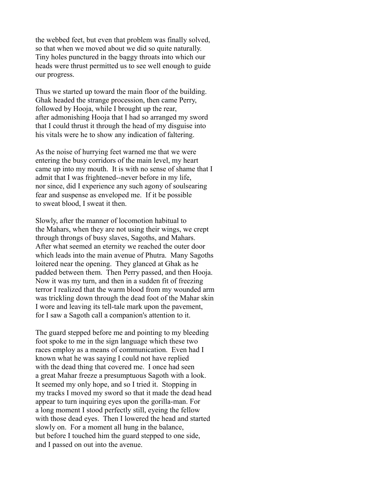the webbed feet, but even that problem was finally solved, so that when we moved about we did so quite naturally. Tiny holes punctured in the baggy throats into which our heads were thrust permitted us to see well enough to guide our progress.

Thus we started up toward the main floor of the building. Ghak headed the strange procession, then came Perry, followed by Hooja, while I brought up the rear, after admonishing Hooja that I had so arranged my sword that I could thrust it through the head of my disguise into his vitals were he to show any indication of faltering.

As the noise of hurrying feet warned me that we were entering the busy corridors of the main level, my heart came up into my mouth. It is with no sense of shame that I admit that I was frightened--never before in my life, nor since, did I experience any such agony of soulsearing fear and suspense as enveloped me. If it be possible to sweat blood, I sweat it then.

Slowly, after the manner of locomotion habitual to the Mahars, when they are not using their wings, we crept through throngs of busy slaves, Sagoths, and Mahars. After what seemed an eternity we reached the outer door which leads into the main avenue of Phutra. Many Sagoths loitered near the opening. They glanced at Ghak as he padded between them. Then Perry passed, and then Hooja. Now it was my turn, and then in a sudden fit of freezing terror I realized that the warm blood from my wounded arm was trickling down through the dead foot of the Mahar skin I wore and leaving its tell-tale mark upon the pavement, for I saw a Sagoth call a companion's attention to it.

The guard stepped before me and pointing to my bleeding foot spoke to me in the sign language which these two races employ as a means of communication. Even had I known what he was saying I could not have replied with the dead thing that covered me. I once had seen a great Mahar freeze a presumptuous Sagoth with a look. It seemed my only hope, and so I tried it. Stopping in my tracks I moved my sword so that it made the dead head appear to turn inquiring eyes upon the gorilla-man. For a long moment I stood perfectly still, eyeing the fellow with those dead eyes. Then I lowered the head and started slowly on. For a moment all hung in the balance, but before I touched him the guard stepped to one side, and I passed on out into the avenue.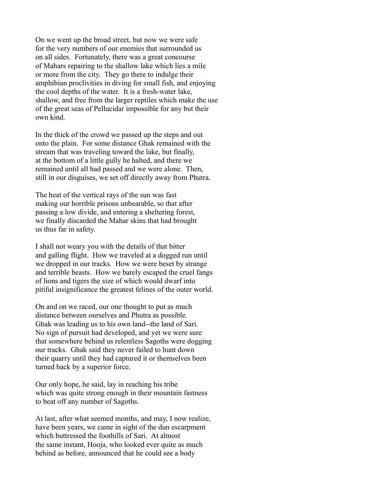On we went up the broad street, but now we were safe for the very numbers of our enemies that surrounded us on all sides. Fortunately, there was a great concourse of Mahars repairing to the shallow lake which lies a mile or more from the city. They go there to indulge their amphibian proclivities in diving for small fish, and enjoying the cool depths of the water. It is a fresh-water lake, shallow, and free from the larger reptiles which make the use of the great seas of Pellucidar impossible for any but their own kind.

In the thick of the crowd we passed up the steps and out onto the plain. For some distance Ghak remained with the stream that was traveling toward the lake, but finally, at the bottom of a little gully he halted, and there we remained until all had passed and we were alone. Then, still in our disguises, we set off directly away from Phutra.

The heat of the vertical rays of the sun was fast making our horrible prisons unbearable, so that after passing a low divide, and entering a sheltering forest, we finally discarded the Mahar skins that had brought us thus far in safety.

I shall not weary you with the details of that bitter and galling flight. How we traveled at a dogged run until we dropped in our tracks. How we were beset by strange and terrible beasts. How we barely escaped the cruel fangs of lions and tigers the size of which would dwarf into pitiful insignificance the greatest felines of the outer world.

On and on we raced, our one thought to put as much distance between ourselves and Phutra as possible. Ghak was leading us to his own land--the land of Sari. No sign of pursuit had developed, and yet we were sure that somewhere behind us relentless Sagoths were dogging our tracks. Ghak said they never failed to hunt down their quarry until they had captured it or themselves been turned back by a superior force.

Our only hope, he said, lay in reaching his tribe which was quite strong enough in their mountain fastness to beat off any number of Sagoths.

At last, after what seemed months, and may, I now realize, have been years, we came in sight of the dun escarpment which buttressed the foothills of Sari. At almost the same instant, Hooja, who looked ever quite as much behind as before, announced that he could see a body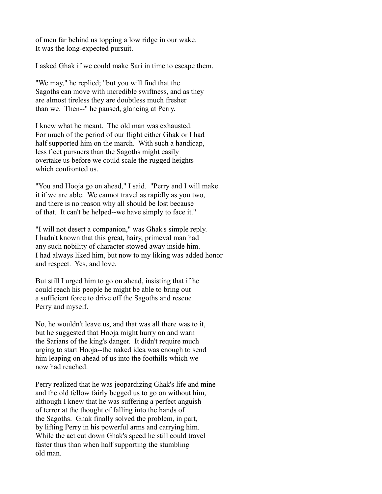of men far behind us topping a low ridge in our wake. It was the long-expected pursuit.

I asked Ghak if we could make Sari in time to escape them.

"We may," he replied; "but you will find that the Sagoths can move with incredible swiftness, and as they are almost tireless they are doubtless much fresher than we. Then--" he paused, glancing at Perry.

I knew what he meant. The old man was exhausted. For much of the period of our flight either Ghak or I had half supported him on the march. With such a handicap, less fleet pursuers than the Sagoths might easily overtake us before we could scale the rugged heights which confronted us.

"You and Hooja go on ahead," I said. "Perry and I will make it if we are able. We cannot travel as rapidly as you two, and there is no reason why all should be lost because of that. It can't be helped--we have simply to face it."

"I will not desert a companion," was Ghak's simple reply. I hadn't known that this great, hairy, primeval man had any such nobility of character stowed away inside him. I had always liked him, but now to my liking was added honor and respect. Yes, and love.

But still I urged him to go on ahead, insisting that if he could reach his people he might be able to bring out a sufficient force to drive off the Sagoths and rescue Perry and myself.

No, he wouldn't leave us, and that was all there was to it, but he suggested that Hooja might hurry on and warn the Sarians of the king's danger. It didn't require much urging to start Hooja--the naked idea was enough to send him leaping on ahead of us into the foothills which we now had reached.

Perry realized that he was jeopardizing Ghak's life and mine and the old fellow fairly begged us to go on without him, although I knew that he was suffering a perfect anguish of terror at the thought of falling into the hands of the Sagoths. Ghak finally solved the problem, in part, by lifting Perry in his powerful arms and carrying him. While the act cut down Ghak's speed he still could travel faster thus than when half supporting the stumbling old man.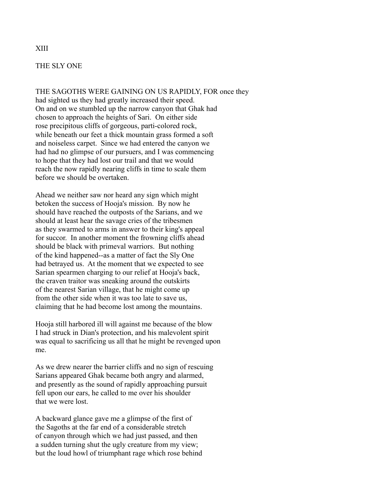## THE SLY ONE

THE SAGOTHS WERE GAINING ON US RAPIDLY, FOR once they had sighted us they had greatly increased their speed. On and on we stumbled up the narrow canyon that Ghak had chosen to approach the heights of Sari. On either side rose precipitous cliffs of gorgeous, parti-colored rock, while beneath our feet a thick mountain grass formed a soft and noiseless carpet. Since we had entered the canyon we had had no glimpse of our pursuers, and I was commencing to hope that they had lost our trail and that we would reach the now rapidly nearing cliffs in time to scale them before we should be overtaken.

Ahead we neither saw nor heard any sign which might betoken the success of Hooja's mission. By now he should have reached the outposts of the Sarians, and we should at least hear the savage cries of the tribesmen as they swarmed to arms in answer to their king's appeal for succor. In another moment the frowning cliffs ahead should be black with primeval warriors. But nothing of the kind happened--as a matter of fact the Sly One had betrayed us. At the moment that we expected to see Sarian spearmen charging to our relief at Hooja's back, the craven traitor was sneaking around the outskirts of the nearest Sarian village, that he might come up from the other side when it was too late to save us, claiming that he had become lost among the mountains.

Hooja still harbored ill will against me because of the blow I had struck in Dian's protection, and his malevolent spirit was equal to sacrificing us all that he might be revenged upon me.

As we drew nearer the barrier cliffs and no sign of rescuing Sarians appeared Ghak became both angry and alarmed, and presently as the sound of rapidly approaching pursuit fell upon our ears, he called to me over his shoulder that we were lost.

A backward glance gave me a glimpse of the first of the Sagoths at the far end of a considerable stretch of canyon through which we had just passed, and then a sudden turning shut the ugly creature from my view; but the loud howl of triumphant rage which rose behind

## XIII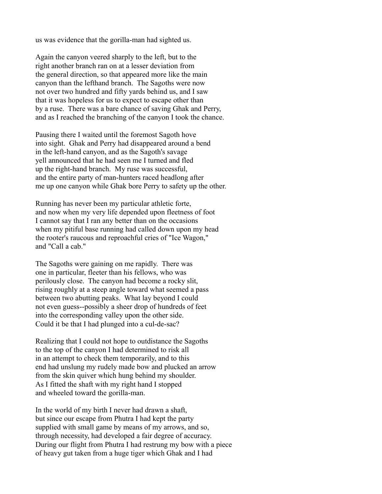us was evidence that the gorilla-man had sighted us.

Again the canyon veered sharply to the left, but to the right another branch ran on at a lesser deviation from the general direction, so that appeared more like the main canyon than the lefthand branch. The Sagoths were now not over two hundred and fifty yards behind us, and I saw that it was hopeless for us to expect to escape other than by a ruse. There was a bare chance of saving Ghak and Perry, and as I reached the branching of the canyon I took the chance.

Pausing there I waited until the foremost Sagoth hove into sight. Ghak and Perry had disappeared around a bend in the left-hand canyon, and as the Sagoth's savage yell announced that he had seen me I turned and fled up the right-hand branch. My ruse was successful, and the entire party of man-hunters raced headlong after me up one canyon while Ghak bore Perry to safety up the other.

Running has never been my particular athletic forte, and now when my very life depended upon fleetness of foot I cannot say that I ran any better than on the occasions when my pitiful base running had called down upon my head the rooter's raucous and reproachful cries of "Ice Wagon," and "Call a cab."

The Sagoths were gaining on me rapidly. There was one in particular, fleeter than his fellows, who was perilously close. The canyon had become a rocky slit, rising roughly at a steep angle toward what seemed a pass between two abutting peaks. What lay beyond I could not even guess--possibly a sheer drop of hundreds of feet into the corresponding valley upon the other side. Could it be that I had plunged into a cul-de-sac?

Realizing that I could not hope to outdistance the Sagoths to the top of the canyon I had determined to risk all in an attempt to check them temporarily, and to this end had unslung my rudely made bow and plucked an arrow from the skin quiver which hung behind my shoulder. As I fitted the shaft with my right hand I stopped and wheeled toward the gorilla-man.

In the world of my birth I never had drawn a shaft, but since our escape from Phutra I had kept the party supplied with small game by means of my arrows, and so, through necessity, had developed a fair degree of accuracy. During our flight from Phutra I had restrung my bow with a piece of heavy gut taken from a huge tiger which Ghak and I had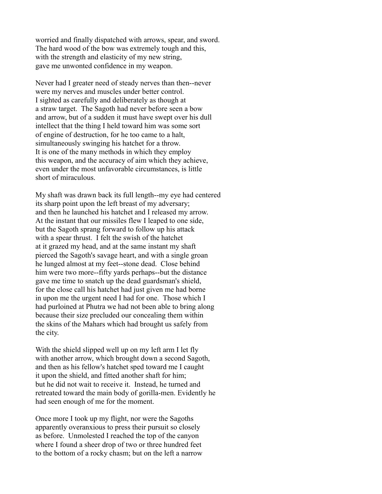worried and finally dispatched with arrows, spear, and sword. The hard wood of the bow was extremely tough and this, with the strength and elasticity of my new string. gave me unwonted confidence in my weapon.

Never had I greater need of steady nerves than then--never were my nerves and muscles under better control. I sighted as carefully and deliberately as though at a straw target. The Sagoth had never before seen a bow and arrow, but of a sudden it must have swept over his dull intellect that the thing I held toward him was some sort of engine of destruction, for he too came to a halt, simultaneously swinging his hatchet for a throw. It is one of the many methods in which they employ this weapon, and the accuracy of aim which they achieve, even under the most unfavorable circumstances, is little short of miraculous.

My shaft was drawn back its full length--my eye had centered its sharp point upon the left breast of my adversary; and then he launched his hatchet and I released my arrow. At the instant that our missiles flew I leaped to one side, but the Sagoth sprang forward to follow up his attack with a spear thrust. I felt the swish of the hatchet at it grazed my head, and at the same instant my shaft pierced the Sagoth's savage heart, and with a single groan he lunged almost at my feet--stone dead. Close behind him were two more--fifty yards perhaps--but the distance gave me time to snatch up the dead guardsman's shield, for the close call his hatchet had just given me had borne in upon me the urgent need I had for one. Those which I had purloined at Phutra we had not been able to bring along because their size precluded our concealing them within the skins of the Mahars which had brought us safely from the city.

With the shield slipped well up on my left arm I let fly with another arrow, which brought down a second Sagoth, and then as his fellow's hatchet sped toward me I caught it upon the shield, and fitted another shaft for him; but he did not wait to receive it. Instead, he turned and retreated toward the main body of gorilla-men. Evidently he had seen enough of me for the moment.

Once more I took up my flight, nor were the Sagoths apparently overanxious to press their pursuit so closely as before. Unmolested I reached the top of the canyon where I found a sheer drop of two or three hundred feet to the bottom of a rocky chasm; but on the left a narrow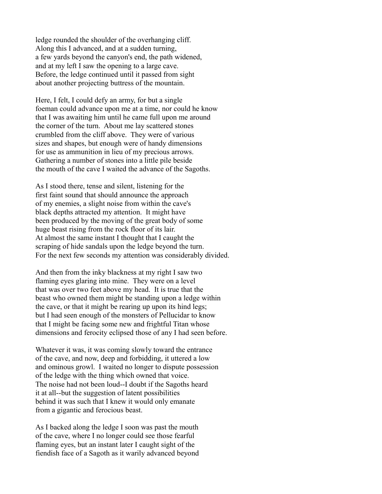ledge rounded the shoulder of the overhanging cliff. Along this I advanced, and at a sudden turning, a few yards beyond the canyon's end, the path widened, and at my left I saw the opening to a large cave. Before, the ledge continued until it passed from sight about another projecting buttress of the mountain.

Here, I felt, I could defy an army, for but a single foeman could advance upon me at a time, nor could he know that I was awaiting him until he came full upon me around the corner of the turn. About me lay scattered stones crumbled from the cliff above. They were of various sizes and shapes, but enough were of handy dimensions for use as ammunition in lieu of my precious arrows. Gathering a number of stones into a little pile beside the mouth of the cave I waited the advance of the Sagoths.

As I stood there, tense and silent, listening for the first faint sound that should announce the approach of my enemies, a slight noise from within the cave's black depths attracted my attention. It might have been produced by the moving of the great body of some huge beast rising from the rock floor of its lair. At almost the same instant I thought that I caught the scraping of hide sandals upon the ledge beyond the turn. For the next few seconds my attention was considerably divided.

And then from the inky blackness at my right I saw two flaming eyes glaring into mine. They were on a level that was over two feet above my head. It is true that the beast who owned them might be standing upon a ledge within the cave, or that it might be rearing up upon its hind legs; but I had seen enough of the monsters of Pellucidar to know that I might be facing some new and frightful Titan whose dimensions and ferocity eclipsed those of any I had seen before.

Whatever it was, it was coming slowly toward the entrance of the cave, and now, deep and forbidding, it uttered a low and ominous growl. I waited no longer to dispute possession of the ledge with the thing which owned that voice. The noise had not been loud--I doubt if the Sagoths heard it at all--but the suggestion of latent possibilities behind it was such that I knew it would only emanate from a gigantic and ferocious beast.

As I backed along the ledge I soon was past the mouth of the cave, where I no longer could see those fearful flaming eyes, but an instant later I caught sight of the fiendish face of a Sagoth as it warily advanced beyond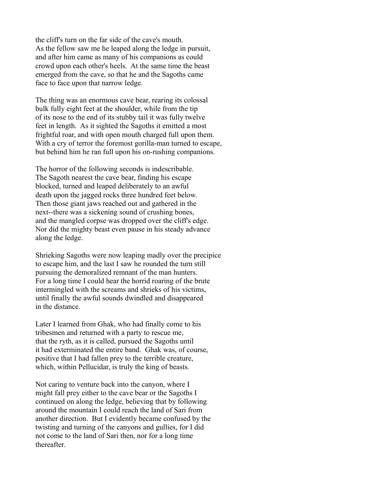the cliff's turn on the far side of the cave's mouth. As the fellow saw me he leaped along the ledge in pursuit, and after him came as many of his companions as could crowd upon each other's heels. At the same time the beast emerged from the cave, so that he and the Sagoths came face to face upon that narrow ledge.

The thing was an enormous cave bear, rearing its colossal bulk fully eight feet at the shoulder, while from the tip of its nose to the end of its stubby tail it was fully twelve feet in length. As it sighted the Sagoths it emitted a most frightful roar, and with open mouth charged full upon them. With a cry of terror the foremost gorilla-man turned to escape, but behind him he ran full upon his on-rushing companions.

The horror of the following seconds is indescribable. The Sagoth nearest the cave bear, finding his escape blocked, turned and leaped deliberately to an awful death upon the jagged rocks three hundred feet below. Then those giant jaws reached out and gathered in the next--there was a sickening sound of crushing bones, and the mangled corpse was dropped over the cliff's edge. Nor did the mighty beast even pause in his steady advance along the ledge.

Shrieking Sagoths were now leaping madly over the precipice to escape him, and the last I saw he rounded the turn still pursuing the demoralized remnant of the man hunters. For a long time I could hear the horrid roaring of the brute intermingled with the screams and shrieks of his victims, until finally the awful sounds dwindled and disappeared in the distance.

Later I learned from Ghak, who had finally come to his tribesmen and returned with a party to rescue me, that the ryth, as it is called, pursued the Sagoths until it had exterminated the entire band. Ghak was, of course, positive that I had fallen prey to the terrible creature, which, within Pellucidar, is truly the king of beasts.

Not caring to venture back into the canyon, where I might fall prey either to the cave bear or the Sagoths I continued on along the ledge, believing that by following around the mountain I could reach the land of Sari from another direction. But I evidently became confused by the twisting and turning of the canyons and gullies, for I did not come to the land of Sari then, nor for a long time **thereafter**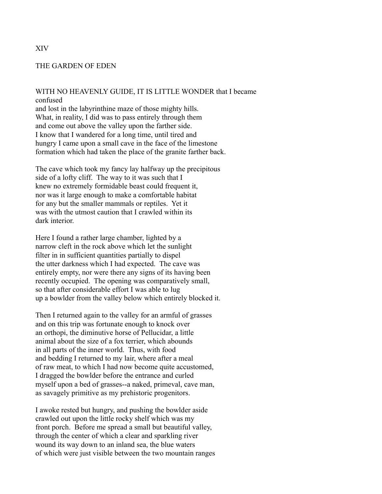## THE GARDEN OF EDEN

# WITH NO HEAVENLY GUIDE, IT IS LITTLE WONDER that I became confused

and lost in the labyrinthine maze of those mighty hills. What, in reality, I did was to pass entirely through them and come out above the valley upon the farther side. I know that I wandered for a long time, until tired and hungry I came upon a small cave in the face of the limestone formation which had taken the place of the granite farther back.

The cave which took my fancy lay halfway up the precipitous side of a lofty cliff. The way to it was such that I knew no extremely formidable beast could frequent it, nor was it large enough to make a comfortable habitat for any but the smaller mammals or reptiles. Yet it was with the utmost caution that I crawled within its dark interior

Here I found a rather large chamber, lighted by a narrow cleft in the rock above which let the sunlight filter in in sufficient quantities partially to dispel the utter darkness which I had expected. The cave was entirely empty, nor were there any signs of its having been recently occupied. The opening was comparatively small, so that after considerable effort I was able to lug up a bowlder from the valley below which entirely blocked it.

Then I returned again to the valley for an armful of grasses and on this trip was fortunate enough to knock over an orthopi, the diminutive horse of Pellucidar, a little animal about the size of a fox terrier, which abounds in all parts of the inner world. Thus, with food and bedding I returned to my lair, where after a meal of raw meat, to which I had now become quite accustomed, I dragged the bowlder before the entrance and curled myself upon a bed of grasses--a naked, primeval, cave man, as savagely primitive as my prehistoric progenitors.

I awoke rested but hungry, and pushing the bowlder aside crawled out upon the little rocky shelf which was my front porch. Before me spread a small but beautiful valley, through the center of which a clear and sparkling river wound its way down to an inland sea, the blue waters of which were just visible between the two mountain ranges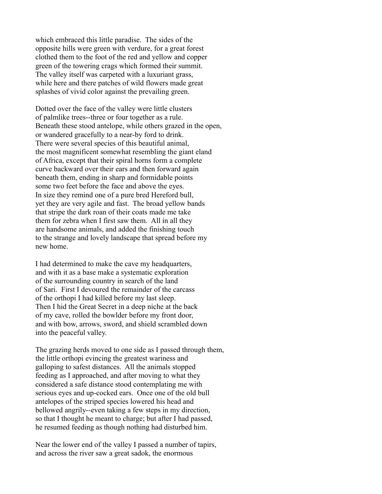which embraced this little paradise. The sides of the opposite hills were green with verdure, for a great forest clothed them to the foot of the red and yellow and copper green of the towering crags which formed their summit. The valley itself was carpeted with a luxuriant grass, while here and there patches of wild flowers made great splashes of vivid color against the prevailing green.

Dotted over the face of the valley were little clusters of palmlike trees--three or four together as a rule. Beneath these stood antelope, while others grazed in the open, or wandered gracefully to a near-by ford to drink. There were several species of this beautiful animal, the most magnificent somewhat resembling the giant eland of Africa, except that their spiral horns form a complete curve backward over their ears and then forward again beneath them, ending in sharp and formidable points some two feet before the face and above the eyes. In size they remind one of a pure bred Hereford bull, yet they are very agile and fast. The broad yellow bands that stripe the dark roan of their coats made me take them for zebra when I first saw them. All in all they are handsome animals, and added the finishing touch to the strange and lovely landscape that spread before my new home.

I had determined to make the cave my headquarters, and with it as a base make a systematic exploration of the surrounding country in search of the land of Sari. First I devoured the remainder of the carcass of the orthopi I had killed before my last sleep. Then I hid the Great Secret in a deep niche at the back of my cave, rolled the bowlder before my front door, and with bow, arrows, sword, and shield scrambled down into the peaceful valley.

The grazing herds moved to one side as I passed through them, the little orthopi evincing the greatest wariness and galloping to safest distances. All the animals stopped feeding as I approached, and after moving to what they considered a safe distance stood contemplating me with serious eyes and up-cocked ears. Once one of the old bull antelopes of the striped species lowered his head and bellowed angrily--even taking a few steps in my direction, so that I thought he meant to charge; but after I had passed, he resumed feeding as though nothing had disturbed him.

Near the lower end of the valley I passed a number of tapirs, and across the river saw a great sadok, the enormous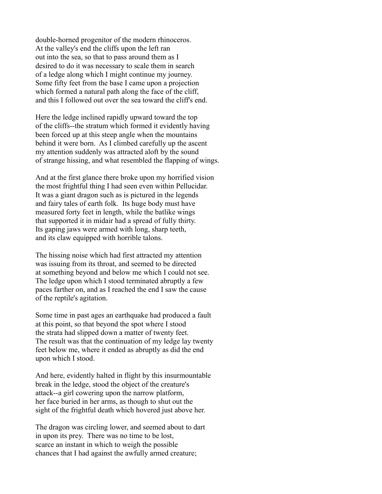double-horned progenitor of the modern rhinoceros. At the valley's end the cliffs upon the left ran out into the sea, so that to pass around them as I desired to do it was necessary to scale them in search of a ledge along which I might continue my journey. Some fifty feet from the base I came upon a projection which formed a natural path along the face of the cliff, and this I followed out over the sea toward the cliff's end.

Here the ledge inclined rapidly upward toward the top of the cliffs--the stratum which formed it evidently having been forced up at this steep angle when the mountains behind it were born. As I climbed carefully up the ascent my attention suddenly was attracted aloft by the sound of strange hissing, and what resembled the flapping of wings.

And at the first glance there broke upon my horrified vision the most frightful thing I had seen even within Pellucidar. It was a giant dragon such as is pictured in the legends and fairy tales of earth folk. Its huge body must have measured forty feet in length, while the batlike wings that supported it in midair had a spread of fully thirty. Its gaping jaws were armed with long, sharp teeth, and its claw equipped with horrible talons.

The hissing noise which had first attracted my attention was issuing from its throat, and seemed to be directed at something beyond and below me which I could not see. The ledge upon which I stood terminated abruptly a few paces farther on, and as I reached the end I saw the cause of the reptile's agitation.

Some time in past ages an earthquake had produced a fault at this point, so that beyond the spot where I stood the strata had slipped down a matter of twenty feet. The result was that the continuation of my ledge lay twenty feet below me, where it ended as abruptly as did the end upon which I stood.

And here, evidently halted in flight by this insurmountable break in the ledge, stood the object of the creature's attack--a girl cowering upon the narrow platform, her face buried in her arms, as though to shut out the sight of the frightful death which hovered just above her.

The dragon was circling lower, and seemed about to dart in upon its prey. There was no time to be lost, scarce an instant in which to weigh the possible chances that I had against the awfully armed creature;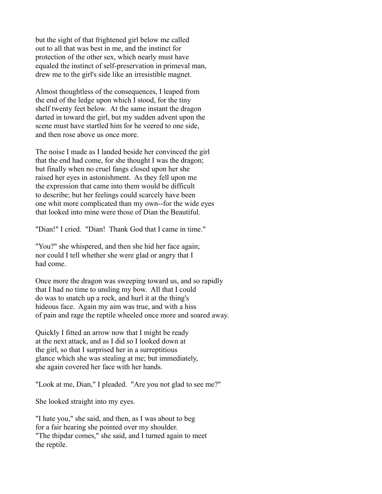but the sight of that frightened girl below me called out to all that was best in me, and the instinct for protection of the other sex, which nearly must have equaled the instinct of self-preservation in primeval man, drew me to the girl's side like an irresistible magnet.

Almost thoughtless of the consequences, I leaped from the end of the ledge upon which I stood, for the tiny shelf twenty feet below. At the same instant the dragon darted in toward the girl, but my sudden advent upon the scene must have startled him for he veered to one side, and then rose above us once more.

The noise I made as I landed beside her convinced the girl that the end had come, for she thought I was the dragon; but finally when no cruel fangs closed upon her she raised her eyes in astonishment. As they fell upon me the expression that came into them would be difficult to describe; but her feelings could scarcely have been one whit more complicated than my own--for the wide eyes that looked into mine were those of Dian the Beautiful.

"Dian!" I cried. "Dian! Thank God that I came in time."

"You?" she whispered, and then she hid her face again; nor could I tell whether she were glad or angry that I had come.

Once more the dragon was sweeping toward us, and so rapidly that I had no time to unsling my bow. All that I could do was to snatch up a rock, and hurl it at the thing's hideous face. Again my aim was true, and with a hiss of pain and rage the reptile wheeled once more and soared away.

Quickly I fitted an arrow now that I might be ready at the next attack, and as I did so I looked down at the girl, so that I surprised her in a surreptitious glance which she was stealing at me; but immediately, she again covered her face with her hands.

"Look at me, Dian," I pleaded. "Are you not glad to see me?"

She looked straight into my eyes.

"I hate you," she said, and then, as I was about to beg for a fair hearing she pointed over my shoulder. "The thipdar comes," she said, and I turned again to meet the reptile.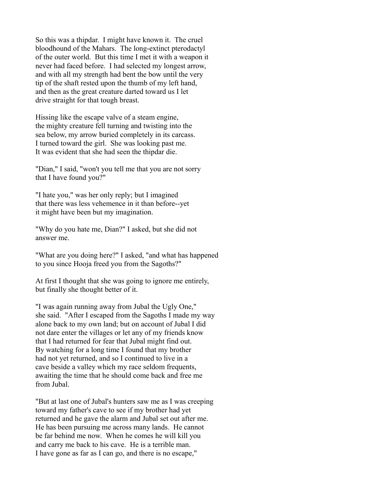So this was a thipdar. I might have known it. The cruel bloodhound of the Mahars. The long-extinct pterodactyl of the outer world. But this time I met it with a weapon it never had faced before. I had selected my longest arrow, and with all my strength had bent the bow until the very tip of the shaft rested upon the thumb of my left hand, and then as the great creature darted toward us I let drive straight for that tough breast.

Hissing like the escape valve of a steam engine, the mighty creature fell turning and twisting into the sea below, my arrow buried completely in its carcass. I turned toward the girl. She was looking past me. It was evident that she had seen the thipdar die.

"Dian," I said, "won't you tell me that you are not sorry that I have found you?"

"I hate you," was her only reply; but I imagined that there was less vehemence in it than before--yet it might have been but my imagination.

"Why do you hate me, Dian?" I asked, but she did not answer me.

"What are you doing here?" I asked, "and what has happened to you since Hooja freed you from the Sagoths?"

At first I thought that she was going to ignore me entirely, but finally she thought better of it.

"I was again running away from Jubal the Ugly One," she said. "After I escaped from the Sagoths I made my way alone back to my own land; but on account of Jubal I did not dare enter the villages or let any of my friends know that I had returned for fear that Jubal might find out. By watching for a long time I found that my brother had not yet returned, and so I continued to live in a cave beside a valley which my race seldom frequents, awaiting the time that he should come back and free me from Jubal.

"But at last one of Jubal's hunters saw me as I was creeping toward my father's cave to see if my brother had yet returned and he gave the alarm and Jubal set out after me. He has been pursuing me across many lands. He cannot be far behind me now. When he comes he will kill you and carry me back to his cave. He is a terrible man. I have gone as far as I can go, and there is no escape,"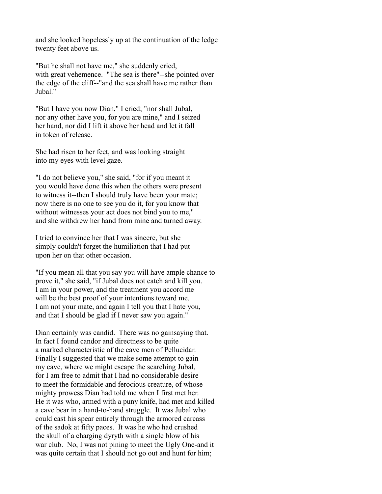and she looked hopelessly up at the continuation of the ledge twenty feet above us.

"But he shall not have me," she suddenly cried, with great vehemence. "The sea is there"--she pointed over the edge of the cliff--"and the sea shall have me rather than Jubal<sup>"</sup>

"But I have you now Dian," I cried; "nor shall Jubal, nor any other have you, for you are mine," and I seized her hand, nor did I lift it above her head and let it fall in token of release.

She had risen to her feet, and was looking straight into my eyes with level gaze.

"I do not believe you," she said, "for if you meant it you would have done this when the others were present to witness it--then I should truly have been your mate; now there is no one to see you do it, for you know that without witnesses your act does not bind you to me," and she withdrew her hand from mine and turned away.

I tried to convince her that I was sincere, but she simply couldn't forget the humiliation that I had put upon her on that other occasion.

"If you mean all that you say you will have ample chance to prove it," she said, "if Jubal does not catch and kill you. I am in your power, and the treatment you accord me will be the best proof of your intentions toward me. I am not your mate, and again I tell you that I hate you, and that I should be glad if I never saw you again."

Dian certainly was candid. There was no gainsaying that. In fact I found candor and directness to be quite a marked characteristic of the cave men of Pellucidar. Finally I suggested that we make some attempt to gain my cave, where we might escape the searching Jubal, for I am free to admit that I had no considerable desire to meet the formidable and ferocious creature, of whose mighty prowess Dian had told me when I first met her. He it was who, armed with a puny knife, had met and killed a cave bear in a hand-to-hand struggle. It was Jubal who could cast his spear entirely through the armored carcass of the sadok at fifty paces. It was he who had crushed the skull of a charging dyryth with a single blow of his war club. No, I was not pining to meet the Ugly One-and it was quite certain that I should not go out and hunt for him;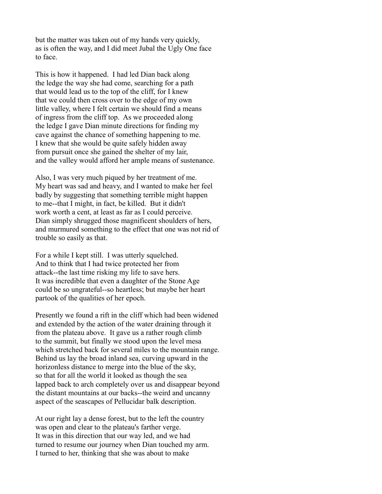but the matter was taken out of my hands very quickly, as is often the way, and I did meet Jubal the Ugly One face to face.

This is how it happened. I had led Dian back along the ledge the way she had come, searching for a path that would lead us to the top of the cliff, for I knew that we could then cross over to the edge of my own little valley, where I felt certain we should find a means of ingress from the cliff top. As we proceeded along the ledge I gave Dian minute directions for finding my cave against the chance of something happening to me. I knew that she would be quite safely hidden away from pursuit once she gained the shelter of my lair, and the valley would afford her ample means of sustenance.

Also, I was very much piqued by her treatment of me. My heart was sad and heavy, and I wanted to make her feel badly by suggesting that something terrible might happen to me--that I might, in fact, be killed. But it didn't work worth a cent, at least as far as I could perceive. Dian simply shrugged those magnificent shoulders of hers, and murmured something to the effect that one was not rid of trouble so easily as that.

For a while I kept still. I was utterly squelched. And to think that I had twice protected her from attack--the last time risking my life to save hers. It was incredible that even a daughter of the Stone Age could be so ungrateful--so heartless; but maybe her heart partook of the qualities of her epoch.

Presently we found a rift in the cliff which had been widened and extended by the action of the water draining through it from the plateau above. It gave us a rather rough climb to the summit, but finally we stood upon the level mesa which stretched back for several miles to the mountain range. Behind us lay the broad inland sea, curving upward in the horizonless distance to merge into the blue of the sky, so that for all the world it looked as though the sea lapped back to arch completely over us and disappear beyond the distant mountains at our backs--the weird and uncanny aspect of the seascapes of Pellucidar balk description.

At our right lay a dense forest, but to the left the country was open and clear to the plateau's farther verge. It was in this direction that our way led, and we had turned to resume our journey when Dian touched my arm. I turned to her, thinking that she was about to make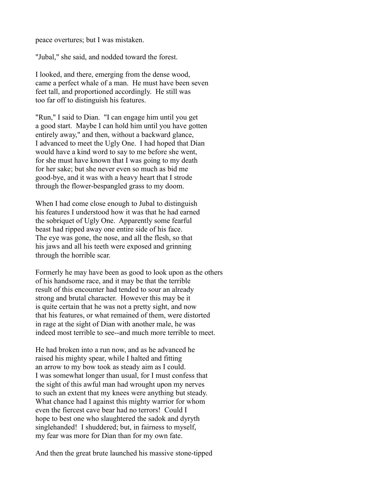peace overtures; but I was mistaken.

"Jubal," she said, and nodded toward the forest.

I looked, and there, emerging from the dense wood, came a perfect whale of a man. He must have been seven feet tall, and proportioned accordingly. He still was too far off to distinguish his features.

"Run," I said to Dian. "I can engage him until you get a good start. Maybe I can hold him until you have gotten entirely away," and then, without a backward glance, I advanced to meet the Ugly One. I had hoped that Dian would have a kind word to say to me before she went, for she must have known that I was going to my death for her sake; but she never even so much as bid me good-bye, and it was with a heavy heart that I strode through the flower-bespangled grass to my doom.

When I had come close enough to Jubal to distinguish his features I understood how it was that he had earned the sobriquet of Ugly One. Apparently some fearful beast had ripped away one entire side of his face. The eye was gone, the nose, and all the flesh, so that his jaws and all his teeth were exposed and grinning through the horrible scar.

Formerly he may have been as good to look upon as the others of his handsome race, and it may be that the terrible result of this encounter had tended to sour an already strong and brutal character. However this may be it is quite certain that he was not a pretty sight, and now that his features, or what remained of them, were distorted in rage at the sight of Dian with another male, he was indeed most terrible to see--and much more terrible to meet.

He had broken into a run now, and as he advanced he raised his mighty spear, while I halted and fitting an arrow to my bow took as steady aim as I could. I was somewhat longer than usual, for I must confess that the sight of this awful man had wrought upon my nerves to such an extent that my knees were anything but steady. What chance had I against this mighty warrior for whom even the fiercest cave bear had no terrors! Could I hope to best one who slaughtered the sadok and dyryth singlehanded! I shuddered; but, in fairness to myself, my fear was more for Dian than for my own fate.

And then the great brute launched his massive stone-tipped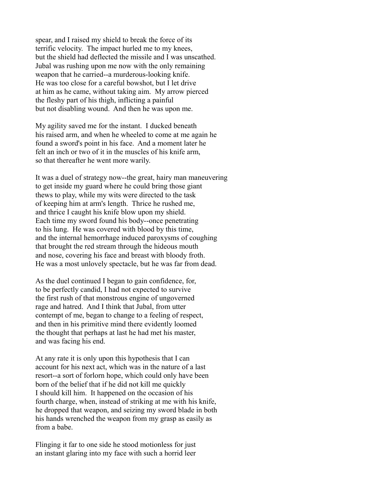spear, and I raised my shield to break the force of its terrific velocity. The impact hurled me to my knees, but the shield had deflected the missile and I was unscathed. Jubal was rushing upon me now with the only remaining weapon that he carried--a murderous-looking knife. He was too close for a careful bowshot, but I let drive at him as he came, without taking aim. My arrow pierced the fleshy part of his thigh, inflicting a painful but not disabling wound. And then he was upon me.

My agility saved me for the instant. I ducked beneath his raised arm, and when he wheeled to come at me again he found a sword's point in his face. And a moment later he felt an inch or two of it in the muscles of his knife arm, so that thereafter he went more warily.

It was a duel of strategy now--the great, hairy man maneuvering to get inside my guard where he could bring those giant thews to play, while my wits were directed to the task of keeping him at arm's length. Thrice he rushed me, and thrice I caught his knife blow upon my shield. Each time my sword found his body--once penetrating to his lung. He was covered with blood by this time, and the internal hemorrhage induced paroxysms of coughing that brought the red stream through the hideous mouth and nose, covering his face and breast with bloody froth. He was a most unlovely spectacle, but he was far from dead.

As the duel continued I began to gain confidence, for, to be perfectly candid, I had not expected to survive the first rush of that monstrous engine of ungoverned rage and hatred. And I think that Jubal, from utter contempt of me, began to change to a feeling of respect, and then in his primitive mind there evidently loomed the thought that perhaps at last he had met his master, and was facing his end.

At any rate it is only upon this hypothesis that I can account for his next act, which was in the nature of a last resort--a sort of forlorn hope, which could only have been born of the belief that if he did not kill me quickly I should kill him. It happened on the occasion of his fourth charge, when, instead of striking at me with his knife, he dropped that weapon, and seizing my sword blade in both his hands wrenched the weapon from my grasp as easily as from a babe.

Flinging it far to one side he stood motionless for just an instant glaring into my face with such a horrid leer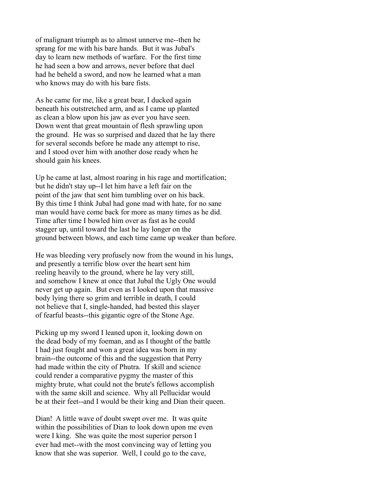of malignant triumph as to almost unnerve me--then he sprang for me with his bare hands. But it was Jubal's day to learn new methods of warfare. For the first time he had seen a bow and arrows, never before that duel had he beheld a sword, and now he learned what a man who knows may do with his bare fists.

As he came for me, like a great bear, I ducked again beneath his outstretched arm, and as I came up planted as clean a blow upon his jaw as ever you have seen. Down went that great mountain of flesh sprawling upon the ground. He was so surprised and dazed that he lay there for several seconds before he made any attempt to rise, and I stood over him with another dose ready when he should gain his knees.

Up he came at last, almost roaring in his rage and mortification; but he didn't stay up--I let him have a left fair on the point of the jaw that sent him tumbling over on his back. By this time I think Jubal had gone mad with hate, for no sane man would have come back for more as many times as he did. Time after time I bowled him over as fast as he could stagger up, until toward the last he lay longer on the ground between blows, and each time came up weaker than before.

He was bleeding very profusely now from the wound in his lungs, and presently a terrific blow over the heart sent him reeling heavily to the ground, where he lay very still, and somehow I knew at once that Jubal the Ugly One would never get up again. But even as I looked upon that massive body lying there so grim and terrible in death, I could not believe that I, single-handed, had bested this slayer of fearful beasts--this gigantic ogre of the Stone Age.

Picking up my sword I leaned upon it, looking down on the dead body of my foeman, and as I thought of the battle I had just fought and won a great idea was born in my brain--the outcome of this and the suggestion that Perry had made within the city of Phutra. If skill and science could render a comparative pygmy the master of this mighty brute, what could not the brute's fellows accomplish with the same skill and science. Why all Pellucidar would be at their feet--and I would be their king and Dian their queen.

Dian! A little wave of doubt swept over me. It was quite within the possibilities of Dian to look down upon me even were I king. She was quite the most superior person I ever had met--with the most convincing way of letting you know that she was superior. Well, I could go to the cave,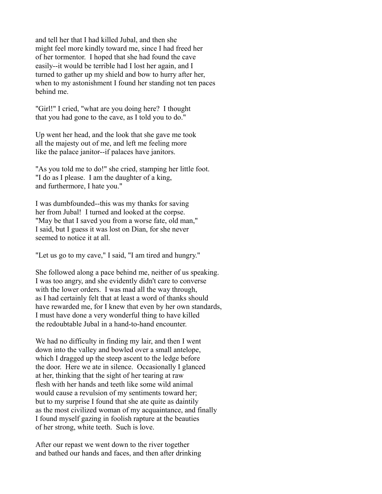and tell her that I had killed Jubal, and then she might feel more kindly toward me, since I had freed her of her tormentor. I hoped that she had found the cave easily--it would be terrible had I lost her again, and I turned to gather up my shield and bow to hurry after her, when to my astonishment I found her standing not ten paces behind me.

"Girl!" I cried, "what are you doing here? I thought that you had gone to the cave, as I told you to do."

Up went her head, and the look that she gave me took all the majesty out of me, and left me feeling more like the palace janitor--if palaces have janitors.

"As you told me to do!" she cried, stamping her little foot. "I do as I please. I am the daughter of a king, and furthermore, I hate you."

I was dumbfounded--this was my thanks for saving her from Jubal! I turned and looked at the corpse. "May be that I saved you from a worse fate, old man," I said, but I guess it was lost on Dian, for she never seemed to notice it at all.

"Let us go to my cave," I said, "I am tired and hungry."

She followed along a pace behind me, neither of us speaking. I was too angry, and she evidently didn't care to converse with the lower orders. I was mad all the way through, as I had certainly felt that at least a word of thanks should have rewarded me, for I knew that even by her own standards, I must have done a very wonderful thing to have killed the redoubtable Jubal in a hand-to-hand encounter.

We had no difficulty in finding my lair, and then I went down into the valley and bowled over a small antelope, which I dragged up the steep ascent to the ledge before the door. Here we ate in silence. Occasionally I glanced at her, thinking that the sight of her tearing at raw flesh with her hands and teeth like some wild animal would cause a revulsion of my sentiments toward her; but to my surprise I found that she ate quite as daintily as the most civilized woman of my acquaintance, and finally I found myself gazing in foolish rapture at the beauties of her strong, white teeth. Such is love.

After our repast we went down to the river together and bathed our hands and faces, and then after drinking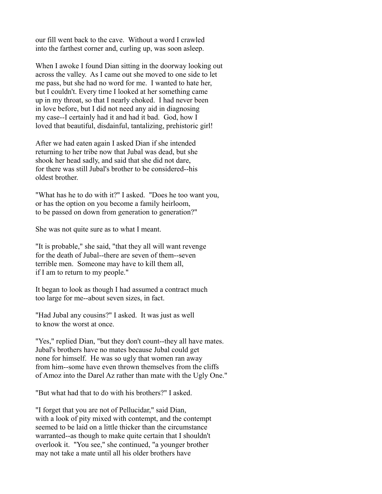our fill went back to the cave. Without a word I crawled into the farthest corner and, curling up, was soon asleep.

When I awoke I found Dian sitting in the doorway looking out across the valley. As I came out she moved to one side to let me pass, but she had no word for me. I wanted to hate her, but I couldn't. Every time I looked at her something came up in my throat, so that I nearly choked. I had never been in love before, but I did not need any aid in diagnosing my case--I certainly had it and had it bad. God, how I loved that beautiful, disdainful, tantalizing, prehistoric girl!

After we had eaten again I asked Dian if she intended returning to her tribe now that Jubal was dead, but she shook her head sadly, and said that she did not dare, for there was still Jubal's brother to be considered--his oldest brother.

"What has he to do with it?" I asked. "Does he too want you, or has the option on you become a family heirloom, to be passed on down from generation to generation?"

She was not quite sure as to what I meant.

"It is probable," she said, "that they all will want revenge for the death of Jubal--there are seven of them--seven terrible men. Someone may have to kill them all, if I am to return to my people."

It began to look as though I had assumed a contract much too large for me--about seven sizes, in fact.

"Had Jubal any cousins?" I asked. It was just as well to know the worst at once.

"Yes," replied Dian, "but they don't count--they all have mates. Jubal's brothers have no mates because Jubal could get none for himself. He was so ugly that women ran away from him--some have even thrown themselves from the cliffs of Amoz into the Darel Az rather than mate with the Ugly One."

"But what had that to do with his brothers?" I asked.

"I forget that you are not of Pellucidar," said Dian, with a look of pity mixed with contempt, and the contempt seemed to be laid on a little thicker than the circumstance warranted--as though to make quite certain that I shouldn't overlook it. "You see," she continued, "a younger brother may not take a mate until all his older brothers have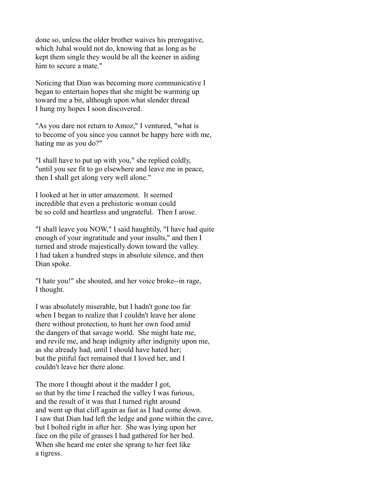done so, unless the older brother waives his prerogative, which Jubal would not do, knowing that as long as he kept them single they would be all the keener in aiding him to secure a mate."

Noticing that Dian was becoming more communicative I began to entertain hopes that she might be warming up toward me a bit, although upon what slender thread I hung my hopes I soon discovered.

"As you dare not return to Amoz," I ventured, "what is to become of you since you cannot be happy here with me, hating me as you do?"

"I shall have to put up with you," she replied coldly, "until you see fit to go elsewhere and leave me in peace, then I shall get along very well alone."

I looked at her in utter amazement. It seemed incredible that even a prehistoric woman could be so cold and heartless and ungrateful. Then I arose.

"I shall leave you NOW," I said haughtily, "I have had quite enough of your ingratitude and your insults," and then I turned and strode majestically down toward the valley. I had taken a hundred steps in absolute silence, and then Dian spoke.

"I hate you!" she shouted, and her voice broke--in rage, I thought.

I was absolutely miserable, but I hadn't gone too far when I began to realize that I couldn't leave her alone there without protection, to hunt her own food amid the dangers of that savage world. She might hate me, and revile me, and heap indignity after indignity upon me, as she already had, until I should have hated her; but the pitiful fact remained that I loved her, and I couldn't leave her there alone.

The more I thought about it the madder I got, so that by the time I reached the valley I was furious, and the result of it was that I turned right around and went up that cliff again as fast as I had come down. I saw that Dian had left the ledge and gone within the cave, but I bolted right in after her. She was lying upon her face on the pile of grasses I had gathered for her bed. When she heard me enter she sprang to her feet like a tigress.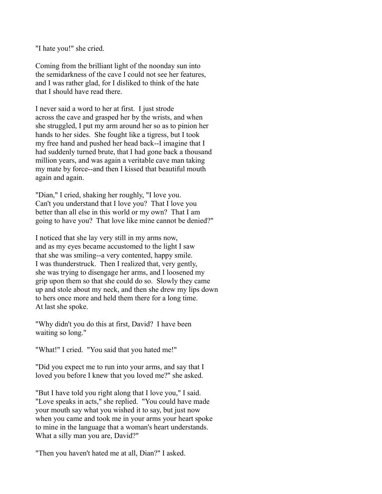"I hate you!" she cried.

Coming from the brilliant light of the noonday sun into the semidarkness of the cave I could not see her features, and I was rather glad, for I disliked to think of the hate that I should have read there.

I never said a word to her at first. I just strode across the cave and grasped her by the wrists, and when she struggled, I put my arm around her so as to pinion her hands to her sides. She fought like a tigress, but I took my free hand and pushed her head back--I imagine that I had suddenly turned brute, that I had gone back a thousand million years, and was again a veritable cave man taking my mate by force--and then I kissed that beautiful mouth again and again.

"Dian," I cried, shaking her roughly, "I love you. Can't you understand that I love you? That I love you better than all else in this world or my own? That I am going to have you? That love like mine cannot be denied?"

I noticed that she lay very still in my arms now, and as my eyes became accustomed to the light I saw that she was smiling--a very contented, happy smile. I was thunderstruck. Then I realized that, very gently, she was trying to disengage her arms, and I loosened my grip upon them so that she could do so. Slowly they came up and stole about my neck, and then she drew my lips down to hers once more and held them there for a long time. At last she spoke.

"Why didn't you do this at first, David? I have been waiting so long."

"What!" I cried. "You said that you hated me!"

"Did you expect me to run into your arms, and say that I loved you before I knew that you loved me?" she asked.

"But I have told you right along that I love you," I said. "Love speaks in acts," she replied. "You could have made your mouth say what you wished it to say, but just now when you came and took me in your arms your heart spoke to mine in the language that a woman's heart understands. What a silly man you are, David?"

"Then you haven't hated me at all, Dian?" I asked.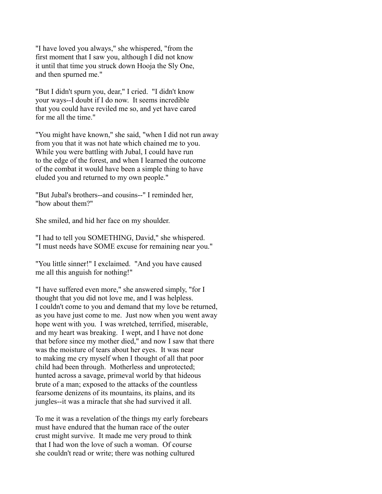"I have loved you always," she whispered, "from the first moment that I saw you, although I did not know it until that time you struck down Hooja the Sly One, and then spurned me."

"But I didn't spurn you, dear," I cried. "I didn't know your ways--I doubt if I do now. It seems incredible that you could have reviled me so, and yet have cared for me all the time."

"You might have known," she said, "when I did not run away from you that it was not hate which chained me to you. While you were battling with Jubal, I could have run to the edge of the forest, and when I learned the outcome of the combat it would have been a simple thing to have eluded you and returned to my own people."

"But Jubal's brothers--and cousins--" I reminded her, "how about them?"

She smiled, and hid her face on my shoulder.

"I had to tell you SOMETHING, David," she whispered. "I must needs have SOME excuse for remaining near you."

"You little sinner!" I exclaimed. "And you have caused me all this anguish for nothing!"

"I have suffered even more," she answered simply, "for I thought that you did not love me, and I was helpless. I couldn't come to you and demand that my love be returned, as you have just come to me. Just now when you went away hope went with you. I was wretched, terrified, miserable, and my heart was breaking. I wept, and I have not done that before since my mother died," and now I saw that there was the moisture of tears about her eyes. It was near to making me cry myself when I thought of all that poor child had been through. Motherless and unprotected; hunted across a savage, primeval world by that hideous brute of a man; exposed to the attacks of the countless fearsome denizens of its mountains, its plains, and its jungles--it was a miracle that she had survived it all.

To me it was a revelation of the things my early forebears must have endured that the human race of the outer crust might survive. It made me very proud to think that I had won the love of such a woman. Of course she couldn't read or write; there was nothing cultured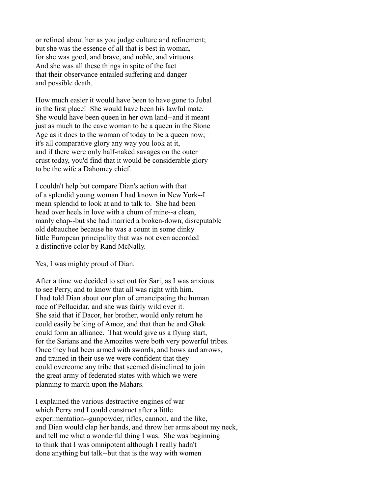or refined about her as you judge culture and refinement; but she was the essence of all that is best in woman, for she was good, and brave, and noble, and virtuous. And she was all these things in spite of the fact that their observance entailed suffering and danger and possible death.

How much easier it would have been to have gone to Jubal in the first place! She would have been his lawful mate. She would have been queen in her own land--and it meant just as much to the cave woman to be a queen in the Stone Age as it does to the woman of today to be a queen now; it's all comparative glory any way you look at it, and if there were only half-naked savages on the outer crust today, you'd find that it would be considerable glory to be the wife a Dahomey chief.

I couldn't help but compare Dian's action with that of a splendid young woman I had known in New York--I mean splendid to look at and to talk to. She had been head over heels in love with a chum of mine--a clean, manly chap--but she had married a broken-down, disreputable old debauchee because he was a count in some dinky little European principality that was not even accorded a distinctive color by Rand McNally.

Yes, I was mighty proud of Dian.

After a time we decided to set out for Sari, as I was anxious to see Perry, and to know that all was right with him. I had told Dian about our plan of emancipating the human race of Pellucidar, and she was fairly wild over it. She said that if Dacor, her brother, would only return he could easily be king of Amoz, and that then he and Ghak could form an alliance. That would give us a flying start, for the Sarians and the Amozites were both very powerful tribes. Once they had been armed with swords, and bows and arrows, and trained in their use we were confident that they could overcome any tribe that seemed disinclined to join the great army of federated states with which we were planning to march upon the Mahars.

I explained the various destructive engines of war which Perry and I could construct after a little experimentation--gunpowder, rifles, cannon, and the like, and Dian would clap her hands, and throw her arms about my neck, and tell me what a wonderful thing I was. She was beginning to think that I was omnipotent although I really hadn't done anything but talk--but that is the way with women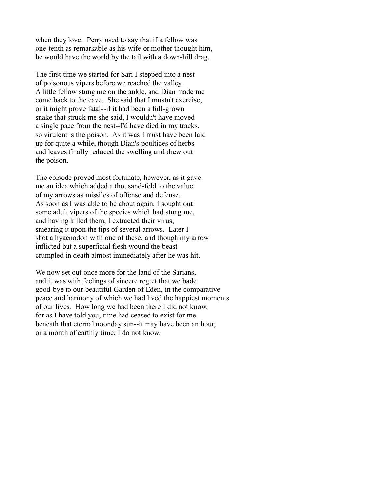when they love. Perry used to say that if a fellow was one-tenth as remarkable as his wife or mother thought him, he would have the world by the tail with a down-hill drag.

The first time we started for Sari I stepped into a nest of poisonous vipers before we reached the valley. A little fellow stung me on the ankle, and Dian made me come back to the cave. She said that I mustn't exercise, or it might prove fatal--if it had been a full-grown snake that struck me she said, I wouldn't have moved a single pace from the nest--I'd have died in my tracks, so virulent is the poison. As it was I must have been laid up for quite a while, though Dian's poultices of herbs and leaves finally reduced the swelling and drew out the poison.

The episode proved most fortunate, however, as it gave me an idea which added a thousand-fold to the value of my arrows as missiles of offense and defense. As soon as I was able to be about again, I sought out some adult vipers of the species which had stung me, and having killed them, I extracted their virus, smearing it upon the tips of several arrows. Later I shot a hyaenodon with one of these, and though my arrow inflicted but a superficial flesh wound the beast crumpled in death almost immediately after he was hit.

We now set out once more for the land of the Sarians, and it was with feelings of sincere regret that we bade good-bye to our beautiful Garden of Eden, in the comparative peace and harmony of which we had lived the happiest moments of our lives. How long we had been there I did not know, for as I have told you, time had ceased to exist for me beneath that eternal noonday sun--it may have been an hour, or a month of earthly time; I do not know.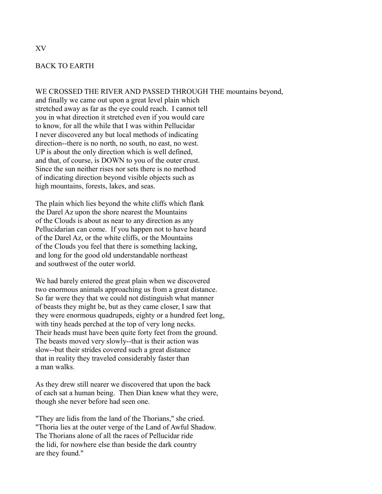## BACK TO EARTH

WE CROSSED THE RIVER AND PASSED THROUGH THE mountains beyond,

and finally we came out upon a great level plain which stretched away as far as the eye could reach. I cannot tell you in what direction it stretched even if you would care to know, for all the while that I was within Pellucidar I never discovered any but local methods of indicating direction--there is no north, no south, no east, no west. UP is about the only direction which is well defined, and that, of course, is DOWN to you of the outer crust. Since the sun neither rises nor sets there is no method of indicating direction beyond visible objects such as high mountains, forests, lakes, and seas.

The plain which lies beyond the white cliffs which flank the Darel Az upon the shore nearest the Mountains of the Clouds is about as near to any direction as any Pellucidarian can come. If you happen not to have heard of the Darel Az, or the white cliffs, or the Mountains of the Clouds you feel that there is something lacking, and long for the good old understandable northeast and southwest of the outer world.

We had barely entered the great plain when we discovered two enormous animals approaching us from a great distance. So far were they that we could not distinguish what manner of beasts they might be, but as they came closer, I saw that they were enormous quadrupeds, eighty or a hundred feet long, with tiny heads perched at the top of very long necks. Their heads must have been quite forty feet from the ground. The beasts moved very slowly--that is their action was slow--but their strides covered such a great distance that in reality they traveled considerably faster than a man walks.

As they drew still nearer we discovered that upon the back of each sat a human being. Then Dian knew what they were, though she never before had seen one.

"They are lidis from the land of the Thorians," she cried. "Thoria lies at the outer verge of the Land of Awful Shadow. The Thorians alone of all the races of Pellucidar ride the lidi, for nowhere else than beside the dark country are they found."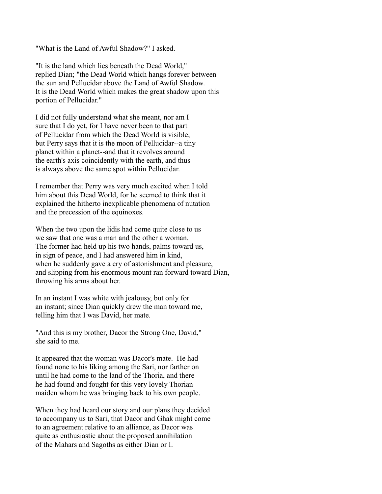"What is the Land of Awful Shadow?" I asked.

"It is the land which lies beneath the Dead World," replied Dian; "the Dead World which hangs forever between the sun and Pellucidar above the Land of Awful Shadow. It is the Dead World which makes the great shadow upon this portion of Pellucidar."

I did not fully understand what she meant, nor am I sure that I do yet, for I have never been to that part of Pellucidar from which the Dead World is visible; but Perry says that it is the moon of Pellucidar--a tiny planet within a planet--and that it revolves around the earth's axis coincidently with the earth, and thus is always above the same spot within Pellucidar.

I remember that Perry was very much excited when I told him about this Dead World, for he seemed to think that it explained the hitherto inexplicable phenomena of nutation and the precession of the equinoxes.

When the two upon the lidis had come quite close to us we saw that one was a man and the other a woman. The former had held up his two hands, palms toward us, in sign of peace, and I had answered him in kind, when he suddenly gave a cry of astonishment and pleasure, and slipping from his enormous mount ran forward toward Dian, throwing his arms about her.

In an instant I was white with jealousy, but only for an instant; since Dian quickly drew the man toward me, telling him that I was David, her mate.

"And this is my brother, Dacor the Strong One, David," she said to me.

It appeared that the woman was Dacor's mate. He had found none to his liking among the Sari, nor farther on until he had come to the land of the Thoria, and there he had found and fought for this very lovely Thorian maiden whom he was bringing back to his own people.

When they had heard our story and our plans they decided to accompany us to Sari, that Dacor and Ghak might come to an agreement relative to an alliance, as Dacor was quite as enthusiastic about the proposed annihilation of the Mahars and Sagoths as either Dian or I.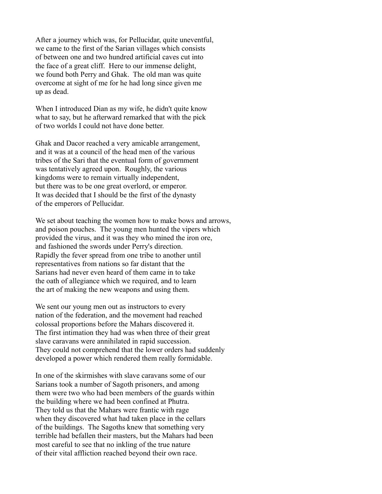After a journey which was, for Pellucidar, quite uneventful, we came to the first of the Sarian villages which consists of between one and two hundred artificial caves cut into the face of a great cliff. Here to our immense delight, we found both Perry and Ghak. The old man was quite overcome at sight of me for he had long since given me up as dead.

When I introduced Dian as my wife, he didn't quite know what to say, but he afterward remarked that with the pick of two worlds I could not have done better.

Ghak and Dacor reached a very amicable arrangement, and it was at a council of the head men of the various tribes of the Sari that the eventual form of government was tentatively agreed upon. Roughly, the various kingdoms were to remain virtually independent, but there was to be one great overlord, or emperor. It was decided that I should be the first of the dynasty of the emperors of Pellucidar.

We set about teaching the women how to make bows and arrows, and poison pouches. The young men hunted the vipers which provided the virus, and it was they who mined the iron ore, and fashioned the swords under Perry's direction. Rapidly the fever spread from one tribe to another until representatives from nations so far distant that the Sarians had never even heard of them came in to take the oath of allegiance which we required, and to learn the art of making the new weapons and using them.

We sent our young men out as instructors to every nation of the federation, and the movement had reached colossal proportions before the Mahars discovered it. The first intimation they had was when three of their great slave caravans were annihilated in rapid succession. They could not comprehend that the lower orders had suddenly developed a power which rendered them really formidable.

In one of the skirmishes with slave caravans some of our Sarians took a number of Sagoth prisoners, and among them were two who had been members of the guards within the building where we had been confined at Phutra. They told us that the Mahars were frantic with rage when they discovered what had taken place in the cellars of the buildings. The Sagoths knew that something very terrible had befallen their masters, but the Mahars had been most careful to see that no inkling of the true nature of their vital affliction reached beyond their own race.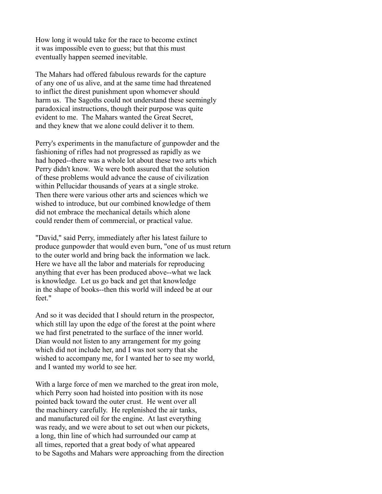How long it would take for the race to become extinct it was impossible even to guess; but that this must eventually happen seemed inevitable.

The Mahars had offered fabulous rewards for the capture of any one of us alive, and at the same time had threatened to inflict the direst punishment upon whomever should harm us. The Sagoths could not understand these seemingly paradoxical instructions, though their purpose was quite evident to me. The Mahars wanted the Great Secret, and they knew that we alone could deliver it to them.

Perry's experiments in the manufacture of gunpowder and the fashioning of rifles had not progressed as rapidly as we had hoped--there was a whole lot about these two arts which Perry didn't know. We were both assured that the solution of these problems would advance the cause of civilization within Pellucidar thousands of years at a single stroke. Then there were various other arts and sciences which we wished to introduce, but our combined knowledge of them did not embrace the mechanical details which alone could render them of commercial, or practical value.

"David," said Perry, immediately after his latest failure to produce gunpowder that would even burn, "one of us must return to the outer world and bring back the information we lack. Here we have all the labor and materials for reproducing anything that ever has been produced above--what we lack is knowledge. Let us go back and get that knowledge in the shape of books--then this world will indeed be at our feet."

And so it was decided that I should return in the prospector, which still lay upon the edge of the forest at the point where we had first penetrated to the surface of the inner world. Dian would not listen to any arrangement for my going which did not include her, and I was not sorry that she wished to accompany me, for I wanted her to see my world, and I wanted my world to see her.

With a large force of men we marched to the great iron mole, which Perry soon had hoisted into position with its nose pointed back toward the outer crust. He went over all the machinery carefully. He replenished the air tanks, and manufactured oil for the engine. At last everything was ready, and we were about to set out when our pickets, a long, thin line of which had surrounded our camp at all times, reported that a great body of what appeared to be Sagoths and Mahars were approaching from the direction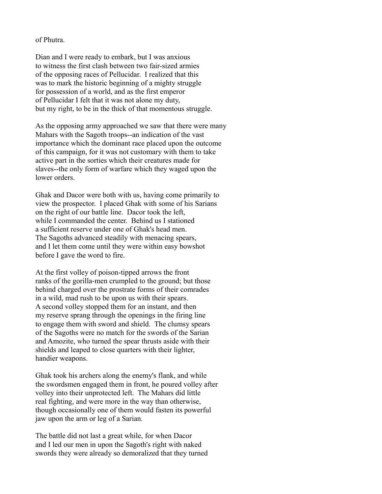## of Phutra.

Dian and I were ready to embark, but I was anxious to witness the first clash between two fair-sized armies of the opposing races of Pellucidar. I realized that this was to mark the historic beginning of a mighty struggle for possession of a world, and as the first emperor of Pellucidar I felt that it was not alone my duty, but my right, to be in the thick of that momentous struggle.

As the opposing army approached we saw that there were many Mahars with the Sagoth troops--an indication of the vast importance which the dominant race placed upon the outcome of this campaign, for it was not customary with them to take active part in the sorties which their creatures made for slaves--the only form of warfare which they waged upon the lower orders.

Ghak and Dacor were both with us, having come primarily to view the prospector. I placed Ghak with some of his Sarians on the right of our battle line. Dacor took the left, while I commanded the center. Behind us I stationed a sufficient reserve under one of Ghak's head men. The Sagoths advanced steadily with menacing spears, and I let them come until they were within easy bowshot before I gave the word to fire.

At the first volley of poison-tipped arrows the front ranks of the gorilla-men crumpled to the ground; but those behind charged over the prostrate forms of their comrades in a wild, mad rush to be upon us with their spears. A second volley stopped them for an instant, and then my reserve sprang through the openings in the firing line to engage them with sword and shield. The clumsy spears of the Sagoths were no match for the swords of the Sarian and Amozite, who turned the spear thrusts aside with their shields and leaped to close quarters with their lighter, handier weapons.

Ghak took his archers along the enemy's flank, and while the swordsmen engaged them in front, he poured volley after volley into their unprotected left. The Mahars did little real fighting, and were more in the way than otherwise, though occasionally one of them would fasten its powerful jaw upon the arm or leg of a Sarian.

The battle did not last a great while, for when Dacor and I led our men in upon the Sagoth's right with naked swords they were already so demoralized that they turned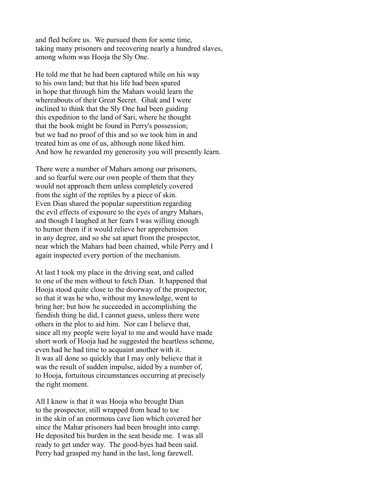and fled before us. We pursued them for some time, taking many prisoners and recovering nearly a hundred slaves, among whom was Hooja the Sly One.

He told me that he had been captured while on his way to his own land; but that his life had been spared in hope that through him the Mahars would learn the whereabouts of their Great Secret. Ghak and I were inclined to think that the Sly One had been guiding this expedition to the land of Sari, where he thought that the book might be found in Perry's possession; but we had no proof of this and so we took him in and treated him as one of us, although none liked him. And how he rewarded my generosity you will presently learn.

There were a number of Mahars among our prisoners, and so fearful were our own people of them that they would not approach them unless completely covered from the sight of the reptiles by a piece of skin. Even Dian shared the popular superstition regarding the evil effects of exposure to the eyes of angry Mahars, and though I laughed at her fears I was willing enough to humor them if it would relieve her apprehension in any degree, and so she sat apart from the prospector, near which the Mahars had been chained, while Perry and I again inspected every portion of the mechanism.

At last I took my place in the driving seat, and called to one of the men without to fetch Dian. It happened that Hooja stood quite close to the doorway of the prospector, so that it was he who, without my knowledge, went to bring her; but how he succeeded in accomplishing the fiendish thing he did, I cannot guess, unless there were others in the plot to aid him. Nor can I believe that, since all my people were loyal to me and would have made short work of Hooja had he suggested the heartless scheme, even had he had time to acquaint another with it. It was all done so quickly that I may only believe that it was the result of sudden impulse, aided by a number of, to Hooja, fortuitous circumstances occurring at precisely the right moment.

All I know is that it was Hooja who brought Dian to the prospector, still wrapped from head to toe in the skin of an enormous cave lion which covered her since the Mahar prisoners had been brought into camp. He deposited his burden in the seat beside me. I was all ready to get under way. The good-byes had been said. Perry had grasped my hand in the last, long farewell.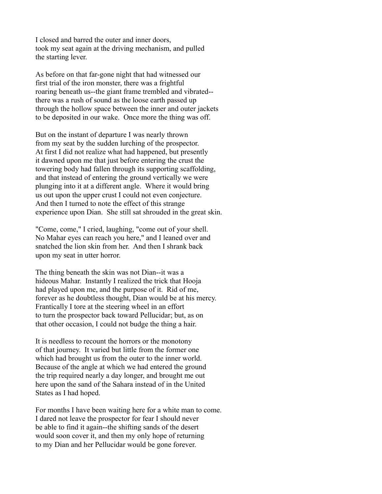I closed and barred the outer and inner doors, took my seat again at the driving mechanism, and pulled the starting lever.

As before on that far-gone night that had witnessed our first trial of the iron monster, there was a frightful roaring beneath us--the giant frame trembled and vibrated- there was a rush of sound as the loose earth passed up through the hollow space between the inner and outer jackets to be deposited in our wake. Once more the thing was off.

But on the instant of departure I was nearly thrown from my seat by the sudden lurching of the prospector. At first I did not realize what had happened, but presently it dawned upon me that just before entering the crust the towering body had fallen through its supporting scaffolding, and that instead of entering the ground vertically we were plunging into it at a different angle. Where it would bring us out upon the upper crust I could not even conjecture. And then I turned to note the effect of this strange experience upon Dian. She still sat shrouded in the great skin.

"Come, come," I cried, laughing, "come out of your shell. No Mahar eyes can reach you here," and I leaned over and snatched the lion skin from her. And then I shrank back upon my seat in utter horror.

The thing beneath the skin was not Dian--it was a hideous Mahar. Instantly I realized the trick that Hooja had played upon me, and the purpose of it. Rid of me, forever as he doubtless thought, Dian would be at his mercy. Frantically I tore at the steering wheel in an effort to turn the prospector back toward Pellucidar; but, as on that other occasion, I could not budge the thing a hair.

It is needless to recount the horrors or the monotony of that journey. It varied but little from the former one which had brought us from the outer to the inner world. Because of the angle at which we had entered the ground the trip required nearly a day longer, and brought me out here upon the sand of the Sahara instead of in the United States as I had hoped.

For months I have been waiting here for a white man to come. I dared not leave the prospector for fear I should never be able to find it again--the shifting sands of the desert would soon cover it, and then my only hope of returning to my Dian and her Pellucidar would be gone forever.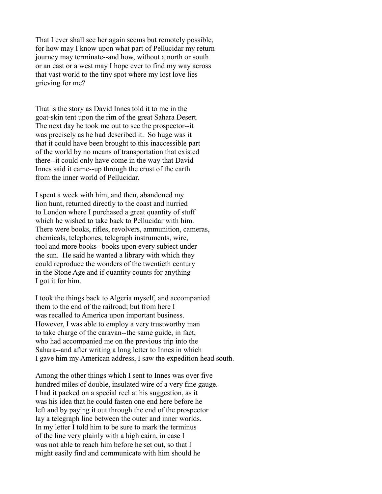That I ever shall see her again seems but remotely possible, for how may I know upon what part of Pellucidar my return journey may terminate--and how, without a north or south or an east or a west may I hope ever to find my way across that vast world to the tiny spot where my lost love lies grieving for me?

That is the story as David Innes told it to me in the goat-skin tent upon the rim of the great Sahara Desert. The next day he took me out to see the prospector--it was precisely as he had described it. So huge was it that it could have been brought to this inaccessible part of the world by no means of transportation that existed there--it could only have come in the way that David Innes said it came--up through the crust of the earth from the inner world of Pellucidar.

I spent a week with him, and then, abandoned my lion hunt, returned directly to the coast and hurried to London where I purchased a great quantity of stuff which he wished to take back to Pellucidar with him. There were books, rifles, revolvers, ammunition, cameras, chemicals, telephones, telegraph instruments, wire, tool and more books--books upon every subject under the sun. He said he wanted a library with which they could reproduce the wonders of the twentieth century in the Stone Age and if quantity counts for anything I got it for him.

I took the things back to Algeria myself, and accompanied them to the end of the railroad; but from here I was recalled to America upon important business. However, I was able to employ a very trustworthy man to take charge of the caravan--the same guide, in fact, who had accompanied me on the previous trip into the Sahara--and after writing a long letter to Innes in which I gave him my American address, I saw the expedition head south.

Among the other things which I sent to Innes was over five hundred miles of double, insulated wire of a very fine gauge. I had it packed on a special reel at his suggestion, as it was his idea that he could fasten one end here before he left and by paying it out through the end of the prospector lay a telegraph line between the outer and inner worlds. In my letter I told him to be sure to mark the terminus of the line very plainly with a high cairn, in case I was not able to reach him before he set out, so that I might easily find and communicate with him should he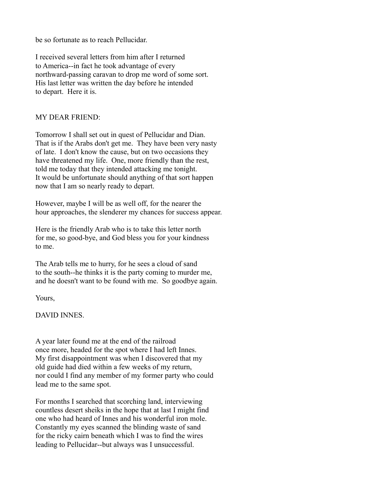be so fortunate as to reach Pellucidar.

I received several letters from him after I returned to America--in fact he took advantage of every northward-passing caravan to drop me word of some sort. His last letter was written the day before he intended to depart. Here it is.

## MY DEAR FRIEND:

Tomorrow I shall set out in quest of Pellucidar and Dian. That is if the Arabs don't get me. They have been very nasty of late. I don't know the cause, but on two occasions they have threatened my life. One, more friendly than the rest, told me today that they intended attacking me tonight. It would be unfortunate should anything of that sort happen now that I am so nearly ready to depart.

However, maybe I will be as well off, for the nearer the hour approaches, the slenderer my chances for success appear.

Here is the friendly Arab who is to take this letter north for me, so good-bye, and God bless you for your kindness to me.

The Arab tells me to hurry, for he sees a cloud of sand to the south--he thinks it is the party coming to murder me, and he doesn't want to be found with me. So goodbye again.

Yours,

DAVID INNES.

A year later found me at the end of the railroad once more, headed for the spot where I had left Innes. My first disappointment was when I discovered that my old guide had died within a few weeks of my return, nor could I find any member of my former party who could lead me to the same spot.

For months I searched that scorching land, interviewing countless desert sheiks in the hope that at last I might find one who had heard of Innes and his wonderful iron mole. Constantly my eyes scanned the blinding waste of sand for the ricky cairn beneath which I was to find the wires leading to Pellucidar--but always was I unsuccessful.